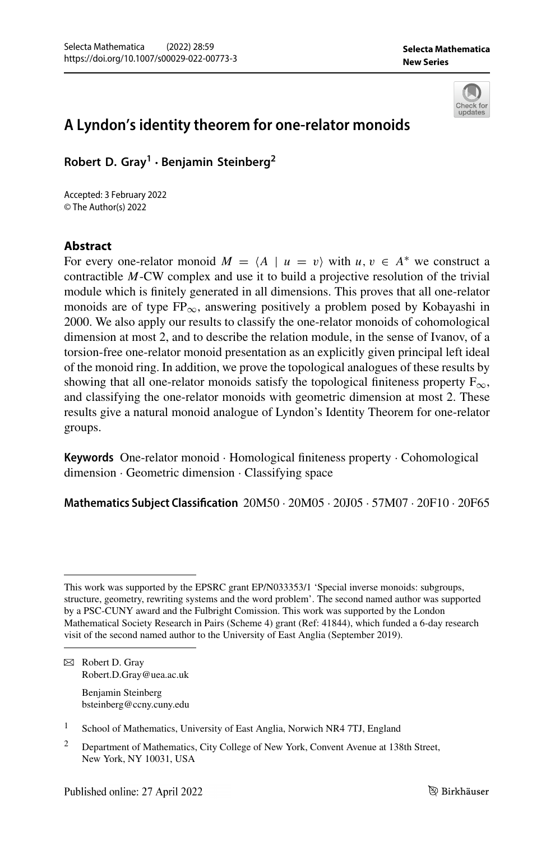

# **A Lyndon's identity theorem for one-relator monoids**

**Robert D. Gray1 · Benjamin Steinberg2**

Accepted: 3 February 2022 © The Author(s) 2022

## **Abstract**

For every one-relator monoid  $M = \langle A \mid u = v \rangle$  with  $u, v \in A^*$  we construct a contractible *M*-CW complex and use it to build a projective resolution of the trivial module which is finitely generated in all dimensions. This proves that all one-relator monoids are of type  $FP_{\infty}$ , answering positively a problem posed by Kobayashi in 2000. We also apply our results to classify the one-relator monoids of cohomological dimension at most 2, and to describe the relation module, in the sense of Ivanov, of a torsion-free one-relator monoid presentation as an explicitly given principal left ideal of the monoid ring. In addition, we prove the topological analogues of these results by showing that all one-relator monoids satisfy the topological finiteness property  $F_{\infty}$ , and classifying the one-relator monoids with geometric dimension at most 2. These results give a natural monoid analogue of Lyndon's Identity Theorem for one-relator groups.

**Keywords** One-relator monoid · Homological finiteness property · Cohomological dimension · Geometric dimension · Classifying space

**Mathematics Subject Classification** 20M50 · 20M05 · 20J05 · 57M07 · 20F10 · 20F65

B Robert D. Gray Robert.D.Gray@uea.ac.uk

> Benjamin Steinberg bsteinberg@ccny.cuny.edu

This work was supported by the EPSRC grant EP/N033353/1 'Special inverse monoids: subgroups, structure, geometry, rewriting systems and the word problem'. The second named author was supported by a PSC-CUNY award and the Fulbright Comission. This work was supported by the London Mathematical Society Research in Pairs (Scheme 4) grant (Ref: 41844), which funded a 6-day research visit of the second named author to the University of East Anglia (September 2019).

<sup>&</sup>lt;sup>1</sup> School of Mathematics, University of East Anglia, Norwich NR4 7TJ, England

<sup>&</sup>lt;sup>2</sup> Department of Mathematics, City College of New York, Convent Avenue at 138th Street, New York, NY 10031, USA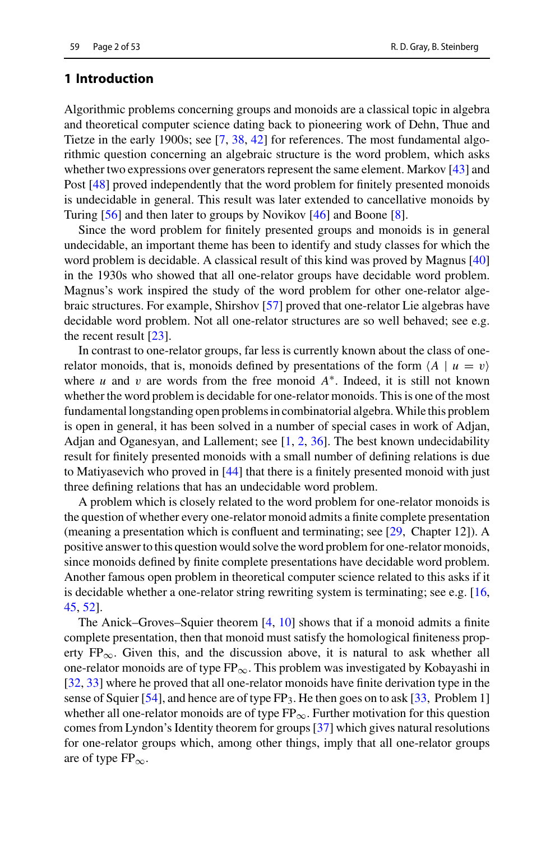#### **1 Introduction**

Algorithmic problems concerning groups and monoids are a classical topic in algebra and theoretical computer science dating back to pioneering work of Dehn, Thue and Tietze in the early 1900s; see [\[7,](#page-51-0) [38,](#page-52-0) [42\]](#page-52-1) for references. The most fundamental algorithmic question concerning an algebraic structure is the word problem, which asks whether two expressions over generators represent the same element. Markov [\[43\]](#page-52-2) and Post [\[48\]](#page-52-3) proved independently that the word problem for finitely presented monoids is undecidable in general. This result was later extended to cancellative monoids by Turing [\[56](#page-52-4)] and then later to groups by Novikov [\[46](#page-52-5)] and Boone [\[8\]](#page-51-1).

Since the word problem for finitely presented groups and monoids is in general undecidable, an important theme has been to identify and study classes for which the word problem is decidable. A classical result of this kind was proved by Magnus [\[40\]](#page-52-6) in the 1930s who showed that all one-relator groups have decidable word problem. Magnus's work inspired the study of the word problem for other one-relator algebraic structures. For example, Shirshov [\[57\]](#page-52-7) proved that one-relator Lie algebras have decidable word problem. Not all one-relator structures are so well behaved; see e.g. the recent result [\[23](#page-51-2)].

In contrast to one-relator groups, far less is currently known about the class of onerelator monoids, that is, monoids defined by presentations of the form  $\langle A | u = v \rangle$ where *u* and v are words from the free monoid *A*∗. Indeed, it is still not known whether the word problem is decidable for one-relator monoids. This is one of the most fundamental longstanding open problems in combinatorial algebra.While this problem is open in general, it has been solved in a number of special cases in work of Adjan, Adjan and Oganesyan, and Lallement; see [\[1,](#page-50-0) [2,](#page-50-1) [36](#page-52-8)]. The best known undecidability result for finitely presented monoids with a small number of defining relations is due to Matiyasevich who proved in [\[44](#page-52-9)] that there is a finitely presented monoid with just three defining relations that has an undecidable word problem.

A problem which is closely related to the word problem for one-relator monoids is the question of whether every one-relator monoid admits a finite complete presentation (meaning a presentation which is confluent and terminating; see [\[29,](#page-51-3) Chapter 12]). A positive answer to this question would solve the word problem for one-relator monoids, since monoids defined by finite complete presentations have decidable word problem. Another famous open problem in theoretical computer science related to this asks if it is decidable whether a one-relator string rewriting system is terminating; see e.g. [\[16,](#page-51-4)] [45,](#page-52-10) [52\]](#page-52-11).

The Anick–Groves–Squier theorem  $[4, 10]$  $[4, 10]$  $[4, 10]$  shows that if a monoid admits a finite complete presentation, then that monoid must satisfy the homological finiteness property  $FP_{\infty}$ . Given this, and the discussion above, it is natural to ask whether all one-relator monoids are of type  $FP_{\infty}$ . This problem was investigated by Kobayashi in [\[32](#page-52-12), [33](#page-52-13)] where he proved that all one-relator monoids have finite derivation type in the sense of Squier [\[54](#page-52-14)], and hence are of type  $FP_3$ . He then goes on to ask [\[33](#page-52-13), Problem 1] whether all one-relator monoids are of type  $FP_{\infty}$ . Further motivation for this question comes from Lyndon's Identity theorem for groups [\[37](#page-52-15)] which gives natural resolutions for one-relator groups which, among other things, imply that all one-relator groups are of type  $FP_{\infty}$ .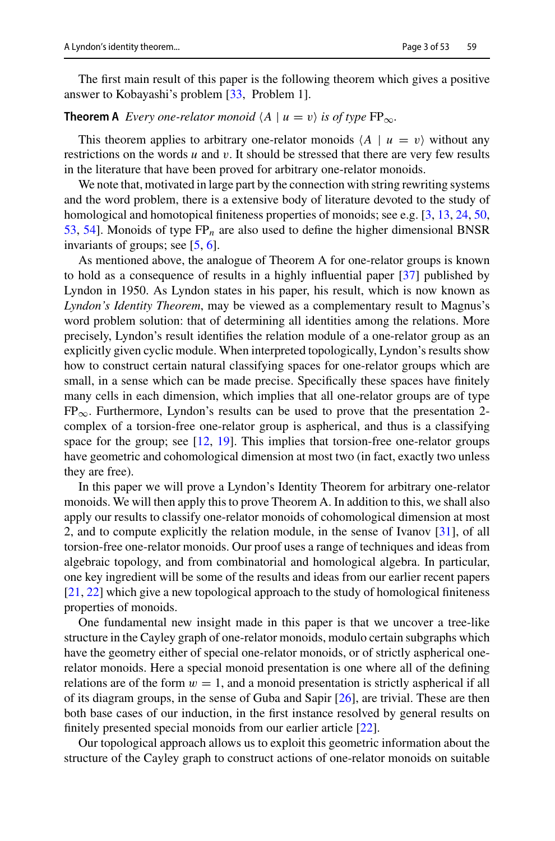The first main result of this paper is the following theorem which gives a positive answer to Kobayashi's problem [\[33](#page-52-13), Problem 1].

## **Theorem A** Every one-relator monoid  $\langle A \mid u = v \rangle$  is of type  $FP_{\infty}$ .

This theorem applies to arbitrary one-relator monoids  $\langle A | u = v \rangle$  without any restrictions on the words *u* and v. It should be stressed that there are very few results in the literature that have been proved for arbitrary one-relator monoids.

We note that, motivated in large part by the connection with string rewriting systems and the word problem, there is a extensive body of literature devoted to the study of homological and homotopical finiteness properties of monoids; see e.g. [\[3,](#page-51-7) [13](#page-51-8), [24](#page-51-9), [50,](#page-52-16) [53,](#page-52-17) [54](#page-52-14)]. Monoids of type FP*n* are also used to define the higher dimensional BNSR invariants of groups; see [\[5,](#page-51-10) [6\]](#page-51-11).

As mentioned above, the analogue of Theorem A for one-relator groups is known to hold as a consequence of results in a highly influential paper [\[37](#page-52-15)] published by Lyndon in 1950. As Lyndon states in his paper, his result, which is now known as *Lyndon's Identity Theorem*, may be viewed as a complementary result to Magnus's word problem solution: that of determining all identities among the relations. More precisely, Lyndon's result identifies the relation module of a one-relator group as an explicitly given cyclic module. When interpreted topologically, Lyndon's results show how to construct certain natural classifying spaces for one-relator groups which are small, in a sense which can be made precise. Specifically these spaces have finitely many cells in each dimension, which implies that all one-relator groups are of type  $FP_{\infty}$ . Furthermore, Lyndon's results can be used to prove that the presentation 2complex of a torsion-free one-relator group is aspherical, and thus is a classifying space for the group; see [\[12](#page-51-12), [19](#page-51-13)]. This implies that torsion-free one-relator groups have geometric and cohomological dimension at most two (in fact, exactly two unless they are free).

In this paper we will prove a Lyndon's Identity Theorem for arbitrary one-relator monoids. We will then apply this to prove Theorem A. In addition to this, we shall also apply our results to classify one-relator monoids of cohomological dimension at most 2, and to compute explicitly the relation module, in the sense of Ivanov [\[31\]](#page-51-14), of all torsion-free one-relator monoids. Our proof uses a range of techniques and ideas from algebraic topology, and from combinatorial and homological algebra. In particular, one key ingredient will be some of the results and ideas from our earlier recent papers [\[21](#page-51-15), [22\]](#page-51-16) which give a new topological approach to the study of homological finiteness properties of monoids.

One fundamental new insight made in this paper is that we uncover a tree-like structure in the Cayley graph of one-relator monoids, modulo certain subgraphs which have the geometry either of special one-relator monoids, or of strictly aspherical onerelator monoids. Here a special monoid presentation is one where all of the defining relations are of the form  $w = 1$ , and a monoid presentation is strictly aspherical if all of its diagram groups, in the sense of Guba and Sapir [\[26](#page-51-17)], are trivial. These are then both base cases of our induction, in the first instance resolved by general results on finitely presented special monoids from our earlier article [\[22](#page-51-16)].

Our topological approach allows us to exploit this geometric information about the structure of the Cayley graph to construct actions of one-relator monoids on suitable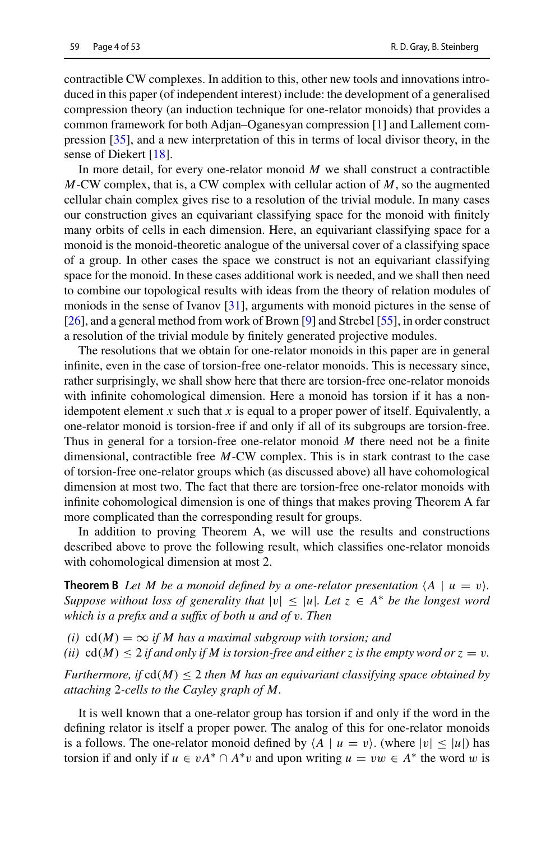contractible CW complexes. In addition to this, other new tools and innovations introduced in this paper (of independent interest) include: the development of a generalised compression theory (an induction technique for one-relator monoids) that provides a common framework for both Adjan–Oganesyan compression [\[1](#page-50-0)] and Lallement compression [\[35\]](#page-52-18), and a new interpretation of this in terms of local divisor theory, in the sense of Diekert [\[18](#page-51-18)].

In more detail, for every one-relator monoid *M* we shall construct a contractible *M*-CW complex, that is, a CW complex with cellular action of *M*, so the augmented cellular chain complex gives rise to a resolution of the trivial module. In many cases our construction gives an equivariant classifying space for the monoid with finitely many orbits of cells in each dimension. Here, an equivariant classifying space for a monoid is the monoid-theoretic analogue of the universal cover of a classifying space of a group. In other cases the space we construct is not an equivariant classifying space for the monoid. In these cases additional work is needed, and we shall then need to combine our topological results with ideas from the theory of relation modules of moniods in the sense of Ivanov [\[31\]](#page-51-14), arguments with monoid pictures in the sense of [\[26](#page-51-17)], and a general method from work of Brown [\[9](#page-51-19)] and Strebel [\[55\]](#page-52-19), in order construct a resolution of the trivial module by finitely generated projective modules.

The resolutions that we obtain for one-relator monoids in this paper are in general infinite, even in the case of torsion-free one-relator monoids. This is necessary since, rather surprisingly, we shall show here that there are torsion-free one-relator monoids with infinite cohomological dimension. Here a monoid has torsion if it has a nonidempotent element *x* such that *x* is equal to a proper power of itself. Equivalently, a one-relator monoid is torsion-free if and only if all of its subgroups are torsion-free. Thus in general for a torsion-free one-relator monoid *M* there need not be a finite dimensional, contractible free *M*-CW complex. This is in stark contrast to the case of torsion-free one-relator groups which (as discussed above) all have cohomological dimension at most two. The fact that there are torsion-free one-relator monoids with infinite cohomological dimension is one of things that makes proving Theorem A far more complicated than the corresponding result for groups.

In addition to proving Theorem A, we will use the results and constructions described above to prove the following result, which classifies one-relator monoids with cohomological dimension at most 2.

**Theorem B** Let M be a monoid defined by a one-relator presentation  $\langle A \mid u = v \rangle$ . *Suppose without loss of generality that*  $|v| \leq |u|$ *. Let*  $z \in A^*$  *be the longest word which is a prefix and a suffix of both u and of* v*. Then*

*(i)*  $cd(M) = \infty$  *if M* has a maximal subgroup with torsion; and

*(ii)*  $\text{cd}(M) \leq 2$  *if and only if M is torsion-free and either z is the empty word or*  $z = v$ *.* 

*Furthermore, if*  $cd(M) \leq 2$  *then M has an equivariant classifying space obtained by attaching* 2*-cells to the Cayley graph of M.*

It is well known that a one-relator group has torsion if and only if the word in the defining relator is itself a proper power. The analog of this for one-relator monoids is a follows. The one-relator monoid defined by  $\langle A | u = v \rangle$ . (where  $|v| \le |u|$ ) has torsion if and only if  $u \in vA^* \cap A^*v$  and upon writing  $u = vw \in A^*$  the word w is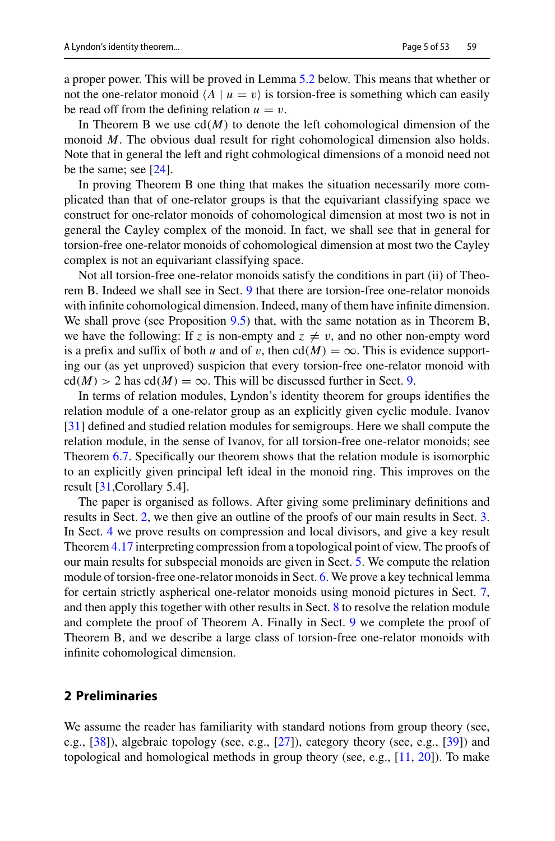a proper power. This will be proved in Lemma [5.2](#page-28-0) below. This means that whether or not the one-relator monoid  $\langle A \mid u = v \rangle$  is torsion-free is something which can easily be read off from the defining relation  $u = v$ .

In Theorem B we use  $cl(M)$  to denote the left cohomological dimension of the monoid *M*. The obvious dual result for right cohomological dimension also holds. Note that in general the left and right cohmological dimensions of a monoid need not be the same; see [\[24\]](#page-51-9).

In proving Theorem B one thing that makes the situation necessarily more complicated than that of one-relator groups is that the equivariant classifying space we construct for one-relator monoids of cohomological dimension at most two is not in general the Cayley complex of the monoid. In fact, we shall see that in general for torsion-free one-relator monoids of cohomological dimension at most two the Cayley complex is not an equivariant classifying space.

Not all torsion-free one-relator monoids satisfy the conditions in part (ii) of Theorem B. Indeed we shall see in Sect. [9](#page-47-0) that there are torsion-free one-relator monoids with infinite cohomological dimension. Indeed, many of them have infinite dimension. We shall prove (see Proposition [9.5\)](#page-50-2) that, with the same notation as in Theorem B, we have the following: If *z* is non-empty and  $z \neq v$ , and no other non-empty word is a prefix and suffix of both *u* and of *v*, then  $cd(M) = \infty$ . This is evidence supporting our (as yet unproved) suspicion that every torsion-free one-relator monoid with  $cd(M) > 2$  has  $cd(M) = \infty$ . This will be discussed further in Sect. [9.](#page-47-0)

In terms of relation modules, Lyndon's identity theorem for groups identifies the relation module of a one-relator group as an explicitly given cyclic module. Ivanov [\[31](#page-51-14)] defined and studied relation modules for semigroups. Here we shall compute the relation module, in the sense of Ivanov, for all torsion-free one-relator monoids; see Theorem [6.7.](#page-36-0) Specifically our theorem shows that the relation module is isomorphic to an explicitly given principal left ideal in the monoid ring. This improves on the result [\[31,](#page-51-14)Corollary 5.4].

The paper is organised as follows. After giving some preliminary definitions and results in Sect. [2,](#page-4-0) we then give an outline of the proofs of our main results in Sect. [3.](#page-10-0) In Sect. [4](#page-16-0) we prove results on compression and local divisors, and give a key result Theorem [4.17](#page-25-0) interpreting compression from a topological point of view. The proofs of our main results for subspecial monoids are given in Sect. [5.](#page-27-0) We compute the relation module of torsion-free one-relator monoids in Sect. [6.](#page-34-0) We prove a key technical lemma for certain strictly aspherical one-relator monoids using monoid pictures in Sect. [7,](#page-38-0) and then apply this together with other results in Sect. [8](#page-43-0) to resolve the relation module and complete the proof of Theorem A. Finally in Sect. [9](#page-47-0) we complete the proof of Theorem B, and we describe a large class of torsion-free one-relator monoids with infinite cohomological dimension.

### <span id="page-4-0"></span>**2 Preliminaries**

We assume the reader has familiarity with standard notions from group theory (see, e.g., [\[38](#page-52-0)]), algebraic topology (see, e.g., [\[27](#page-51-20)]), category theory (see, e.g., [\[39\]](#page-52-20)) and topological and homological methods in group theory (see, e.g., [\[11,](#page-51-21) [20](#page-51-22)]). To make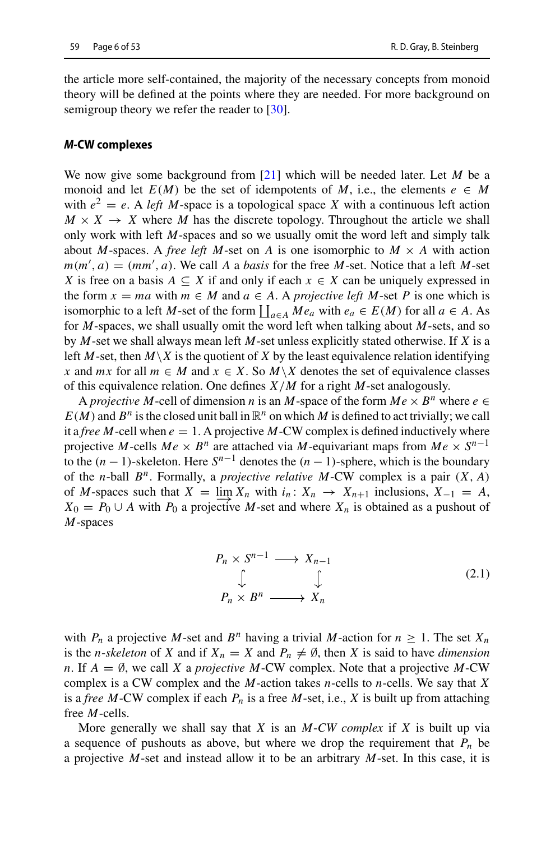the article more self-contained, the majority of the necessary concepts from monoid theory will be defined at the points where they are needed. For more background on semigroup theory we refer the reader to [\[30](#page-51-23)].

#### *M***-CW complexes**

We now give some background from [\[21](#page-51-15)] which will be needed later. Let *M* be a monoid and let  $E(M)$  be the set of idempotents of M, i.e., the elements  $e \in M$ with  $e^2 = e$ . A *left M*-space is a topological space *X* with a continuous left action  $M \times X \rightarrow X$  where *M* has the discrete topology. Throughout the article we shall only work with left *M*-spaces and so we usually omit the word left and simply talk about *M*-spaces. A *free left M*-set on *A* is one isomorphic to  $M \times A$  with action  $m(m', a) = (mm', a)$ . We call *A* a *basis* for the free *M*-set. Notice that a left *M*-set *X* is free on a basis  $A \subseteq X$  if and only if each  $x \in X$  can be uniquely expressed in the form  $x = ma$  with  $m \in M$  and  $a \in A$ . A *projective left* M-set P is one which is isomorphic to a left *M*-set of the form  $\prod_{a \in A} Me_a$  with  $e_a \in E(M)$  for all  $a \in A$ . As for *M*-spaces, we shall usually omit the word left when talking about *M*-sets, and so by *M*-set we shall always mean left *M*-set unless explicitly stated otherwise. If *X* is a left *M*-set, then  $M \setminus X$  is the quotient of *X* by the least equivalence relation identifying *x* and *mx* for all  $m \in M$  and  $x \in X$ . So  $M \setminus X$  denotes the set of equivalence classes of this equivalence relation. One defines *X*/*M* for a right *M*-set analogously.

A *projective M*-cell of dimension *n* is an *M*-space of the form  $Me \times B^n$  where  $e \in$  $E(M)$  and  $B^n$  is the closed unit ball in  $\mathbb{R}^n$  on which *M* is defined to act trivially; we call it a *free M*-cell when  $e = 1$ . A projective *M*-CW complex is defined inductively where projective *M*-cells  $Me \times B^n$  are attached via *M*-equivariant maps from  $Me \times S^{n-1}$ to the  $(n-1)$ -skeleton. Here  $S^{n-1}$  denotes the  $(n-1)$ -sphere, which is the boundary of the *n*-ball *Bn*. Formally, a *projective relative M*-CW complex is a pair (*X*, *A*) of *M*-spaces such that  $X = \lim_{n \to \infty} X_n$  with  $i_n: X_n \to X_{n+1}$  inclusions,  $X_{-1} = A$ ,  $X_0 = P_0 \cup A$  with  $P_0$  a projective *M*-set and where  $X_n$  is obtained as a pushout of *X*<sup>0</sup> = *P*<sup>0</sup> ∪ *A* with *P*<sup>0</sup> a projective *M*-set and where *X<sub>n</sub>* is obtained as a pushout of *M*-spaces

<span id="page-5-0"></span>
$$
P_n \times S^{n-1} \longrightarrow X_{n-1}
$$
  
\n
$$
\downarrow \qquad \qquad \downarrow
$$
  
\n
$$
P_n \times B^n \longrightarrow X_n
$$
 (2.1)

with  $P_n$  a projective M-set and  $B^n$  having a trivial M-action for  $n \geq 1$ . The set  $X_n$ is the *n*-*skeleton* of *X* and if  $X_n = X$  and  $P_n \neq \emptyset$ , then *X* is said to have *dimension n*. If  $A = \emptyset$ , we call *X* a *projective M*-CW complex. Note that a projective *M*-CW complex is a CW complex and the *M*-action takes *n*-cells to *n*-cells. We say that *X* is a *free M*-CW complex if each *Pn* is a free *M*-set, i.e., *X* is built up from attaching free *M*-cells.

More generally we shall say that *X* is an *M*-*CW complex* if *X* is built up via a sequence of pushouts as above, but where we drop the requirement that  $P_n$  be a projective *M*-set and instead allow it to be an arbitrary *M*-set. In this case, it is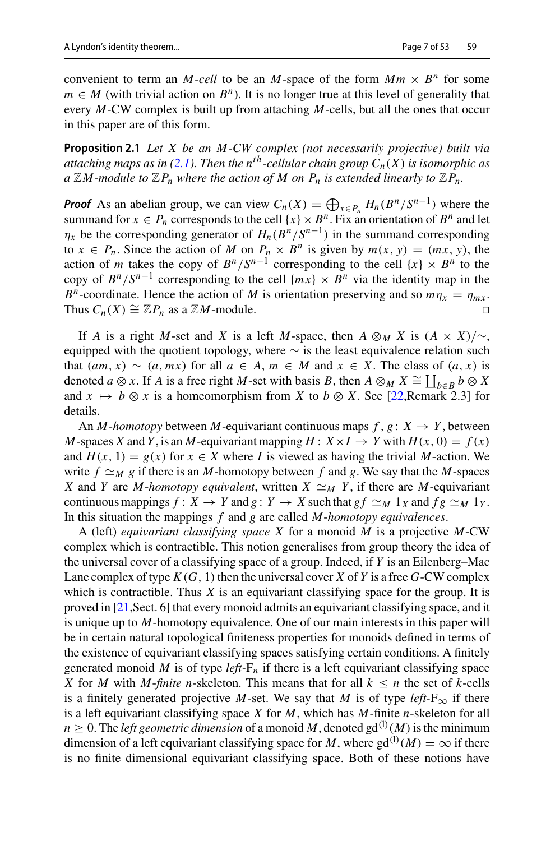<span id="page-6-0"></span>convenient to term an *M*-*cell* to be an *M*-space of the form  $Mm \times B^n$  for some  $m \in M$  (with trivial action on  $B<sup>n</sup>$ ). It is no longer true at this level of generality that every *M*-CW complex is built up from attaching *M*-cells, but all the ones that occur in this paper are of this form.

**Proposition 2.1** *Let X be an M-CW complex (not necessarily projective) built via attaching maps as in [\(2.1\)](#page-5-0). Then the n*<sup>th</sup>-cellular chain group  $C_n(X)$  is isomorphic as  $a \mathbb{Z}M$ -module to  $\mathbb{Z}P_n$  where the action of M on  $P_n$  is extended linearly to  $\mathbb{Z}P_n$ .

*Proof* As an abelian group, we can view  $C_n(X) = \bigoplus_{x \in P_n} H_n(B^n/S^{n-1})$  where the summand for  $x \in P_n$  corresponds to the cell  $\{x\} \times B^n$ . Fix an orientation of  $B^n$  and let  $\eta_x$  be the corresponding generator of  $H_n(B^n/S^{n-1})$  in the summand corresponding to  $x \in P_n$ . Since the action of M on  $P_n \times B^n$  is given by  $m(x, y) = (mx, y)$ , the action of *m* takes the copy of  $B^n/S^{n-1}$  corresponding to the cell  $\{x\} \times B^n$  to the copy of  $B^n/S^{n-1}$  corresponding to the cell  $\{mx\} \times B^n$  via the identity map in the *B<sup>n</sup>*-coordinate. Hence the action of *M* is orientation preserving and so  $m\eta_x = \eta_{mx}$ .<br>Thus  $C_n(X) \cong \mathbb{Z}P_n$  as a  $\mathbb{Z}M$ -module. Thus  $C_n(X) \cong \mathbb{Z}P_n$  as a  $\mathbb{Z}M$ -module.

If *A* is a right *M*-set and *X* is a left *M*-space, then  $A \otimes_M X$  is  $(A \times X)/\sim$ , equipped with the quotient topology, where  $\sim$  is the least equivalence relation such that  $(am, x)$  ∼  $(a, mx)$  for all  $a \in A$ ,  $m \in M$  and  $x \in X$ . The class of  $(a, x)$  is denoted *a* ⊗ *x*. If *A* is a free right *M*-set with basis *B*, then  $A \otimes_M X \cong \coprod_{b \in B} b \otimes X$ and  $x \mapsto b \otimes x$  is a homeomorphism from *X* to  $b \otimes X$ . See [\[22,](#page-51-16) Remark 2.3] for details.

An *M*-homotopy between *M*-equivariant continuous maps  $f, g: X \rightarrow Y$ , between *M*-spaces *X* and *Y*, is an *M*-equivariant mapping  $H: X \times I \rightarrow Y$  with  $H(x, 0) = f(x)$ and  $H(x, 1) = g(x)$  for  $x \in X$  where *I* is viewed as having the trivial *M*-action. We write  $f \simeq_M g$  if there is an *M*-homotopy between f and g. We say that the *M*-spaces *X* and *Y* are *M*-*homotopy equivalent*, written *X*  $\approx_M Y$ , if there are *M*-equivariant continuous mappings  $f: X \to Y$  and  $g: Y \to X$  such that  $gf \simeq_M 1_X$  and  $fg \simeq_M 1_Y$ . In this situation the mappings *f* and *g* are called *M*-*homotopy equivalences*.

A (left) *equivariant classifying space X* for a monoid *M* is a projective *M*-CW complex which is contractible. This notion generalises from group theory the idea of the universal cover of a classifying space of a group. Indeed, if *Y* is an Eilenberg–Mac Lane complex of type  $K(G, 1)$  then the universal cover X of Y is a free G-CW complex which is contractible. Thus *X* is an equivariant classifying space for the group. It is proved in [\[21,](#page-51-15)Sect. 6] that every monoid admits an equivariant classifying space, and it is unique up to *M*-homotopy equivalence. One of our main interests in this paper will be in certain natural topological finiteness properties for monoids defined in terms of the existence of equivariant classifying spaces satisfying certain conditions. A finitely generated monoid *M* is of type *left*- $F_n$  if there is a left equivariant classifying space *X* for *M* with *M*-*finite n*-skeleton. This means that for all  $k \leq n$  the set of *k*-cells is a finitely generated projective *M*-set. We say that *M* is of type  $left\vert e\right\rangle$  if there is a left equivariant classifying space *X* for *M*, which has *M*-finite *n*-skeleton for all  $n \geq 0$ . The *left geometric dimension* of a monoid M, denoted  $gd^{(1)}(M)$  is the minimum dimension of a left equivariant classifying space for *M*, where  $\text{gd}^{(1)}(M) = \infty$  if there is no finite dimensional equivariant classifying space. Both of these notions have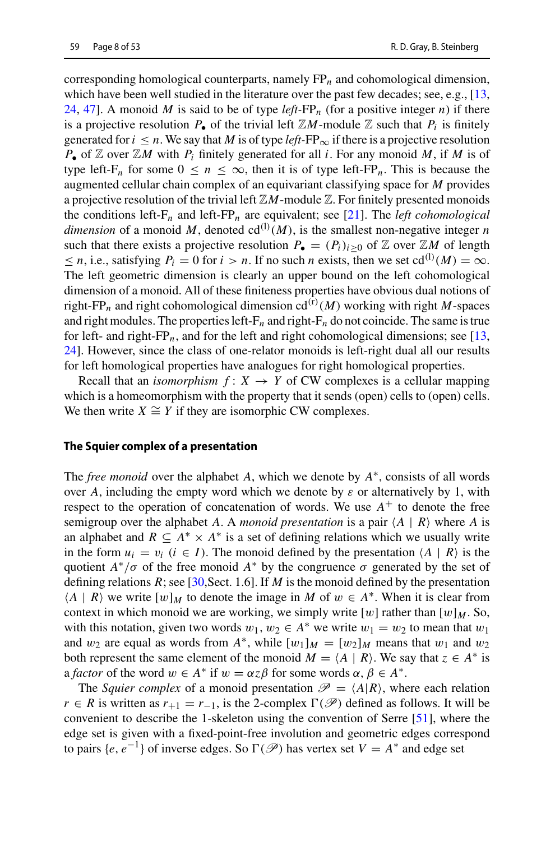corresponding homological counterparts, namely FP*n* and cohomological dimension, which have been well studied in the literature over the past few decades; see, e.g., [\[13,](#page-51-8)] [24,](#page-51-9) [47](#page-52-21)]. A monoid M is said to be of type  $left\arrow P_p$  (for a positive integer *n*) if there is a projective resolution  $P_{\bullet}$  of the trivial left  $\mathbb{Z}M$ -module  $\mathbb Z$  such that  $P_i$  is finitely generated for  $i \leq n$ . We say that *M* is of type *left*- $FP_{\infty}$  if there is a projective resolution *<sup>P</sup>*• of <sup>Z</sup> over <sup>Z</sup>*<sup>M</sup>* with *Pi* finitely generated for all *<sup>i</sup>*. For any monoid *<sup>M</sup>*, if *<sup>M</sup>* is of type left-F<sub>n</sub> for some  $0 \le n \le \infty$ , then it is of type left-FP<sub>n</sub>. This is because the augmented cellular chain complex of an equivariant classifying space for *M* provides a projective resolution of the trivial left  $\mathbb{Z}M$ -module  $\mathbb{Z}$ . For finitely presented monoids the conditions left- $F_n$  and left- $FP_n$  are equivalent; see [\[21](#page-51-15)]. The *left cohomological* dimension of a monoid M, denoted  $cd^{(1)}(M)$ , is the smallest non-negative integer *n* such that there exists a projective resolution  $P_{\bullet} = (P_i)_{i>0}$  of  $\mathbb Z$  over  $\mathbb ZM$  of length  $\leq n$ , i.e., satisfying  $P_i = 0$  for  $i > n$ . If no such *n* exists, then we set cd<sup>(l)</sup>(*M*) =  $\infty$ . The left geometric dimension is clearly an upper bound on the left cohomological dimension of a monoid. All of these finiteness properties have obvious dual notions of right-FP<sub>n</sub> and right cohomological dimension  $cd^{(r)}(M)$  working with right *M*-spaces and right modules. The properties left- $F_n$  and right- $F_n$  do not coincide. The same is true for left- and right- $FP_n$ , and for the left and right cohomological dimensions; see [\[13,](#page-51-8) [24\]](#page-51-9). However, since the class of one-relator monoids is left-right dual all our results for left homological properties have analogues for right homological properties.

Recall that an *isomorphism*  $f: X \rightarrow Y$  of CW complexes is a cellular mapping which is a homeomorphism with the property that it sends (open) cells to (open) cells. We then write  $X \cong Y$  if they are isomorphic CW complexes.

#### **The Squier complex of a presentation**

The *free monoid* over the alphabet *A*, which we denote by *A*∗, consists of all words over A, including the empty word which we denote by  $\varepsilon$  or alternatively by 1, with respect to the operation of concatenation of words. We use  $A^+$  to denote the free semigroup over the alphabet *A*. A *monoid presentation* is a pair  $\langle A | R \rangle$  where *A* is an alphabet and  $R \subseteq A^* \times A^*$  is a set of defining relations which we usually write in the form  $u_i = v_i$  ( $i \in I$ ). The monoid defined by the presentation  $\langle A | R \rangle$  is the quotient  $A^*/\sigma$  of the free monoid  $A^*$  by the congruence  $\sigma$  generated by the set of defining relations  $R$ ; see [\[30,](#page-51-23) Sect. 1.6]. If  $M$  is the monoid defined by the presentation  $\langle A | R \rangle$  we write  $[w]_M$  to denote the image in *M* of  $w \in A^*$ . When it is clear from context in which monoid we are working, we simply write  $[w]$  rather than  $[w]_M$ . So, with this notation, given two words  $w_1, w_2 \in A^*$  we write  $w_1 = w_2$  to mean that  $w_1$ and  $w_2$  are equal as words from  $A^*$ , while  $[w_1]_M = [w_2]_M$  means that  $w_1$  and  $w_2$ both represent the same element of the monoid  $M = \langle A | R \rangle$ . We say that  $z \in A^*$  is a *factor* of the word  $w \in A^*$  if  $w = \alpha z \beta$  for some words  $\alpha, \beta \in A^*$ .

The *Squier complex* of a monoid presentation  $\mathcal{P} = \langle A | R \rangle$ , where each relation *r* ∈ *R* is written as  $r_{+1} = r_{-1}$ , is the 2-complex  $\Gamma(\mathcal{P})$  defined as follows. It will be convenient to describe the 1-skeleton using the convention of Serre [\[51\]](#page-52-22), where the edge set is given with a fixed-point-free involution and geometric edges correspond to pairs  $\{e, e^{-1}\}$  of inverse edges. So  $\Gamma(\mathscr{P})$  has vertex set  $V = A^*$  and edge set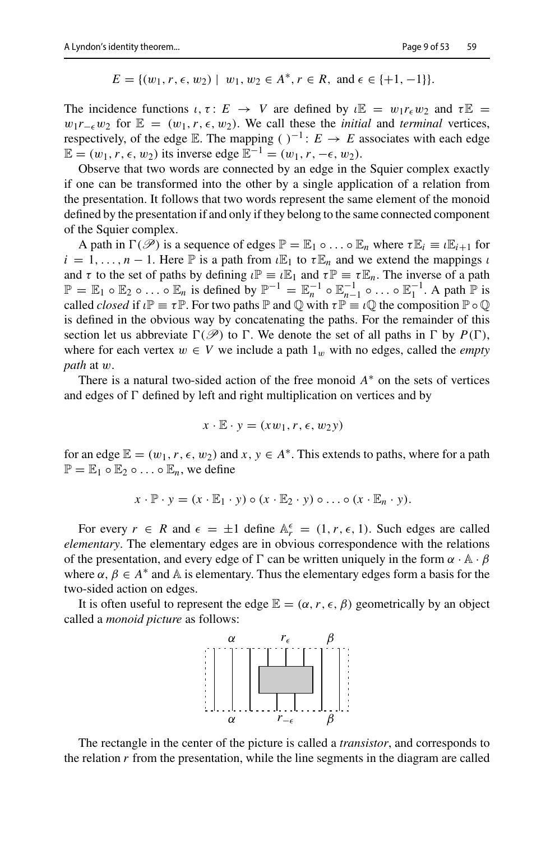$E = \{(w_1, r, \epsilon, w_2) \mid w_1, w_2 \in A^*, r \in R, \text{ and } \epsilon \in \{+1, -1\}\}.$ 

The incidence functions  $\iota, \tau : E \to V$  are defined by  $\iota \mathbb{E} = w_1 r_{\epsilon} w_2$  and  $\tau \mathbb{E} =$  $w_1r_{-\epsilon}w_2$  for  $\mathbb{E} = (w_1, r, \epsilon, w_2)$ . We call these the *initial* and *terminal* vertices, respectively, of the edge E. The mapping ( $C^{-1}$ :  $E \rightarrow E$  associates with each edge  $\mathbb{E} = (w_1, r, \epsilon, w_2)$  its inverse edge  $\mathbb{E}^{-1} = (w_1, r, -\epsilon, w_2)$ .

Observe that two words are connected by an edge in the Squier complex exactly if one can be transformed into the other by a single application of a relation from the presentation. It follows that two words represent the same element of the monoid defined by the presentation if and only if they belong to the same connected component of the Squier complex.

A path in  $\Gamma(\mathscr{P})$  is a sequence of edges  $\mathbb{P} = \mathbb{E}_1 \circ \dots \circ \mathbb{E}_n$  where  $\tau \mathbb{E}_i \equiv \iota \mathbb{E}_{i+1}$  for  $i = 1, \ldots, n - 1$ . Here  $\mathbb P$  is a path from  $\iota \mathbb{E}_1$  to  $\tau \mathbb{E}_n$  and we extend the mappings  $\iota$ and  $\tau$  to the set of paths by defining  $\iota \mathbb{P} = \iota \mathbb{E}_1$  and  $\tau \mathbb{P} = \tau \mathbb{E}_n$ . The inverse of a path  $\mathbb{P} = \mathbb{E}_1 \circ \mathbb{E}_2 \circ \dots \circ \mathbb{E}_n$  is defined by  $\mathbb{P}^{-1} = \mathbb{E}_n^{-1} \circ \mathbb{E}_{n-1}^{-1} \circ \dots \circ \mathbb{E}_1^{-1}$ . A path  $\mathbb{P}$  is called *closed* if  $\iota \mathbb{P} \equiv \tau \mathbb{P}$ . For two paths  $\mathbb{P}$  and  $\mathbb{Q}$  with  $\tau \mathbb{P} \equiv \iota \mathbb{Q}$  the composition  $\mathbb{P} \circ \mathbb{Q}$ is defined in the obvious way by concatenating the paths. For the remainder of this section let us abbreviate  $\Gamma(\mathscr{P})$  to  $\Gamma$ . We denote the set of all paths in  $\Gamma$  by  $P(\Gamma)$ , where for each vertex  $w \in V$  we include a path  $1_w$  with no edges, called the *empty path* at w.

There is a natural two-sided action of the free monoid  $A^*$  on the sets of vertices and edges of  $\Gamma$  defined by left and right multiplication on vertices and by

$$
x \cdot \mathbb{E} \cdot y = (xw_1, r, \epsilon, w_2y)
$$

for an edge  $\mathbb{E} = (w_1, r, \epsilon, w_2)$  and  $x, y \in A^*$ . This extends to paths, where for a path  $\mathbb{P} = \mathbb{E}_1 \circ \mathbb{E}_2 \circ \dots \circ \mathbb{E}_n$ , we define

$$
x \cdot \mathbb{P} \cdot y = (x \cdot \mathbb{E}_1 \cdot y) \circ (x \cdot \mathbb{E}_2 \cdot y) \circ \ldots \circ (x \cdot \mathbb{E}_n \cdot y).
$$

For every  $r \in R$  and  $\epsilon = \pm 1$  define  $\mathbb{A}_r^{\epsilon} = (1, r, \epsilon, 1)$ . Such edges are called *elementary*. The elementary edges are in obvious correspondence with the relations of the presentation, and every edge of  $\Gamma$  can be written uniquely in the form  $\alpha \cdot A \cdot \beta$ where  $\alpha, \beta \in A^*$  and A is elementary. Thus the elementary edges form a basis for the two-sided action on edges.

It is often useful to represent the edge  $\mathbb{E} = (\alpha, r, \epsilon, \beta)$  geometrically by an object called a *monoid picture* as follows:



The rectangle in the center of the picture is called a *transistor*, and corresponds to the relation  $r$  from the presentation, while the line segments in the diagram are called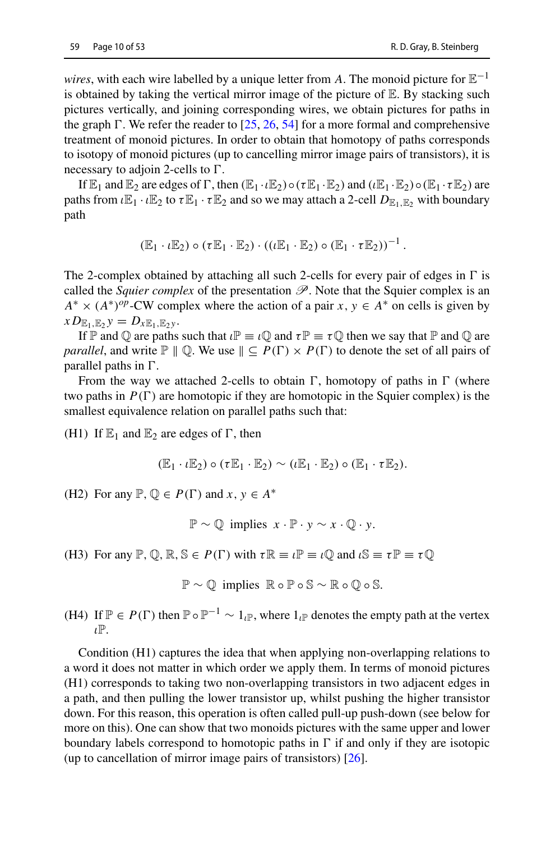*wires*, with each wire labelled by a unique letter from *A*. The monoid picture for  $\mathbb{E}^{-1}$ is obtained by taking the vertical mirror image of the picture of  $E$ . By stacking such pictures vertically, and joining corresponding wires, we obtain pictures for paths in the graph  $\Gamma$ . We refer the reader to [\[25,](#page-51-24) [26](#page-51-17), [54](#page-52-14)] for a more formal and comprehensive treatment of monoid pictures. In order to obtain that homotopy of paths corresponds to isotopy of monoid pictures (up to cancelling mirror image pairs of transistors), it is necessary to adjoin 2-cells to  $\Gamma$ .

If  $\mathbb{E}_1$  and  $\mathbb{E}_2$  are edges of  $\Gamma$ , then  $(\mathbb{E}_1 \cdot \mathbb{E}_2) \circ (\tau \mathbb{E}_1 \cdot \mathbb{E}_2)$  and  $(\iota \mathbb{E}_1 \cdot \mathbb{E}_2) \circ (\mathbb{E}_1 \cdot \tau \mathbb{E}_2)$  are paths from  $\iota \mathbb{E}_1 \cdot \iota \mathbb{E}_2$  to  $\tau \mathbb{E}_1 \cdot \tau \mathbb{E}_2$  and so we may attach a 2-cell  $D_{\mathbb{E}_1,\mathbb{E}_2}$  with boundary path

$$
(\mathbb{E}_1 \cdot \iota \mathbb{E}_2) \circ (\tau \mathbb{E}_1 \cdot \mathbb{E}_2) \cdot ((\iota \mathbb{E}_1 \cdot \mathbb{E}_2) \circ (\mathbb{E}_1 \cdot \tau \mathbb{E}_2))^{-1}.
$$

The 2-complex obtained by attaching all such 2-cells for every pair of edges in  $\Gamma$  is called the *Squier complex* of the presentation  $\mathscr P$ . Note that the Squier complex is an  $A^* \times (A^*)^{op}$ -CW complex where the action of a pair *x*,  $y \in A^*$  on cells is given by  $xD_{\mathbb{E}_1,\mathbb{E}_2}y = D_{x\mathbb{E}_1,\mathbb{E}_2y}$ .

If P and  $\mathbb O$  are paths such that  $\iota \mathbb P \equiv \iota \mathbb O$  and  $\tau \mathbb P \equiv \tau \mathbb O$  then we say that P and  $\mathbb O$  are *parallel*, and write  $\mathbb{P} \parallel \mathbb{Q}$ . We use  $\parallel \subseteq P(\Gamma) \times P(\Gamma)$  to denote the set of all pairs of parallel paths in  $\Gamma$ .

From the way we attached 2-cells to obtain  $\Gamma$ , homotopy of paths in  $\Gamma$  (where two paths in  $P(\Gamma)$  are homotopic if they are homotopic in the Squier complex) is the smallest equivalence relation on parallel paths such that:

(H1) If  $\mathbb{E}_1$  and  $\mathbb{E}_2$  are edges of  $\Gamma$ , then

 $(\mathbb{E}_1 \cdot \iota \mathbb{E}_2) \circ (\tau \mathbb{E}_1 \cdot \mathbb{E}_2) \sim (\iota \mathbb{E}_1 \cdot \mathbb{E}_2) \circ (\mathbb{E}_1 \cdot \tau \mathbb{E}_2).$ 

(H2) For any  $\mathbb{P}, \mathbb{Q} \in P(\Gamma)$  and  $x, y \in A^*$ 

 $\mathbb{P} \sim \mathbb{Q}$  implies  $x \cdot \mathbb{P} \cdot y \sim x \cdot \mathbb{Q} \cdot y$ .

(H3) For any  $\mathbb{P}, \mathbb{Q}, \mathbb{R}, \mathbb{S} \in P(\Gamma)$  with  $\tau \mathbb{R} \equiv \iota \mathbb{P} \equiv \iota \mathbb{Q}$  and  $\iota \mathbb{S} \equiv \tau \mathbb{P} \equiv \tau \mathbb{Q}$ 

 $\mathbb{P} \sim \mathbb{O}$  implies  $\mathbb{R} \circ \mathbb{P} \circ \mathbb{S} \sim \mathbb{R} \circ \mathbb{O} \circ \mathbb{S}$ .

(H4) If  $\mathbb{P} \in P(\Gamma)$  then  $\mathbb{P} \circ \mathbb{P}^{-1} \sim 1_{\ell}$ , where  $1_{\ell}$  denotes the empty path at the vertex ιP.

Condition (H1) captures the idea that when applying non-overlapping relations to a word it does not matter in which order we apply them. In terms of monoid pictures (H1) corresponds to taking two non-overlapping transistors in two adjacent edges in a path, and then pulling the lower transistor up, whilst pushing the higher transistor down. For this reason, this operation is often called pull-up push-down (see below for more on this). One can show that two monoids pictures with the same upper and lower boundary labels correspond to homotopic paths in  $\Gamma$  if and only if they are isotopic (up to cancellation of mirror image pairs of transistors) [\[26\]](#page-51-17).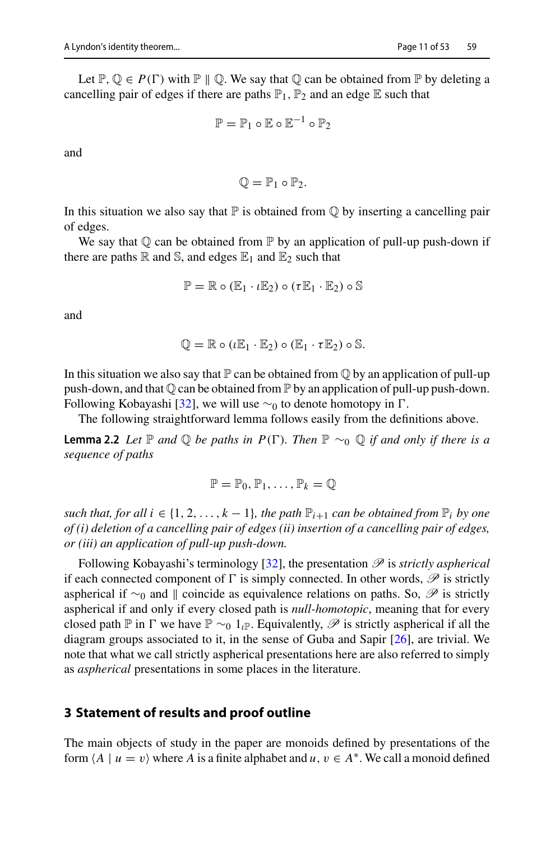Let  $\mathbb{P}, \mathbb{Q} \in P(\Gamma)$  with  $\mathbb{P} \parallel \mathbb{Q}$ . We say that  $\mathbb{Q}$  can be obtained from  $\mathbb{P}$  by deleting a cancelling pair of edges if there are paths  $\mathbb{P}_1$ ,  $\mathbb{P}_2$  and an edge  $\mathbb E$  such that

$$
\mathbb{P} = \mathbb{P}_1 \circ \mathbb{E} \circ \mathbb{E}^{-1} \circ \mathbb{P}_2
$$

and

$$
\mathbb{Q}=\mathbb{P}_1\circ\mathbb{P}_2.
$$

In this situation we also say that  $\mathbb P$  is obtained from  $\mathbb Q$  by inserting a cancelling pair of edges.

We say that  $\mathbb Q$  can be obtained from  $\mathbb P$  by an application of pull-up push-down if there are paths  $\mathbb R$  and  $\mathbb S$ , and edges  $\mathbb E_1$  and  $\mathbb E_2$  such that

$$
\mathbb{P} = \mathbb{R} \circ (\mathbb{E}_1 \cdot \iota \mathbb{E}_2) \circ (\tau \mathbb{E}_1 \cdot \mathbb{E}_2) \circ \mathbb{S}
$$

and

$$
\mathbb{Q} = \mathbb{R} \circ (\iota \mathbb{E}_1 \cdot \mathbb{E}_2) \circ (\mathbb{E}_1 \cdot \tau \mathbb{E}_2) \circ \mathbb{S}.
$$

In this situation we also say that  $\mathbb P$  can be obtained from  $\mathbb Q$  by an application of pull-up push-down, and that  $\mathbb Q$  can be obtained from  $\mathbb P$  by an application of pull-up push-down. Following Kobayashi [\[32\]](#page-52-12), we will use  $\sim_0$  to denote homotopy in Γ.

The following straightforward lemma follows easily from the definitions above.

**Lemma 2.2** *Let*  $\mathbb P$  *and*  $\mathbb Q$  *be paths in*  $P(\Gamma)$ *. Then*  $\mathbb P \sim_{\mathbb Q} \mathbb Q$  *if and only if there is a sequence of paths*

<span id="page-10-1"></span>
$$
\mathbb{P}=\mathbb{P}_0,\mathbb{P}_1,\ldots,\mathbb{P}_k=\mathbb{Q}
$$

*such that, for all i*  $\in \{1, 2, \ldots, k-1\}$ *, the path*  $\mathbb{P}_{i+1}$  *can be obtained from*  $\mathbb{P}_i$  *by one of (i) deletion of a cancelling pair of edges (ii) insertion of a cancelling pair of edges, or (iii) an application of pull-up push-down.*

Following Kobayashi's terminology [\[32](#page-52-12)], the presentation *P* is *strictly aspherical* if each connected component of  $\Gamma$  is simply connected. In other words,  $\mathscr P$  is strictly aspherical if ∼<sub>0</sub> and || coincide as equivalence relations on paths. So,  $\mathscr P$  is strictly aspherical if and only if every closed path is *null-homotopic*, meaning that for every closed path P in  $\Gamma$  we have  $\mathbb{P} \sim_0 1_{\ell} \mathbb{P}$ . Equivalently,  $\mathscr{P}$  is strictly aspherical if all the diagram groups associated to it, in the sense of Guba and Sapir [\[26](#page-51-17)], are trivial. We note that what we call strictly aspherical presentations here are also referred to simply as *aspherical* presentations in some places in the literature.

#### <span id="page-10-0"></span>**3 Statement of results and proof outline**

The main objects of study in the paper are monoids defined by presentations of the form  $\langle A \mid u = v \rangle$  where *A* is a finite alphabet and  $u, v \in A^*$ . We call a monoid defined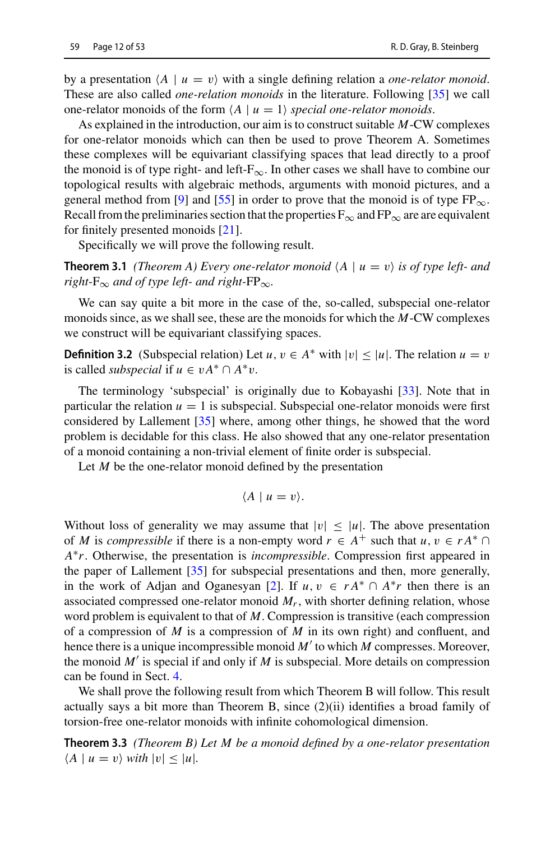by a presentation  $\langle A \mid u = v \rangle$  with a single defining relation a *one-relator monoid*. These are also called *one-relation monoids* in the literature. Following [\[35\]](#page-52-18) we call one-relator monoids of the form  $\langle A \mid u = 1 \rangle$  *special one-relator monoids.* 

As explained in the introduction, our aim is to construct suitable *M*-CW complexes for one-relator monoids which can then be used to prove Theorem A. Sometimes these complexes will be equivariant classifying spaces that lead directly to a proof the monoid is of type right- and left- $F_{\infty}$ . In other cases we shall have to combine our topological results with algebraic methods, arguments with monoid pictures, and a general method from [\[9](#page-51-19)] and [\[55\]](#page-52-19) in order to prove that the monoid is of type  $FP_{\infty}$ . Recall from the preliminaries section that the properties  $F_{\infty}$  and  $FP_{\infty}$  are are equivalent for finitely presented monoids [\[21](#page-51-15)].

<span id="page-11-0"></span>Specifically we will prove the following result.

**Theorem 3.1** *(Theorem A) Every one-relator monoid*  $\langle A | u = v \rangle$  *is of type left- and right-* $F_{\infty}$  *and of type left- and right-* $FP_{\infty}$ *.* 

We can say quite a bit more in the case of the, so-called, subspecial one-relator monoids since, as we shall see, these are the monoids for which the *M*-CW complexes we construct will be equivariant classifying spaces.

**Definition 3.2** (Subspecial relation) Let  $u, v \in A^*$  with  $|v| \le |u|$ . The relation  $u = v$ is called *subspecial* if  $u \in vA^* \cap A^*v$ .

The terminology 'subspecial' is originally due to Kobayashi [\[33\]](#page-52-13). Note that in particular the relation  $u = 1$  is subspecial. Subspecial one-relator monoids were first considered by Lallement [\[35](#page-52-18)] where, among other things, he showed that the word problem is decidable for this class. He also showed that any one-relator presentation of a monoid containing a non-trivial element of finite order is subspecial.

Let *M* be the one-relator monoid defined by the presentation

<span id="page-11-1"></span>
$$
\langle A \mid u=v \rangle.
$$

Without loss of generality we may assume that  $|v| \leq |u|$ . The above presentation of *M* is *compressible* if there is a non-empty word  $r \in A^+$  such that  $u, v \in rA^* \cap$ *A*∗*r*. Otherwise, the presentation is *incompressible*. Compression first appeared in the paper of Lallement [\[35](#page-52-18)] for subspecial presentations and then, more generally, in the work of Adjan and Oganesyan [\[2](#page-50-1)]. If  $u, v \in rA^* \cap A^*r$  then there is an associated compressed one-relator monoid *Mr*, with shorter defining relation, whose word problem is equivalent to that of *M*. Compression is transitive (each compression of a compression of *M* is a compression of *M* in its own right) and confluent, and hence there is a unique incompressible monoid *M* to which *M* compresses. Moreover, the monoid  $M'$  is special if and only if  $M$  is subspecial. More details on compression can be found in Sect. [4.](#page-16-0)

We shall prove the following result from which Theorem B will follow. This result actually says a bit more than Theorem B, since  $(2)(ii)$  identifies a broad family of torsion-free one-relator monoids with infinite cohomological dimension.

**Theorem 3.3** *(Theorem B) Let M be a monoid defined by a one-relator presentation*  $\langle A \mid u = v \rangle$  with  $|v| \leq |u|$ .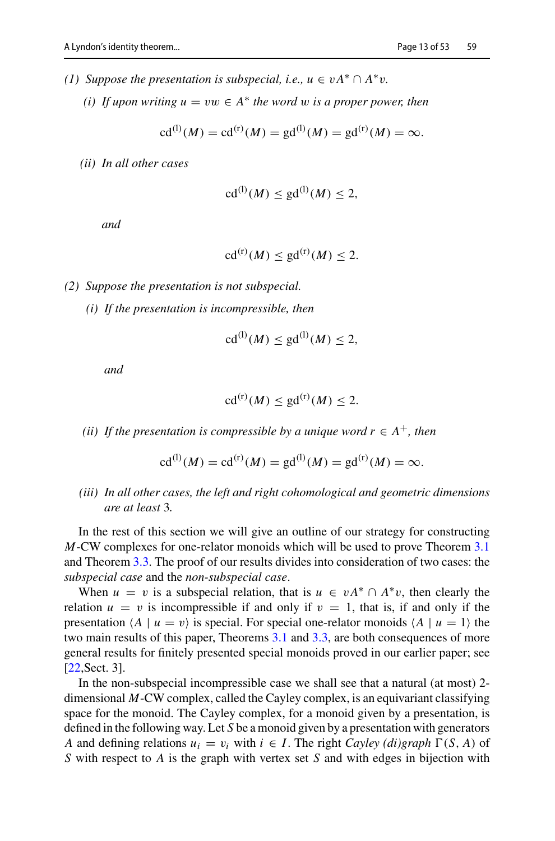- *(1)* Suppose the presentation is subspecial, i.e.,  $u \in vA^* \cap A^*v$ .
	- *(i)* If upon writing  $u = vw \in A^*$  the word w is a proper power, then

$$
cd^{(1)}(M) = cd^{(r)}(M) = gd^{(1)}(M) = gd^{(r)}(M) = \infty.
$$

*(ii) In all other cases*

$$
\mathrm{cd}^{(1)}(M) \le \mathrm{gd}^{(1)}(M) \le 2,
$$

*and*

$$
\mathrm{cd}^{(\mathrm{r})}(M) \le \mathrm{gd}^{(\mathrm{r})}(M) \le 2.
$$

- *(2) Suppose the presentation is not subspecial.*
	- *(i) If the presentation is incompressible, then*

$$
\mathrm{cd}^{(1)}(M) \le \mathrm{gd}^{(1)}(M) \le 2,
$$

*and*

$$
\mathrm{cd}^{(\mathrm{r})}(M) \le \mathrm{gd}^{(\mathrm{r})}(M) \le 2.
$$

*(ii)* If the presentation is compressible by a unique word  $r \in A^+$ , then

$$
cd^{(1)}(M) = cd^{(r)}(M) = gd^{(1)}(M) = gd^{(r)}(M) = \infty.
$$

*(iii) In all other cases, the left and right cohomological and geometric dimensions are at least* 3*.*

In the rest of this section we will give an outline of our strategy for constructing *M*-CW complexes for one-relator monoids which will be used to prove Theorem [3.1](#page-11-0) and Theorem [3.3.](#page-11-1) The proof of our results divides into consideration of two cases: the *subspecial case* and the *non-subspecial case*.

When  $u = v$  is a subspecial relation, that is  $u \in vA^* \cap A^*v$ , then clearly the relation  $u = v$  is incompressible if and only if  $v = 1$ , that is, if and only if the presentation  $\langle A \mid u = v \rangle$  is special. For special one-relator monoids  $\langle A \mid u = 1 \rangle$  the two main results of this paper, Theorems [3.1](#page-11-0) and [3.3,](#page-11-1) are both consequences of more general results for finitely presented special monoids proved in our earlier paper; see [\[22](#page-51-16),Sect. 3].

In the non-subspecial incompressible case we shall see that a natural (at most) 2 dimensional *M*-CW complex, called the Cayley complex, is an equivariant classifying space for the monoid. The Cayley complex, for a monoid given by a presentation, is defined in the following way. Let *S* be a monoid given by a presentation with generators *A* and defining relations  $u_i = v_i$  with  $i \in I$ . The right *Cayley (di)graph*  $\Gamma(S, A)$  of *S* with respect to *A* is the graph with vertex set *S* and with edges in bijection with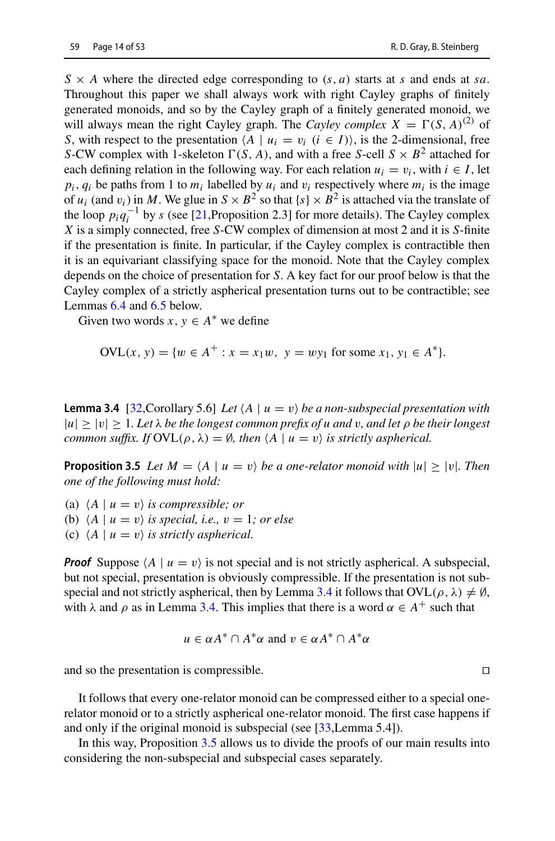$S \times A$  where the directed edge corresponding to  $(s, a)$  starts at *s* and ends at *sa*. Throughout this paper we shall always work with right Cayley graphs of finitely generated monoids, and so by the Cayley graph of a finitely generated monoid, we will always mean the right Cayley graph. The *Cayley complex*  $X = \Gamma(S, A)^{(2)}$  of *S*, with respect to the presentation  $\langle A \mid u_i = v_i \ (i \in I) \rangle$ , is the 2-dimensional, free *S*-CW complex with 1-skeleton  $\Gamma(S, A)$ , and with a free *S*-cell  $S \times B^2$  attached for each defining relation in the following way. For each relation  $u_i = v_i$ , with  $i \in I$ , let  $p_i$ ,  $q_i$  be paths from 1 to  $m_i$  labelled by  $u_i$  and  $v_i$  respectively where  $m_i$  is the image of  $u_i$  (and  $v_i$ ) in *M*. We glue in  $S \times B^2$  so that  $\{s\} \times B^2$  is attached via the translate of the loop  $p_i q_i^{-1}$  by *s* (see [\[21,](#page-51-15)Proposition 2.3] for more details). The Cayley complex *X* is a simply connected, free *S*-CW complex of dimension at most 2 and it is *S*-finite if the presentation is finite. In particular, if the Cayley complex is contractible then it is an equivariant classifying space for the monoid. Note that the Cayley complex depends on the choice of presentation for *S*. A key fact for our proof below is that the Cayley complex of a strictly aspherical presentation turns out to be contractible; see Lemmas [6.4](#page-35-0) and [6.5](#page-35-1) below.

Given two words  $x, y \in A^*$  we define

<span id="page-13-0"></span>
$$
OVL(x, y) = \{w \in A^+ : x = x_1w, \ y = wy_1 \text{ for some } x_1, y_1 \in A^*\}.
$$

**Lemma 3.4** [\[32,](#page-52-12) Corollary 5.6] *Let*  $\langle A \mid u = v \rangle$  *be a non-subspecial presentation with*  $|u| \ge |v| \ge 1$ *. Let*  $\lambda$  *be the longest common prefix of u and* v, and let  $\rho$  *be their longest common suffix.* If  $\text{OVL}(\rho, \lambda) = \emptyset$ , then  $\langle A \mid u = v \rangle$  is strictly aspherical.

<span id="page-13-1"></span>**Proposition 3.5** *Let*  $M = \langle A \mid u = v \rangle$  *be a one-relator monoid with*  $|u| \ge |v|$ *. Then one of the following must hold:*

- (a)  $\langle A \mid u = v \rangle$  *is compressible; or*
- (b)  $\langle A \mid u = v \rangle$  *is special, i.e.,*  $v = 1$ *; or else*
- (c)  $\langle A \mid u = v \rangle$  *is strictly aspherical.*

**Proof** Suppose  $\langle A \mid u = v \rangle$  is not special and is not strictly aspherical. A subspecial, but not special, presentation is obviously compressible. If the presentation is not sub-special and not strictly aspherical, then by Lemma [3.4](#page-13-0) it follows that  $OVL(\rho, \lambda) \neq \emptyset$ , with  $\lambda$  and  $\rho$  as in Lemma [3.4.](#page-13-0) This implies that there is a word  $\alpha \in A^+$  such that

$$
u \in \alpha A^* \cap A^* \alpha
$$
 and  $v \in \alpha A^* \cap A^* \alpha$ 

and so the presentation is compressible.  $\square$ 

It follows that every one-relator monoid can be compressed either to a special onerelator monoid or to a strictly aspherical one-relator monoid. The first case happens if and only if the original monoid is subspecial (see [\[33](#page-52-13), Lemma 5.4]).

In this way, Proposition [3.5](#page-13-1) allows us to divide the proofs of our main results into considering the non-subspecial and subspecial cases separately.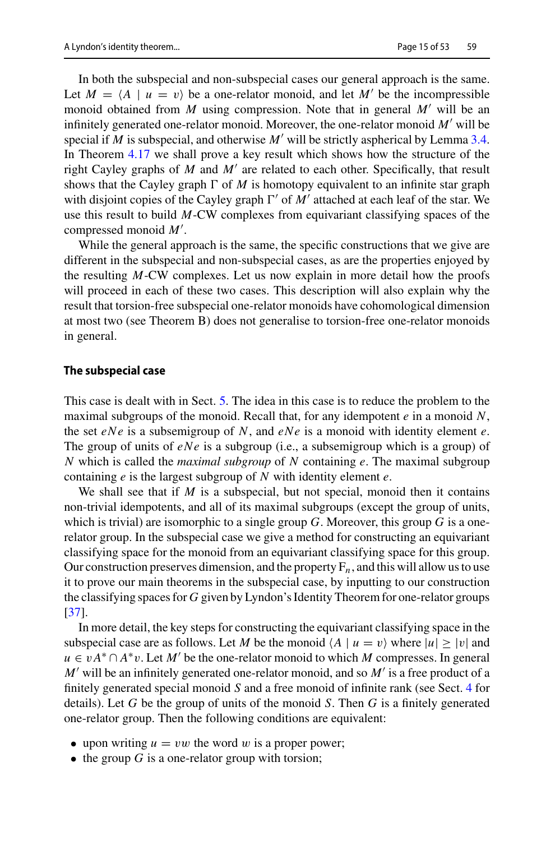In both the subspecial and non-subspecial cases our general approach is the same. Let  $M = \langle A \mid u = v \rangle$  be a one-relator monoid, and let M' be the incompressible monoid obtained from *M* using compression. Note that in general  $M'$  will be an infinitely generated one-relator monoid. Moreover, the one-relator monoid *M'* will be special if  $M$  is subspecial, and otherwise  $M'$  will be strictly aspherical by Lemma [3.4.](#page-13-0) In Theorem [4.17](#page-25-0) we shall prove a key result which shows how the structure of the right Cayley graphs of  $M$  and  $M'$  are related to each other. Specifically, that result shows that the Cayley graph  $\Gamma$  of *M* is homotopy equivalent to an infinite star graph with disjoint copies of the Cayley graph  $\Gamma'$  of M' attached at each leaf of the star. We use this result to build *M*-CW complexes from equivariant classifying spaces of the compressed monoid *M* .

While the general approach is the same, the specific constructions that we give are different in the subspecial and non-subspecial cases, as are the properties enjoyed by the resulting *M*-CW complexes. Let us now explain in more detail how the proofs will proceed in each of these two cases. This description will also explain why the result that torsion-free subspecial one-relator monoids have cohomological dimension at most two (see Theorem B) does not generalise to torsion-free one-relator monoids in general.

#### **The subspecial case**

This case is dealt with in Sect. [5.](#page-27-0) The idea in this case is to reduce the problem to the maximal subgroups of the monoid. Recall that, for any idempotent *e* in a monoid *N*, the set *eNe* is a subsemigroup of *N*, and *eNe* is a monoid with identity element *e*. The group of units of *eNe* is a subgroup (i.e., a subsemigroup which is a group) of *N* which is called the *maximal subgroup* of *N* containing *e*. The maximal subgroup containing *e* is the largest subgroup of *N* with identity element *e*.

We shall see that if *M* is a subspecial, but not special, monoid then it contains non-trivial idempotents, and all of its maximal subgroups (except the group of units, which is trivial) are isomorphic to a single group *G*. Moreover, this group *G* is a onerelator group. In the subspecial case we give a method for constructing an equivariant classifying space for the monoid from an equivariant classifying space for this group. Our construction preserves dimension, and the property  $F_n$ , and this will allow us to use it to prove our main theorems in the subspecial case, by inputting to our construction the classifying spaces for *G* given by Lyndon's Identity Theorem for one-relator groups [\[37](#page-52-15)].

In more detail, the key steps for constructing the equivariant classifying space in the subspecial case are as follows. Let *M* be the monoid  $\langle A | u = v \rangle$  where  $|u| \ge |v|$  and  $u \in vA^* \cap A^*v$ . Let *M'* be the one-relator monoid to which *M* compresses. In general *M* will be an infinitely generated one-relator monoid, and so *M* is a free product of a finitely generated special monoid *S* and a free monoid of infinite rank (see Sect. [4](#page-16-0) for details). Let *G* be the group of units of the monoid *S*. Then *G* is a finitely generated one-relator group. Then the following conditions are equivalent:

- upon writing  $u = vw$  the word w is a proper power;
- $\bullet$  the group *G* is a one-relator group with torsion;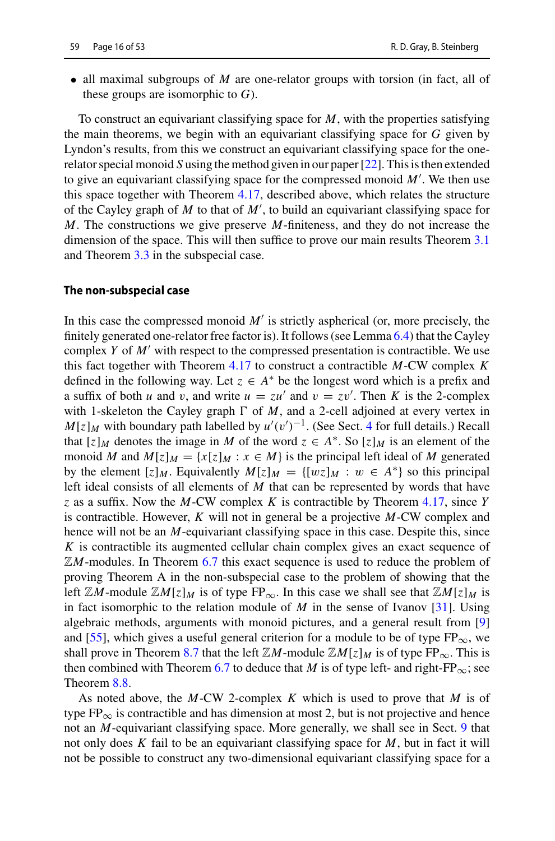• all maximal subgroups of *M* are one-relator groups with torsion (in fact, all of these groups are isomorphic to *G*).

To construct an equivariant classifying space for *M*, with the properties satisfying the main theorems, we begin with an equivariant classifying space for *G* given by Lyndon's results, from this we construct an equivariant classifying space for the onerelator special monoid *S* using the method given in our paper [\[22\]](#page-51-16). This is then extended to give an equivariant classifying space for the compressed monoid *M* . We then use this space together with Theorem [4.17,](#page-25-0) described above, which relates the structure of the Cayley graph of *M* to that of *M* , to build an equivariant classifying space for *M*. The constructions we give preserve *M*-finiteness, and they do not increase the dimension of the space. This will then suffice to prove our main results Theorem [3.1](#page-11-0) and Theorem [3.3](#page-11-1) in the subspecial case.

#### **The non-subspecial case**

In this case the compressed monoid  $M'$  is strictly aspherical (or, more precisely, the finitely generated one-relator free factor is). It follows (see Lemma [6.4\)](#page-35-0) that the Cayley complex *Y* of *M'* with respect to the compressed presentation is contractible. We use this fact together with Theorem [4.17](#page-25-0) to construct a contractible *M*-CW complex *K* defined in the following way. Let  $z \in A^*$  be the longest word which is a prefix and a suffix of both *u* and *v*, and write  $u = zu'$  and  $v = zv'$ . Then *K* is the 2-complex with 1-skeleton the Cayley graph  $\Gamma$  of *M*, and a 2-cell adjoined at every vertex in  $M[z]_M$  with boundary path labelled by  $u'(v')^{-1}$ . (See Sect. [4](#page-16-0) for full details.) Recall that  $[z]_M$  denotes the image in M of the word  $z \in A^*$ . So  $[z]_M$  is an element of the monoid *M* and  $M[z]_M = \{x[z]_M : x \in M\}$  is the principal left ideal of *M* generated by the element  $[z]_M$ . Equivalently  $M[z]_M = \{ [wz]_M : w \in A^* \}$  so this principal left ideal consists of all elements of *M* that can be represented by words that have *z* as a suffix. Now the *M*-CW complex *K* is contractible by Theorem [4.17,](#page-25-0) since *Y* is contractible. However, *K* will not in general be a projective *M*-CW complex and hence will not be an *M*-equivariant classifying space in this case. Despite this, since *K* is contractible its augmented cellular chain complex gives an exact sequence of ZM-modules. In Theorem [6.7](#page-36-0) this exact sequence is used to reduce the problem of proving Theorem A in the non-subspecial case to the problem of showing that the left  $\mathbb{Z}M$ -module  $\mathbb{Z}M[z]_M$  is of type  $FP_\infty$ . In this case we shall see that  $\mathbb{Z}M[z]_M$  is in fact isomorphic to the relation module of  $M$  in the sense of Ivanov [\[31](#page-51-14)]. Using algebraic methods, arguments with monoid pictures, and a general result from [\[9\]](#page-51-19) and [\[55](#page-52-19)], which gives a useful general criterion for a module to be of type  $FP_{\infty}$ , we shall prove in Theorem [8.7](#page-46-0) that the left  $\mathbb{Z}M$ -module  $\mathbb{Z}M[z]_M$  is of type  $FP_{\infty}$ . This is then combined with Theorem [6.7](#page-36-0) to deduce that *M* is of type left- and right-FP<sub>∞</sub>; see Theorem [8.8.](#page-47-1)

As noted above, the *M*-CW 2-complex *K* which is used to prove that *M* is of type  $FP_{\infty}$  is contractible and has dimension at most 2, but is not projective and hence not an *M*-equivariant classifying space. More generally, we shall see in Sect. [9](#page-47-0) that not only does *K* fail to be an equivariant classifying space for *M*, but in fact it will not be possible to construct any two-dimensional equivariant classifying space for a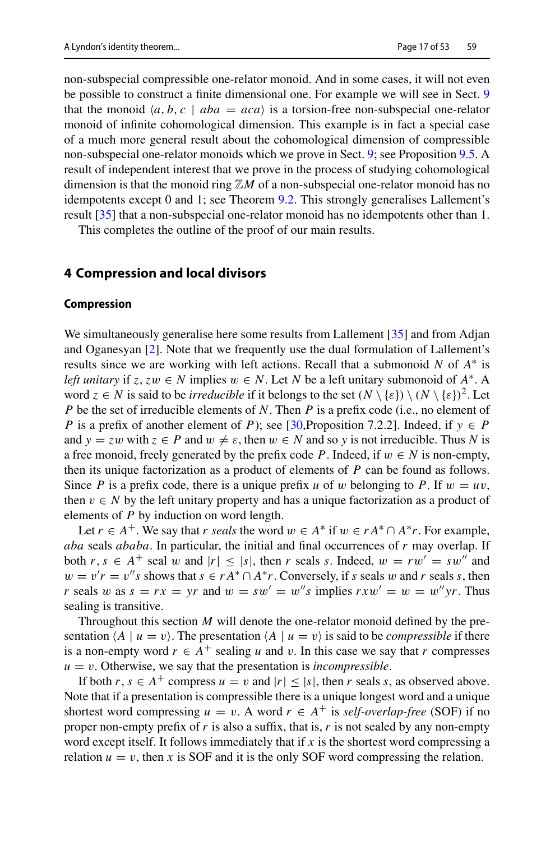non-subspecial compressible one-relator monoid. And in some cases, it will not even be possible to construct a finite dimensional one. For example we will see in Sect. [9](#page-47-0) that the monoid  $\langle a, b, c \mid aba = aca \rangle$  is a torsion-free non-subspecial one-relator monoid of infinite cohomological dimension. This example is in fact a special case of a much more general result about the cohomological dimension of compressible non-subspecial one-relator monoids which we prove in Sect. [9;](#page-47-0) see Proposition [9.5.](#page-50-2) A result of independent interest that we prove in the process of studying cohomological dimension is that the monoid ring Z*M* of a non-subspecial one-relator monoid has no idempotents except 0 and 1; see Theorem [9.2.](#page-48-0) This strongly generalises Lallement's result [\[35\]](#page-52-18) that a non-subspecial one-relator monoid has no idempotents other than 1.

This completes the outline of the proof of our main results.

#### <span id="page-16-0"></span>**4 Compression and local divisors**

#### **Compression**

We simultaneously generalise here some results from Lallement [\[35\]](#page-52-18) and from Adjan and Oganesyan [\[2](#page-50-1)]. Note that we frequently use the dual formulation of Lallement's results since we are working with left actions. Recall that a submonoid *N* of *A*∗ is *left unitary* if *z*, *zw*  $\in$  *N* implies  $w \in N$ . Let *N* be a left unitary submonoid of  $A^*$ . A word  $z \in N$  is said to be *irreducible* if it belongs to the set  $(N \setminus \{\varepsilon\}) \setminus (N \setminus \{\varepsilon\})^2$ . Let *P* be the set of irreducible elements of *N*. Then *P* is a prefix code (i.e., no element of *P* is a prefix of another element of *P*); see [\[30,](#page-51-23)Proposition 7.2.2]. Indeed, if  $y \in P$ and  $y = zw$  with  $z \in P$  and  $w \neq \varepsilon$ , then  $w \in N$  and so y is not irreducible. Thus N is a free monoid, freely generated by the prefix code *P*. Indeed, if  $w \in N$  is non-empty, then its unique factorization as a product of elements of *P* can be found as follows. Since *P* is a prefix code, there is a unique prefix *u* of *w* belonging to *P*. If  $w = uv$ , then  $v \in N$  by the left unitary property and has a unique factorization as a product of elements of *P* by induction on word length.

Let  $r \in A^+$ . We say that *r seals* the word  $w \in A^*$  if  $w \in rA^* \cap A^*r$ . For example, *aba* seals *ababa*. In particular, the initial and final occurrences of *r* may overlap. If both  $r, s \in A^+$  seal w and  $|r| \leq |s|$ , then *r* seals *s*. Indeed,  $w = rw' = sw''$  and  $w = v'r = v''s$  shows that  $s \in rA^* \cap A^*r$ . Conversely, if *s* seals *w* and *r* seals *s*, then *r* seals w as  $s = rx = yr$  and  $w = sw' = w''s$  implies  $rxw' = w = w''yr$ . Thus sealing is transitive.

Throughout this section *M* will denote the one-relator monoid defined by the presentation  $\langle A \mid u = v \rangle$ . The presentation  $\langle A \mid u = v \rangle$  is said to be *compressible* if there is a non-empty word  $r \in A^+$  sealing *u* and *v*. In this case we say that *r* compresses  $u = v$ . Otherwise, we say that the presentation is *incompressible*.

If both  $r, s \in A^+$  compress  $u = v$  and  $|r| \leq |s|$ , then  $r$  seals  $s$ , as observed above. Note that if a presentation is compressible there is a unique longest word and a unique shortest word compressing  $u = v$ . A word  $r \in A^+$  is *self-overlap-free* (SOF) if no proper non-empty prefix of *r* is also a suffix, that is, *r* is not sealed by any non-empty word except itself. It follows immediately that if *x* is the shortest word compressing a relation  $u = v$ , then x is SOF and it is the only SOF word compressing the relation.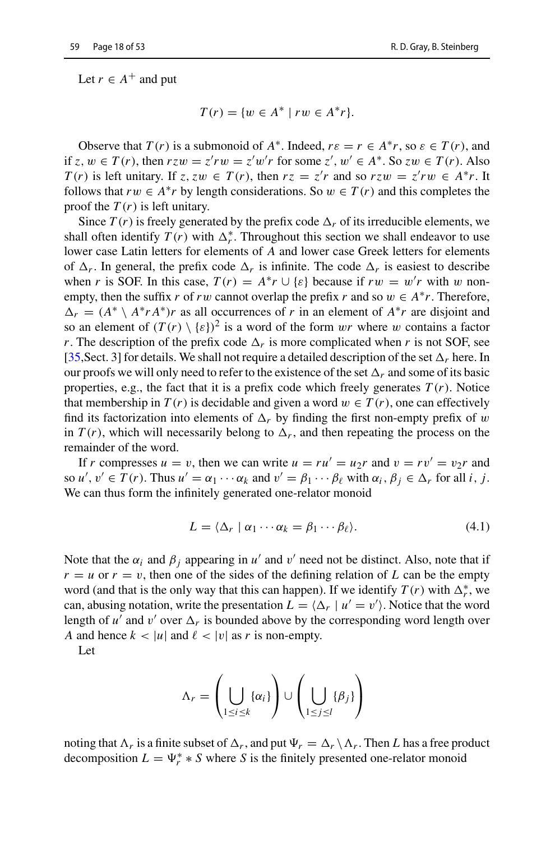Let  $r \in A^+$  and put

$$
T(r) = \{ w \in A^* \mid rw \in A^*r \}.
$$

Observe that  $T(r)$  is a submonoid of  $A^*$ . Indeed,  $r \varepsilon = r \in A^*r$ , so  $\varepsilon \in T(r)$ , and if  $z, w \in T(r)$ , then  $rzw = z'rw = z'w'r$  for some  $z', w' \in A^*$ . So  $zw \in T(r)$ . Also *T*(*r*) is left unitary. If *z*, *z*w ∈ *T*(*r*), then  $rz = z'r$  and so  $rzw = z'rw \in A^*r$ . It follows that  $rw \in A^*r$  by length considerations. So  $w \in T(r)$  and this completes the proof the *T* (*r*) is left unitary.

Since  $T(r)$  is freely generated by the prefix code  $\Delta_r$  of its irreducible elements, we shall often identify  $T(r)$  with  $\Delta_r^*$ . Throughout this section we shall endeavor to use lower case Latin letters for elements of *A* and lower case Greek letters for elements of  $\Delta_r$ . In general, the prefix code  $\Delta_r$  is infinite. The code  $\Delta_r$  is easiest to describe when *r* is SOF. In this case,  $T(r) = A^*r \cup \{\varepsilon\}$  because if  $rw = w'r$  with w nonempty, then the suffix *r* of *rw* cannot overlap the prefix *r* and so  $w \in A^*r$ . Therefore,  $\Delta_r = (A^* \setminus A^* r A^*)r$  as all occurrences of *r* in an element of  $A^* r$  are disjoint and so an element of  $(T(r) \setminus \{\varepsilon\})^2$  is a word of the form wr where w contains a factor *r*. The description of the prefix code  $\Delta_r$  is more complicated when *r* is not SOF, see [\[35](#page-52-18), Sect. 3] for details. We shall not require a detailed description of the set  $\Delta_r$  here. In our proofs we will only need to refer to the existence of the set  $\Delta_r$  and some of its basic properties, e.g., the fact that it is a prefix code which freely generates  $T(r)$ . Notice that membership in  $T(r)$  is decidable and given a word  $w \in T(r)$ , one can effectively find its factorization into elements of  $\Delta_r$  by finding the first non-empty prefix of w in  $T(r)$ , which will necessarily belong to  $\Delta_r$ , and then repeating the process on the remainder of the word.

If *r* compresses  $u = v$ , then we can write  $u = ru' = u_2r$  and  $v = rv' = v_2r$  and so  $u', v' \in T(r)$ . Thus  $u' = \alpha_1 \cdots \alpha_k$  and  $v' = \beta_1 \cdots \beta_\ell$  with  $\alpha_i, \beta_j \in \Delta_r$  for all *i*, *j*. We can thus form the infinitely generated one-relator monoid

<span id="page-17-0"></span>
$$
L = \langle \Delta_r \mid \alpha_1 \cdots \alpha_k = \beta_1 \cdots \beta_\ell \rangle. \tag{4.1}
$$

Note that the  $\alpha_i$  and  $\beta_j$  appearing in *u'* and v' need not be distinct. Also, note that if  $r = u$  or  $r = v$ , then one of the sides of the defining relation of L can be the empty word (and that is the only way that this can happen). If we identify  $T(r)$  with  $\Delta_r^*$ , we can, abusing notation, write the presentation  $L = \langle \Delta_r | u' = v' \rangle$ . Notice that the word length of  $u'$  and  $v'$  over  $\Delta_r$  is bounded above by the corresponding word length over *A* and hence  $k < |u|$  and  $\ell < |v|$  as *r* is non-empty.

Let

$$
\Lambda_r = \left(\bigcup_{1 \leq i \leq k} \{\alpha_i\}\right) \cup \left(\bigcup_{1 \leq j \leq l} \{\beta_j\}\right)
$$

noting that  $\Lambda_r$  is a finite subset of  $\Delta_r$ , and put  $\Psi_r = \Delta_r \setminus \Lambda_r$ . Then *L* has a free product decomposition  $L = \Psi_r^* * S$  where *S* is the finitely presented one-relator monoid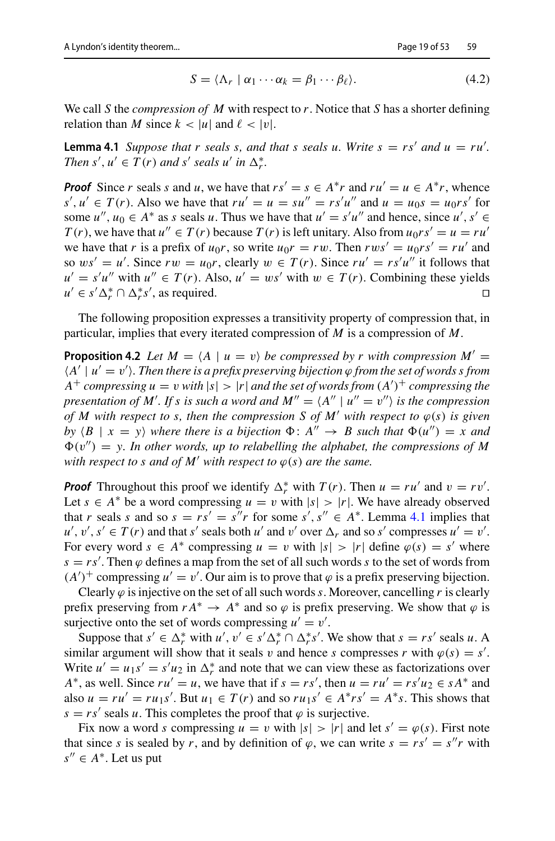<span id="page-18-2"></span><span id="page-18-1"></span><span id="page-18-0"></span>
$$
S = \langle \Lambda_r \mid \alpha_1 \cdots \alpha_k = \beta_1 \cdots \beta_\ell \rangle. \tag{4.2}
$$

We call *S* the *compression of M* with respect to *r*. Notice that *S* has a shorter defining relation than *M* since  $k < |u|$  and  $\ell < |v|$ .

**Lemma 4.1** *Suppose that r seals s, and that s seals u. Write*  $s = rs'$  *and*  $u = ru'$ *. Then*  $s'$ ,  $u' \in T(r)$  *and*  $s'$  *seals*  $u'$  *in*  $\Delta_r^*$ .

*Proof* Since *r* seals *s* and *u*, we have that  $rs' = s \in A^*r$  and  $ru' = u \in A^*r$ , whence  $s', u' \in T(r)$ . Also we have that  $ru' = u = su'' = rs'u''$  and  $u = u_0s = u_0rs'$  for some  $u''$ ,  $u_0 \in A^*$  as *s* seals *u*. Thus we have that  $u' = s'u''$  and hence, since  $u'$ ,  $s' \in A^*$ *T*(*r*), we have that  $u'' \in T(r)$  because  $T(r)$  is left unitary. Also from  $u_0 r s' = u = r u'$ we have that *r* is a prefix of  $u_0r$ , so write  $u_0r = rw$ . Then  $rws' = u_0rs' = ru'$  and so  $ws' = u'$ . Since  $rw = u_0r$ , clearly  $w \in T(r)$ . Since  $ru' = rs'u''$  it follows that  $u' = s'u''$  with  $u'' \in T(r)$ . Also,  $u' = ws'$  with  $w \in T(r)$ . Combining these yields  $u' \in s' \Delta_r^* \cap \Delta_r^* s'$ , as required.

The following proposition expresses a transitivity property of compression that, in particular, implies that every iterated compression of *M* is a compression of *M*.

**Proposition 4.2** *Let*  $M = \langle A | u = v \rangle$  *be compressed by r with compression*  $M' =$  $\langle A' | u' = v' \rangle$ . Then there is a prefix preserving bijection  $\varphi$  from the set of words s from *A*<sup>+</sup> *compressing*  $u = v$  *with*  $|s| > |r|$  *and the set of words from*  $(A')^+$  *compressing the presentation of M'. If s is such a word and*  $M'' = \langle A'' | u'' = v'' \rangle$  *is the compression of M with respect to s, then the compression S of M' with respect to*  $\varphi(s)$  *is given by*  $\langle B | x = y \rangle$  *where there is a bijection*  $\Phi : A'' \to B$  *such that*  $\Phi(u'') = x$  *and*  $\Phi(v'') = v$ . In other words, up to relabelling the alphabet, the compressions of M *with respect to s and of M' with respect to*  $\varphi(s)$  *are the same.* 

*Proof* Throughout this proof we identify  $\Delta_r^*$  with  $T(r)$ . Then  $u = ru'$  and  $v = rv'$ . Let  $s \in A^*$  be a word compressing  $u = v$  with  $|s| > |r|$ . We have already observed that *r* seals *s* and so  $s = rs' = s''r$  for some  $s', s'' \in A^*$ . Lemma [4.1](#page-18-0) implies that  $u', v', s' \in T(r)$  and that *s'* seals both *u'* and *v'* over  $\Delta_r$  and so *s'* compresses  $u' = v'$ . For every word  $s \in A^*$  compressing  $u = v$  with  $|s| > |r|$  define  $\varphi(s) = s'$  where  $s = rs'$ . Then  $\varphi$  defines a map from the set of all such words *s* to the set of words from  $(A')^+$  compressing  $u' = v'$ . Our aim is to prove that  $\varphi$  is a prefix preserving bijection.

Clearly  $\varphi$  is injective on the set of all such words *s*. Moreover, cancelling *r* is clearly prefix preserving from  $r A^* \to A^*$  and so  $\varphi$  is prefix preserving. We show that  $\varphi$  is surjective onto the set of words compressing  $u' = v'$ .

Suppose that  $s' \in \Delta_r^*$  with  $u', v' \in s'\Delta_r^* \cap \Delta_r^*s'$ . We show that  $s = rs'$  seals  $u$ . similar argument will show that it seals *v* and hence *s* compresses *r* with  $\varphi(s) = s'$ . Write  $u' = u_1 s' = s' u_2$  in  $\Delta_r^*$  and note that we can view these as factorizations over  $A^*$ , as well. Since  $ru' = u$ , we have that if  $s = rs'$ , then  $u = ru' = rs'u_2 \in sA^*$  and also  $u = ru' = ru_1s'$ . But  $u_1 \in T(r)$  and so  $ru_1s' \in A^*rs' = A^*s$ . This shows that  $s = rs'$  seals *u*. This completes the proof that  $\varphi$  is surjective.

Fix now a word *s* compressing  $u = v$  with  $|s| > |r|$  and let  $s' = \varphi(s)$ . First note that since *s* is sealed by *r*, and by definition of  $\varphi$ , we can write  $s = rs' = s''r$  with  $s'' \in A^*$ . Let us put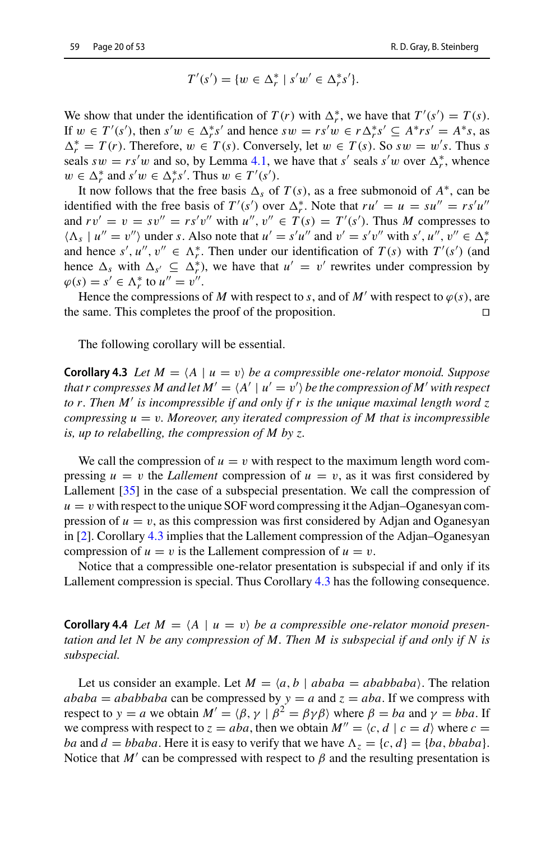$$
T'(s') = \{ w \in \Delta_r^* \mid s'w' \in \Delta_r^*s' \}.
$$

We show that under the identification of  $T(r)$  with  $\Delta_r^*$ , we have that  $T'(s') = T(s)$ . If  $w \in T'(s')$ , then  $s'w \in \Delta_r^*s'$  and hence  $sw = rs'w \in r\Delta_r^*s' \subseteq A^*rs' = A^*s$ , as  $\Delta_r^* = T(r)$ . Therefore,  $w \in T(s)$ . Conversely, let  $w \in T(s)$ . So  $sw = w's$ . Thus *s* seals  $sw = rs'w$  and so, by Lemma [4.1,](#page-18-0) we have that *s'* seals *s'w* over  $\Delta_r^*$ , whence  $w \in \Delta_r^*$  and  $s'w \in \Delta_r^*s'$ . Thus  $w \in T'(s')$ .

It now follows that the free basis  $\Delta_s$  of  $T(s)$ , as a free submonoid of  $A^*$ , can be identified with the free basis of  $T'(s')$  over  $\Delta_r^*$ . Note that  $ru' = u = su'' = rs'u''$ and  $rv' = v = sv'' = rs'v''$  with  $u''$ ,  $v'' \in T(s) = T'(s')$ . Thus *M* compresses to  $\langle \Lambda_s | u'' = v'' \rangle$  under *s*. Also note that  $u' = s'u''$  and  $v' = s'v''$  with  $s', u'', v'' \in \Delta_r^*$ and hence  $s', u'', v'' \in \Lambda_r^*$ . Then under our identification of  $T(s)$  with  $T'(s')$  (and hence  $\Delta_s$  with  $\Delta_{s'} \subseteq \Delta_r^*$ , we have that  $u' = v'$  rewrites under compression by  $\varphi(s) = s' \in \Lambda_r^*$  to  $u'' = v''$ .

Hence the compressions of *M* with respect to *s*, and of *M'* with respect to  $\varphi(s)$ , are the same. This completes the proof of the proposition.  $\Box$ 

<span id="page-19-0"></span>The following corollary will be essential.

**Corollary 4.3** *Let*  $M = \langle A \mid u = v \rangle$  *be a compressible one-relator monoid. Suppose that r compresses M and let*  $M' = \langle A' | u' = v' \rangle$  *be the compression of M' with respect to r. Then M is incompressible if and only if r is the unique maximal length word z compressing*  $u = v$ *. Moreover, any iterated compression of M that is incompressible is, up to relabelling, the compression of M by z.*

We call the compression of  $u = v$  with respect to the maximum length word compressing  $u = v$  the *Lallement* compression of  $u = v$ , as it was first considered by Lallement [\[35](#page-52-18)] in the case of a subspecial presentation. We call the compression of  $u = v$  with respect to the unique SOF word compressing it the Adjan–Oganesyan compression of  $u = v$ , as this compression was first considered by Adjan and Oganesyan in [\[2\]](#page-50-1). Corollary [4.3](#page-19-0) implies that the Lallement compression of the Adjan–Oganesyan compression of  $u = v$  is the Lallement compression of  $u = v$ .

<span id="page-19-1"></span>Notice that a compressible one-relator presentation is subspecial if and only if its Lallement compression is special. Thus Corollary [4.3](#page-19-0) has the following consequence.

**Corollary 4.4** Let  $M = \langle A \mid u = v \rangle$  be a compressible one-relator monoid presen*tation and let N be any compression of M. Then M is subspecial if and only if N is subspecial.*

Let us consider an example. Let  $M = \langle a, b \mid ababa = ababbaba \rangle$ . The relation  $ababa = ababbaba$  can be compressed by  $y = a$  and  $z = aba$ . If we compress with respect to *y* = *a* we obtain  $M' = \langle \beta, \gamma | \beta^2 = \beta \gamma \beta \rangle$  where  $\beta = ba$  and  $\gamma = bba$ . If we compress with respect to  $z = aba$ , then we obtain  $M'' = \langle c, d \mid c = d \rangle$  where  $c =$ *ba* and  $d = bbaba$ . Here it is easy to verify that we have  $\Lambda_z = \{c, d\} = \{ba, bbaba\}$ . Notice that  $M'$  can be compressed with respect to  $\beta$  and the resulting presentation is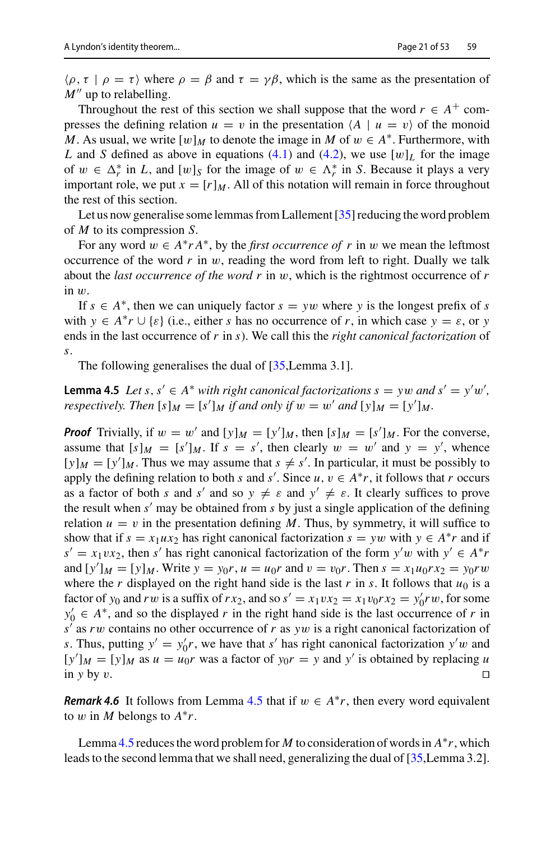$\langle \rho, \tau | \rho = \tau \rangle$  where  $\rho = \beta$  and  $\tau = \gamma \beta$ , which is the same as the presentation of  $M''$  up to relabelling.

Throughout the rest of this section we shall suppose that the word  $r \in A^+$  compresses the defining relation  $u = v$  in the presentation  $\langle A | u = v \rangle$  of the monoid *M*. As usual, we write  $[w]_M$  to denote the image in *M* of  $w \in A^*$ . Furthermore, with *L* and *S* defined as above in equations [\(4.1\)](#page-17-0) and [\(4.2\)](#page-18-1), we use  $[w]_L$  for the image of  $w \in \Delta_r^*$  in *L*, and  $[w]_S$  for the image of  $w \in \Lambda_r^*$  in *S*. Because it plays a very important role, we put  $x = [r]_M$ . All of this notation will remain in force throughout the rest of this section.

Let us now generalise some lemmas from Lallement [\[35](#page-52-18)] reducing the word problem of *M* to its compression *S*.

For any word  $w \in A^* r A^*$ , by the *first occurrence of* r in w we mean the leftmost occurrence of the word  $r$  in  $w$ , reading the word from left to right. Dually we talk about the *last occurrence of the word r* in w, which is the rightmost occurrence of *r* in w.

If  $s \in A^*$ , then we can uniquely factor  $s = yw$  where y is the longest prefix of *s* with  $y \in A^*r \cup \{\varepsilon\}$  (i.e., either *s* has no occurrence of *r*, in which case  $y = \varepsilon$ , or *y* ends in the last occurrence of *r* in *s*). We call this the *right canonical factorization* of *s*.

<span id="page-20-0"></span>The following generalises the dual of [\[35](#page-52-18), Lemma 3.1].

**Lemma 4.5** *Let*  $s, s' \in A^*$  *with right canonical factorizations*  $s = yw$  *and*  $s' = y'w'$ , *respectively. Then*  $[s]_M = [s']_M$  *if and only if*  $w = w'$  *and*  $[y]_M = [y']_M$ *.* 

*Proof* Trivially, if  $w = w'$  and  $[y]_M = [y']_M$ , then  $[s]_M = [s']_M$ . For the converse, assume that  $[s]_M = [s']_M$ . If  $s = s'$ , then clearly  $w = w'$  and  $y = y'$ , whence  $[y]_M = [y']_M$ . Thus we may assume that  $s \neq s'$ . In particular, it must be possibly to apply the defining relation to both *s* and *s'*. Since  $u, v \in A^*r$ , it follows that *r* occurs as a factor of both *s* and *s'* and so  $y \neq \varepsilon$  and  $y' \neq \varepsilon$ . It clearly suffices to prove the result when  $s'$  may be obtained from  $s$  by just a single application of the defining relation  $u = v$  in the presentation defining M. Thus, by symmetry, it will suffice to show that if  $s = x_1ux_2$  has right canonical factorization  $s = yw$  with  $y \in A^*r$  and if  $s' = x_1vx_2$ , then *s'* has right canonical factorization of the form  $y'w$  with  $y' \in A^*r$ and  $[y']_M = [y]_M$ . Write  $y = y_0 r$ ,  $u = u_0 r$  and  $v = v_0 r$ . Then  $s = x_1 u_0 r x_2 = y_0 r w$ where the *r* displayed on the right hand side is the last *r* in *s*. It follows that  $u_0$  is a factor of *y*<sub>0</sub> and *r w* is a suffix of *rx*<sub>2</sub>, and so  $s' = x_1vx_2 = x_1v_0rx_2 = y'_0rw$ , for some  $y'_0 \in A^*$ , and so the displayed *r* in the right hand side is the last occurrence of *r* in  $s'$  as *rw* contains no other occurrence of *r* as *yw* is a right canonical factorization of *s*. Thus, putting  $y' = y'_0 r$ , we have that *s'* has right canonical factorization  $y'w$  and  $[y']_M = [y]_M$  as  $u = u_0r$  was a factor of  $y_0r = y$  and  $y'$  is obtained by replacing *u* in *y* by *v*.

<span id="page-20-1"></span>*Remark 4.6* It follows from Lemma [4.5](#page-20-0) that if  $w \in A^*r$ , then every word equivalent to w in *M* belongs to  $A^*r$ .

Lemma [4.5](#page-20-0) reduces the word problem for *M* to consideration of words in  $A^*r$ , which leads to the second lemma that we shall need, generalizing the dual of [\[35](#page-52-18),Lemma 3.2].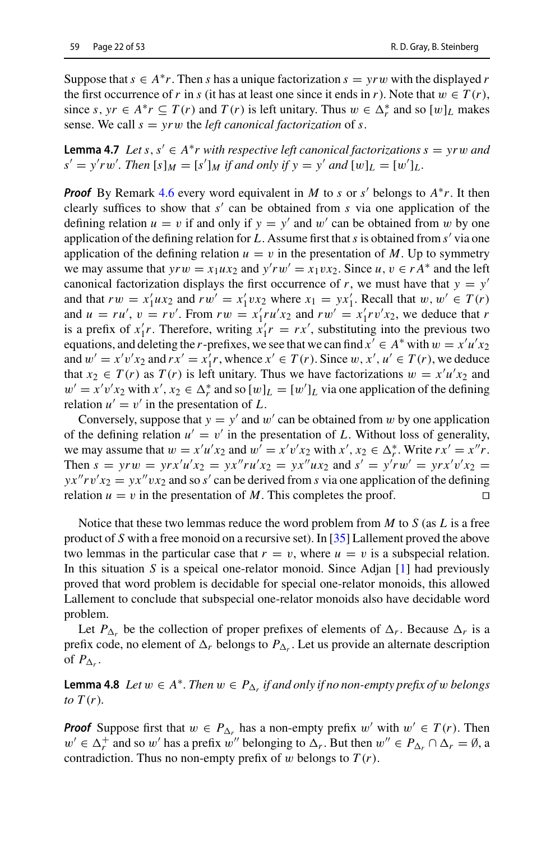<span id="page-21-1"></span>Suppose that  $s \in A^*r$ . Then *s* has a unique factorization  $s = \gamma rw$  with the displayed *r* the first occurrence of *r* in *s* (it has at least one since it ends in *r*). Note that  $w \in T(r)$ , since  $s, yr \in A^*r \subseteq T(r)$  and  $T(r)$  is left unitary. Thus  $w \in \Delta_r^*$  and so  $[w]_L$  makes sense. We call  $s = yrw$  the *left canonical factorization* of *s*.

**Lemma 4.7** *Let s*,  $s' \in A^*r$  *with respective left canonical factorizations*  $s = yrw$  *and*  $s' = y'rw'$ . Then  $[s]_M = [s']_M$  *if and only if*  $y = y'$  *and*  $[w]_L = [w']_L$ .

*Proof* By Remark [4.6](#page-20-1) every word equivalent in *M* to *s* or *s'* belongs to  $A^*r$ . It then clearly suffices to show that  $s'$  can be obtained from  $s$  via one application of the defining relation  $u = v$  if and only if  $y = y'$  and w' can be obtained from w by one application of the defining relation for *L*. Assume first that*s* is obtained from *s* via one application of the defining relation  $u = v$  in the presentation of M. Up to symmetry we may assume that  $yrw = x_1ux_2$  and  $y'rw' = x_1vx_2$ . Since  $u, v \in rA^*$  and the left canonical factorization displays the first occurrence of *r*, we must have that  $y = y'$ and that  $rw = x_1'ux_2$  and  $rw' = x_1'vx_2$  where  $x_1 = yx_1'$ . Recall that  $w, w' \in T(r)$ and  $u = ru'$ ,  $v = rv'$ . From  $rw = x'_1ru'x_2$  and  $rw' = x'_1rv'x_2$ , we deduce that *r* is a prefix of  $x_1^t r$ . Therefore, writing  $x_1^t r = rx^t$ , substituting into the previous two equations, and deleting the *r*-prefixes, we see that we can find  $x' \in A^*$  with  $w = x'u'x_2$ and  $w' = x'v'x_2$  and  $rx' = x'_1r$ , whence  $x' \in T(r)$ . Since  $w, x', u' \in T(r)$ , we deduce that  $x_2 \in T(r)$  as  $T(r)$  is left unitary. Thus we have factorizations  $w = x'u'x_2$  and  $w' = x'v'x_2$  with  $x', x_2 \in \Delta_r^*$  and so  $[w]_L = [w']_L$  via one application of the defining relation  $u' = v'$  in the presentation of L.

Conversely, suppose that  $y = y'$  and w' can be obtained from w by one application of the defining relation  $u' = v'$  in the presentation of L. Without loss of generality, we may assume that  $w = x'u'x_2$  and  $w' = x'v'x_2$  with  $x', x_2 \in \Delta_r^*$ . Write  $rx' = x''r$ . Then  $s = yrw = yrx'u'x_2 = yx''ru'x_2 = yx''ux_2$  and  $s' = y'rw' = yrx'v'x_2 = yr'w'$  $yx''$ rv' $x_2 = yx''vx_2$  and so *s'* can be derived from *s* via one application of the defining relation  $u = v$  in the presentation of M. This completes the proof.

Notice that these two lemmas reduce the word problem from *M* to *S* (as *L* is a free product of *S* with a free monoid on a recursive set). In [\[35](#page-52-18)] Lallement proved the above two lemmas in the particular case that  $r = v$ , where  $u = v$  is a subspecial relation. In this situation *S* is a speical one-relator monoid. Since Adjan [\[1\]](#page-50-0) had previously proved that word problem is decidable for special one-relator monoids, this allowed Lallement to conclude that subspecial one-relator monoids also have decidable word problem.

<span id="page-21-0"></span>Let  $P_{\Lambda_r}$  be the collection of proper prefixes of elements of  $\Delta_r$ . Because  $\Delta_r$  is a prefix code, no element of  $\Delta_r$  belongs to  $P_{\Delta_r}$ . Let us provide an alternate description of  $P_{\Delta_r}$ .

**Lemma 4.8** *Let*  $w \in A^*$ *. Then*  $w \in P_{\Delta_r}$  *if and only if no non-empty prefix of*  $w$  *belongs to*  $T(r)$ *.* 

*Proof* Suppose first that  $w \in P_{\Delta_r}$  has a non-empty prefix  $w'$  with  $w' \in T(r)$ . Then  $w' \in \Delta_r^+$  and so w' has a prefix w'' belonging to  $\Delta_r$ . But then  $w'' \in P_{\Delta_r} \cap \Delta_r = \emptyset$ , a contradiction. Thus no non-empty prefix of  $w$  belongs to  $T(r)$ .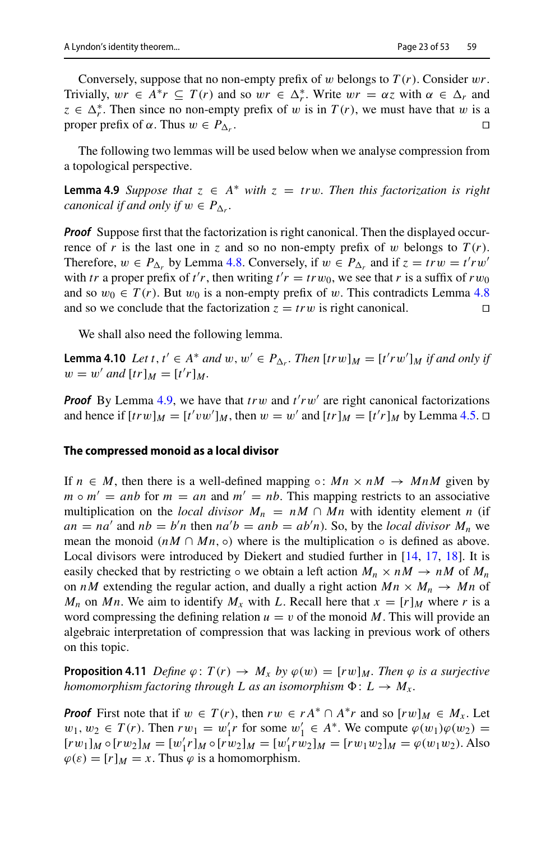Conversely, suppose that no non-empty prefix of w belongs to *T* (*r*). Consider w*r*. Trivially,  $wr \in A^*r \subseteq T(r)$  and so  $wr \in \Delta_r^*$ . Write  $wr = \alpha z$  with  $\alpha \in \Delta_r$  and  $z \in \Delta_r^*$ . Then since no non-empty prefix of w is in  $T(r)$ , we must have that w is a proper prefix of  $\alpha$ . Thus  $w \in P_{\Delta_r}$ .

<span id="page-22-0"></span>The following two lemmas will be used below when we analyse compression from a topological perspective.

**Lemma 4.9** *Suppose that*  $z \in A^*$  *with*  $z = trw$ *. Then this factorization is right canonical if and only if*  $w \in P_{\Delta_r}$ .

*Proof* Suppose first that the factorization is right canonical. Then the displayed occurrence of *r* is the last one in *z* and so no non-empty prefix of w belongs to  $T(r)$ . Therefore,  $w \in P_{\Delta_r}$  by Lemma [4.8.](#page-21-0) Conversely, if  $w \in P_{\Delta_r}$  and if  $z = trw = t'rw'$ with *tr* a proper prefix of *t'r*, then writing  $t'r = trw_0$ , we see that *r* is a suffix of  $rw_0$ and so  $w_0 \in T(r)$ . But  $w_0$  is a non-empty prefix of w. This contradicts Lemma [4.8](#page-21-0) and so we conclude that the factorization  $z = trw$  is right canonical.

<span id="page-22-1"></span>We shall also need the following lemma.

**Lemma 4.10** *Let t*,  $t' \in A^*$  *and*  $w, w' \in P_{\Delta_r}$ . Then  $[tr w]_M = [t'rw']_M$  *if and only if*  $w = w'$  and  $[tr]_M = [t'r]_M$ .

**Proof** By Lemma [4.9,](#page-22-0) we have that  $trw$  and  $t'rw'$  are right canonical factorizations and hence if  $[trw]_M = [t'vw']_M$ , then  $w = w'$  and  $[tr]_M = [t'r]_M$  by Lemma [4.5.](#page-20-0)  $\Box$ 

#### **The compressed monoid as a local divisor**

If  $n \in M$ , then there is a well-defined mapping  $\circ$ :  $Mn \times nM \rightarrow MnM$  given by  $m \circ m' = anb$  for  $m = an$  and  $m' = nb$ . This mapping restricts to an associative multiplication on the *local divisor*  $M_n = nM \cap Mn$  with identity element *n* (if  $an = na'$  and  $nb = b'n$  then  $na'b = anb = ab'n$ . So, by the *local divisor*  $M_n$  we mean the monoid ( $nM \cap Mn$ ,  $\circ$ ) where is the multiplication  $\circ$  is defined as above. Local divisors were introduced by Diekert and studied further in [\[14](#page-51-25), [17](#page-51-26), [18\]](#page-51-18). It is easily checked that by restricting  $\circ$  we obtain a left action  $M_n \times nM \to nM$  of  $M_n$ on *nM* extending the regular action, and dually a right action  $M_n \times M_n \rightarrow Mn$  of *M<sub>n</sub>* on *Mn*. We aim to identify  $M_x$  with *L*. Recall here that  $x = [r]_M$  where *r* is a word compressing the defining relation  $u = v$  of the monoid M. This will provide an algebraic interpretation of compression that was lacking in previous work of others on this topic.

<span id="page-22-2"></span>**Proposition 4.11** *Define*  $\varphi$ :  $T(r) \to M_x$  *by*  $\varphi(w) = [rw]_M$ *. Then*  $\varphi$  *is a surjective homomorphism factoring through L as an isomorphism*  $\Phi: L \to M_{\chi}$ .

*Proof* First note that if  $w \in T(r)$ , then  $rw \in rA^* \cap A^*r$  and so  $[rw]_M \in M_x$ . Let  $w_1, w_2 \in T(r)$ . Then  $rw_1 = w'_1r$  for some  $w'_1 \in A^*$ . We compute  $\varphi(w_1)\varphi(w_2) =$  $[rw_1]_M \circ [rw_2]_M = [w'_1r]_M \circ [rw_2]_M = [w'_1rw_2]_M = [rw_1w_2]_M = \varphi(w_1w_2)$ . Also  $\varphi(\varepsilon) = [r]_M = x$ . Thus  $\varphi$  is a homomorphism.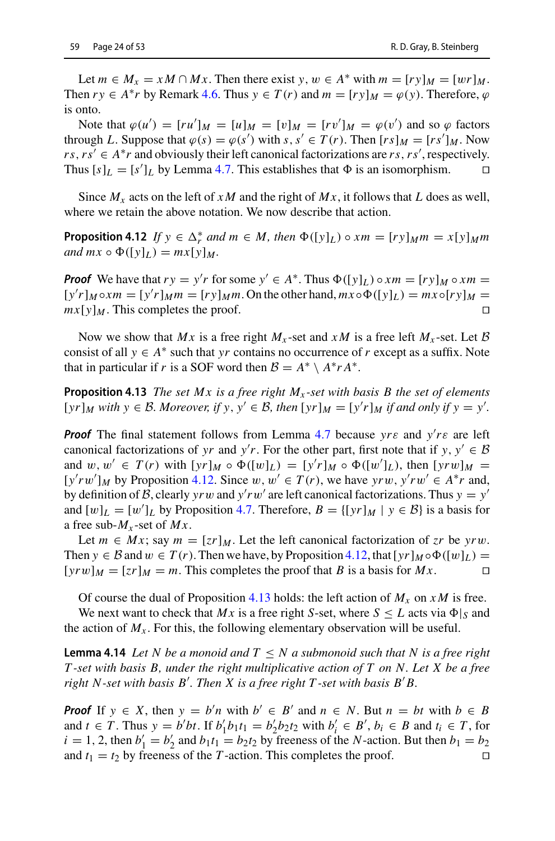Let  $m \in M_x = xM \cap M_x$ . Then there exist  $y, w \in A^*$  with  $m = [ry]_M = [wr]_M$ . Then  $ry \in A^*r$  by Remark [4.6.](#page-20-1) Thus  $y \in T(r)$  and  $m = [ry]_M = \varphi(y)$ . Therefore,  $\varphi$ is onto.

Note that  $\varphi(u') = [ru']_M = [u]_M = [v]_M = [rv']_M = \varphi(v')$  and so  $\varphi$  factors through *L*. Suppose that  $\varphi(s) = \varphi(s')$  with  $s, s' \in T(r)$ . Then  $[rs]_M = [rs']_M$ . Now *rs*, *rs*<sup>'</sup> ∈ *A*\**r* and obviously their left canonical factorizations are *rs*, *rs*<sup>'</sup>, respectively. Thus  $[s]_L = [s']_L$  by Lemma [4.7.](#page-21-1) This establishes that  $\Phi$  is an isomorphism.  $\square$ 

<span id="page-23-0"></span>Since  $M_x$  acts on the left of *xM* and the right of  $M_x$ , it follows that *L* does as well, where we retain the above notation. We now describe that action.

**Proposition 4.12** *If*  $y \in \Delta_r^*$  and  $m \in M$ , then  $\Phi([y]_L) \circ xm = [ry]_M m = x[y]_M m$  $and mx \circ \Phi([y]_L) = mx[y]_M$ .

*Proof* We have that  $ry = y'r$  for some  $y' \in A^*$ . Thus  $\Phi([y]_L) \circ xm = [ry]_M \circ xm =$  $[y'r]_M \circ xm = [y'r]_Mm = [ry]_Mm$ . On the other hand,  $mx \circ \Phi([y]_L) = mx \circ [ry]_M =$  $mx[y]_M$ . This completes the proof.

<span id="page-23-1"></span>Now we show that *Mx* is a free right  $M_x$ -set and  $xM$  is a free left  $M_x$ -set. Let  $\beta$ consist of all  $y \in A^*$  such that *yr* contains no occurrence of *r* except as a suffix. Note that in particular if *r* is a SOF word then  $B = A^* \setminus A^* r A^*$ .

**Proposition 4.13** *The set Mx is a free right Mx -set with basis B the set of elements*  $[yr]_M$  *with*  $y \in B$ *. Moreover, if*  $y, y' \in B$ *, then*  $[yr]_M = [y'r]_M$  *if and only if*  $y = y'$ *.* 

*Proof* The final statement follows from Lemma [4.7](#page-21-1) because  $y r \varepsilon$  and  $y' r \varepsilon$  are left canonical factorizations of *yr* and *y'r*. For the other part, first note that if *y*,  $y' \in B$ and  $w, w' \in T(r)$  with  $[yr]_M \circ \Phi([w]_L) = [y'r]_M \circ \Phi([w']_L)$ , then  $[yrw]_M =$  $[y'rw']_M$  by Proposition [4.12.](#page-23-0) Since  $w, w' \in T(r)$ , we have  $yrw, y'rw' \in A^*r$  and, by definition of *B*, clearly *yr* w and  $y'rw'$  are left canonical factorizations. Thus  $y = y'$ and  $[w]_L = [w']_L$  by Proposition [4.7.](#page-21-1) Therefore,  $B = \{[yr]_M | y \in B\}$  is a basis for a free sub- $M_x$ -set of  $Mx$ .

Let  $m \in Mx$ ; say  $m = [zr]_M$ . Let the left canonical factorization of  $zr$  be  $\gamma rw$ . Then  $y \in B$  and  $w \in T(r)$ . Then we have, by Proposition [4.12,](#page-23-0) that  $[yr]_M \circ \Phi([w]_L)$  =  $[yrw]_M = [zr]_M = m$ . This completes the proof that *B* is a basis for  $Mx$ .

<span id="page-23-2"></span>Of course the dual of Proposition [4.13](#page-23-1) holds: the left action of  $M_x$  on  $xM$  is free.

We next want to check that *Mx* is a free right *S*-set, where  $S \leq L$  acts via  $\Phi|_S$  and the action of  $M_x$ . For this, the following elementary observation will be useful.

**Lemma 4.14** *Let N be a monoid and*  $T \leq N$  *a submonoid such that N is a free right T -set with basis B, under the right multiplicative action of T on N. Let X be a free right N-set with basis B . Then X is a free right T -set with basis B B.*

<span id="page-23-3"></span>*Proof* If  $y \in X$ , then  $y = b'n$  with  $b' \in B'$  and  $n \in N$ . But  $n = bt$  with  $b \in B$ and  $t \in T$ . Thus  $y = b'bt$ . If  $b'_1b_1t_1 = b'_2b_2t_2$  with  $b'_i \in B', b_i \in B$  and  $t_i \in T$ , for  $i = 1, 2$ , then  $b'_1 = b'_2$  and  $b_1t_1 = b_2t_2$  by freeness of the *N*-action. But then  $b_1 = b_2$ and  $t_1 = t_2$  by freeness of the *T*-action. This completes the proof.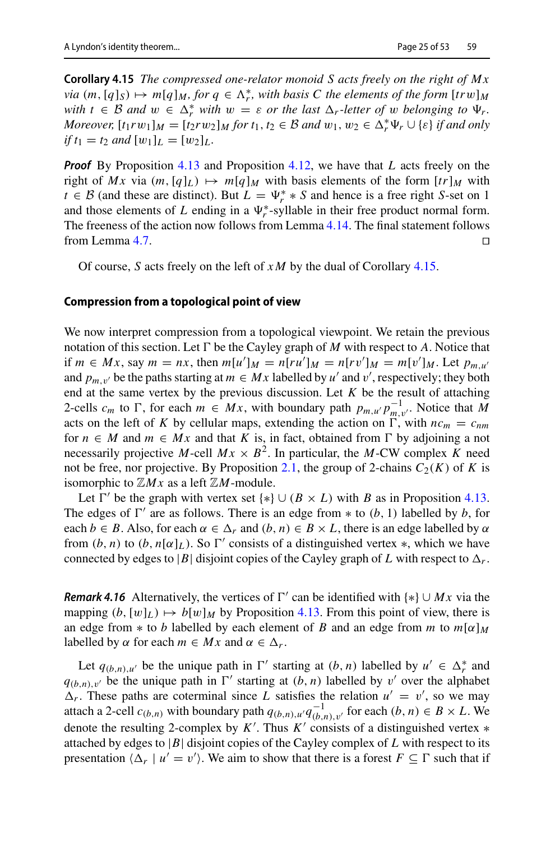**Corollary 4.15** *The compressed one-relator monoid S acts freely on the right of Mx*  $via \ (m, [q]_S) \mapsto m[q]_M$ , for  $q \in \Lambda_r^*$ , with basis C the elements of the form  $[trw]_M$  $w$ *ith*  $t \in B$  *and*  $w \in \Delta_r^*$  *with*  $w = \varepsilon$  *or the last*  $\Delta_r$ -letter of w *belonging to*  $\Psi_r$ . *Moreover,*  $[t_1rw_1]_M = [t_2rw_2]_M$  *for*  $t_1, t_2 \in B$  *and*  $w_1, w_2 \in \Delta_r^* \Psi_r \cup \{\varepsilon\}$  *if and only if*  $t_1 = t_2$  *and*  $[w_1]_L = [w_2]_L$ *.* 

*Proof* By Proposition [4.13](#page-23-1) and Proposition [4.12,](#page-23-0) we have that *L* acts freely on the right of *Mx* via  $(m, [q]_L) \mapsto m[q]_M$  with basis elements of the form  $[tr]_M$  with *t* ∈ *B* (and these are distinct). But  $L = \Psi_r^* * S$  and hence is a free right *S*-set on 1 and those elements of *L* ending in a  $\Psi_r^*$ -syllable in their free product normal form. The freeness of the action now follows from Lemma [4.14.](#page-23-2) The final statement follows from Lemma [4.7.](#page-21-1)  $\Box$ 

Of course, *S* acts freely on the left of *x M* by the dual of Corollary [4.15.](#page-23-3)

#### **Compression from a topological point of view**

We now interpret compression from a topological viewpoint. We retain the previous notation of this section. Let  $\Gamma$  be the Cayley graph of *M* with respect to *A*. Notice that if *m* ∈ *Mx*, say *m* = *nx*, then  $m[u']_M = n[ru']_M = n[rv']_M = m[v']_M$ . Let  $p_{m,u'}$ and  $p_{m,v'}$  be the paths starting at  $m \in Mx$  labelled by *u'* and *v'*, respectively; they both end at the same vertex by the previous discussion. Let *K* be the result of attaching 2-cells  $c_m$  to  $\Gamma$ , for each  $m \in Mx$ , with boundary path  $p_{m,u'} p_{m,v'}^{-1}$ . Notice that *M* acts on the left of *K* by cellular maps, extending the action on  $\Gamma$ , with  $nc_m = c_{nm}$ for  $n \in M$  and  $m \in Mx$  and that K is, in fact, obtained from  $\Gamma$  by adjoining a not necessarily projective *M*-cell  $Mx \times B^2$ . In particular, the *M*-CW complex *K* need not be free, nor projective. By Proposition [2.1,](#page-6-0) the group of 2-chains  $C_2(K)$  of K is isomorphic to  $\mathbb{Z}Mx$  as a left  $\mathbb{Z}M$ -module.

Let  $\Gamma'$  be the graph with vertex set { $\ast$ }  $\cup$  (*B* × *L*) with *B* as in Proposition [4.13.](#page-23-1) The edges of  $\Gamma'$  are as follows. There is an edge from  $*$  to  $(b, 1)$  labelled by  $b$ , for each  $b \in B$ . Also, for each  $\alpha \in \Delta_r$  and  $(b, n) \in B \times L$ , there is an edge labelled by  $\alpha$ from  $(b, n)$  to  $(b, n[\alpha]_L)$ . So  $\Gamma'$  consists of a distinguished vertex  $\ast$ , which we have connected by edges to |*B*| disjoint copies of the Cayley graph of *L* with respect to  $\Delta_r$ .

<span id="page-24-0"></span>*Remark 4.16* Alternatively, the vertices of  $\Gamma'$  can be identified with  $\{*\} \cup Mx$  via the mapping  $(b, [w]_L) \mapsto b[w]_M$  by Proposition [4.13.](#page-23-1) From this point of view, there is an edge from  $*$  to *b* labelled by each element of *B* and an edge from *m* to  $m[\alpha]_M$ labelled by  $\alpha$  for each  $m \in Mx$  and  $\alpha \in \Delta_r$ .

Let  $q_{(b,n),u'}$  be the unique path in  $\Gamma'$  starting at  $(b, n)$  labelled by  $u' \in \Delta_r^*$  and  $q_{(b,n),v'}$  be the unique path in  $\Gamma'$  starting at  $(b, n)$  labelled by v' over the alphabet  $\Delta_r$ . These paths are coterminal since *L* satisfies the relation  $u' = v'$ , so we may attach a 2-cell  $c_{(b,n)}$  with boundary path  $q_{(b,n),u'}q_{(b,n),v'}^{-1}$  for each  $(b, n) \in B \times L$ . We denote the resulting 2-complex by  $K'$ . Thus  $K'$  consists of a distinguished vertex  $*$ attached by edges to  $|B|$  disjoint copies of the Cayley complex of  $L$  with respect to its presentation  $\langle \Delta_r | u' = v' \rangle$ . We aim to show that there is a forest  $F \subseteq \Gamma$  such that if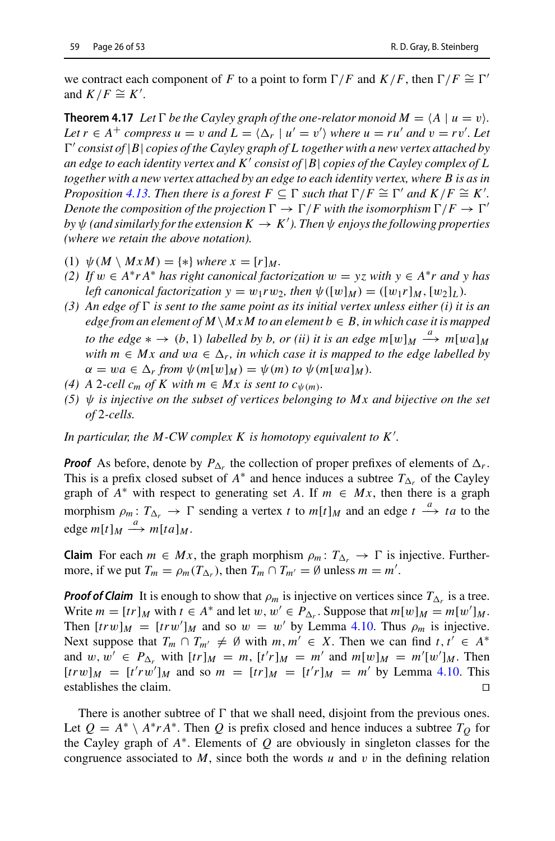<span id="page-25-0"></span>we contract each component of *F* to a point to form  $\Gamma/F$  and  $K/F$ , then  $\Gamma/F \cong \Gamma'$ and  $K/F \cong K'.$ 

**Theorem 4.17** Let  $\Gamma$  be the Cayley graph of the one-relator monoid  $M = \langle A \mid u = v \rangle$ . *Let*  $r \in A^+$  *compress*  $u = v$  *and*  $L = \langle \Delta_r | u' = v' \rangle$  *where*  $u = ru'$  *and*  $v = rv'$ *. Let*  $\Gamma'$  *consist of*  $|B|$  *copies of the Cayley graph of L together with a new vertex attached by an edge to each identity vertex and K consist of* |*B*| *copies of the Cayley complex of L together with a new vertex attached by an edge to each identity vertex, where B is as in Proposition* [4.13.](#page-23-1) Then there is a forest  $F \subseteq \Gamma$  such that  $\Gamma/F \cong \Gamma'$  and  $K/F \cong K'$ . *Denote the composition of the projection*  $\Gamma \to \Gamma/F$  with the isomorphism  $\Gamma/F \to \Gamma'$  $b$ y  $\psi$  (and similarly for the extension  $K \to K'$ ). Then  $\psi$  enjoys the following properties *(where we retain the above notation).*

- (1)  $\psi(M \setminus MxM) = \{*\}$  *where*  $x = [r]_M$ .
- *(2)* If  $w ∈ A^*rA^*$  *has right canonical factorization*  $w = yz$  *with*  $y ∈ A^*r$  *and*  $y$  *has left canonical factorization*  $y = w_1rw_2$ *, then*  $\psi([w]_M) = ([w_1r]_M, [w_2]_L)$ *.*
- (3) An edge of  $\Gamma$  is sent to the same point as its initial vertex unless either (i) it is an *edge from an element of M*  $\setminus$  *M x M to an element b*  $\in$  *B, in which case it is mapped to the edge*  $* \rightarrow (b, 1)$  *labelled by b, or (ii) it is an edge*  $m[w]_M \xrightarrow{a} m[wa]_M$ *with*  $m \in Mx$  and  $wa \in \Delta_r$ , in which case it is mapped to the edge labelled by  $\alpha = wa \in \Delta_r$  from  $\psi(m[w]_M) = \psi(m)$  to  $\psi(m[wa]_M)$ .
- (4) A 2-cell  $c_m$  of K with  $m \in Mx$  is sent to  $c_{\psi(m)}$ .
- *(5)*  $\psi$  *is injective on the subset of vertices belonging to Mx and bijective on the set of* 2*-cells.*

*In particular, the M-CW complex K is homotopy equivalent to K .*

*Proof* As before, denote by  $P_{\Delta_r}$  the collection of proper prefixes of elements of  $\Delta_r$ . This is a prefix closed subset of  $A^*$  and hence induces a subtree  $T_{\Delta_r}$  of the Cayley graph of  $A^*$  with respect to generating set A. If  $m \in Mx$ , then there is a graph morphism  $\rho_m: T_{\Delta_r} \to \Gamma$  sending a vertex *t* to  $m[t]_M$  and an edge  $t \xrightarrow{a} ta$  to the edge  $m[t]_M \xrightarrow{a} m[ta]_M$ .

**Claim** For each  $m \in Mx$ , the graph morphism  $\rho_m: T_{\Delta_r} \to \Gamma$  is injective. Furthermore, if we put  $T_m = \rho_m(T_{\Delta_r})$ , then  $T_m \cap T_{m'} = \emptyset$  unless  $m = m'$ .

*Proof of Claim* It is enough to show that  $\rho_m$  is injective on vertices since  $T_{\Delta_r}$  is a tree. Write  $m = [tr]_M$  with  $t \in A^*$  and let  $w, w' \in P_{\Delta_r}$ . Suppose that  $m[w]_M = m[w']_M$ . Then  $[trw]_M = [trw']_M$  and so  $w = w'$  by Lemma [4.10.](#page-22-1) Thus  $\rho_m$  is injective. Next suppose that  $T_m \cap T_{m'} \neq \emptyset$  with  $m, m' \in X$ . Then we can find  $t, t' \in A^*$ and  $w, w' \in P_{\Delta_r}$  with  $[tr]_M = m$ ,  $[t'r]_M = m'$  and  $m[w]_M = m'[w']_M$ . Then  $[trw]_M = [t'rw']_M$  and so  $m = [tr]_M = [t'r]_M = m'$  by Lemma [4.10.](#page-22-1) This establishes the claim.

There is another subtree of  $\Gamma$  that we shall need, disjoint from the previous ones. Let  $Q = A^* \setminus A^* r A^*$ . Then Q is prefix closed and hence induces a subtree  $T_Q$  for the Cayley graph of *A*∗. Elements of *Q* are obviously in singleton classes for the congruence associated to  $M$ , since both the words  $u$  and  $v$  in the defining relation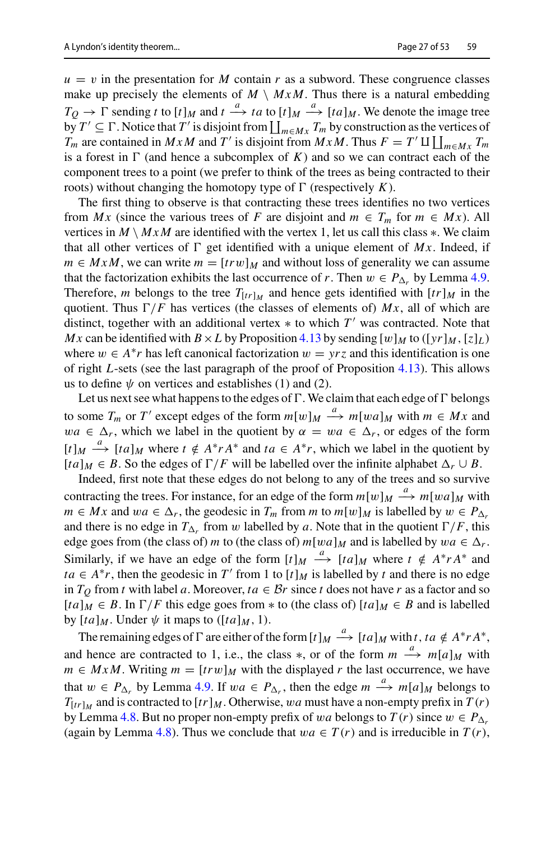$u = v$  in the presentation for *M* contain *r* as a subword. These congruence classes make up precisely the elements of  $M \setminus MxM$ . Thus there is a natural embedding  $T_Q \rightarrow \Gamma$  sending *t* to  $[t]_M$  and  $t \stackrel{a}{\rightarrow} ta$  to  $[t]_M \stackrel{a}{\rightarrow} [ta]_M$ . We denote the image tree by  $T' \subseteq \Gamma$ . Notice that  $T'$  is disjoint from  $\coprod_{m \in M_X} T_m$  by construction as the vertices of  $T_m$  are contained in *MxM* and *T'* is disjoint from  $MxM$ . Thus  $F = T' \amalg \bigsqcup_{m \in Mx} T_m$ is a forest in  $\Gamma$  (and hence a subcomplex of  $K$ ) and so we can contract each of the component trees to a point (we prefer to think of the trees as being contracted to their roots) without changing the homotopy type of  $\Gamma$  (respectively  $K$ ).

The first thing to observe is that contracting these trees identifies no two vertices from *Mx* (since the various trees of *F* are disjoint and  $m \in T_m$  for  $m \in Mx$ ). All vertices in  $M \setminus MxM$  are identified with the vertex 1, let us call this class  $\ast$ . We claim that all other vertices of  $\Gamma$  get identified with a unique element of  $Mx$ . Indeed, if  $m \in MxM$ , we can write  $m = [trw]_M$  and without loss of generality we can assume that the factorization exhibits the last occurrence of *r*. Then  $w \in P_{\Delta_r}$  by Lemma [4.9.](#page-22-0) Therefore, *m* belongs to the tree  $T_{[tr]_M}$  and hence gets identified with  $[tr]_M$  in the quotient. Thus  $\Gamma/F$  has vertices (the classes of elements of)  $Mx$ , all of which are distinct, together with an additional vertex  $*$  to which  $T'$  was contracted. Note that *Mx* can be identified with  $B \times L$  by Proposition [4.13](#page-23-1) by sending  $[w]_M$  to  $([yr]_M, [z]_L)$ where  $w \in A^*r$  has left canonical factorization  $w = yrz$  and this identification is one of right *L*-sets (see the last paragraph of the proof of Proposition [4.13\)](#page-23-1). This allows us to define  $\psi$  on vertices and establishes (1) and (2).

Let us next see what happens to the edges of  $\Gamma$ . We claim that each edge of  $\Gamma$  belongs to some  $T_m$  or  $T'$  except edges of the form  $m[w]_M \xrightarrow{a} m[wa]_M$  with  $m \in Mx$  and  $wa \in \Delta_r$ , which we label in the quotient by  $\alpha = wa \in \Delta_r$ , or edges of the form  $[t]_M \xrightarrow{a} [ta]_M$  where  $t \notin A^*rA^*$  and  $ta \in A^*r$ , which we label in the quotient by  $[ta]_M \in B$ . So the edges of  $\Gamma/F$  will be labelled over the infinite alphabet  $\Delta_r \cup B$ .

Indeed, first note that these edges do not belong to any of the trees and so survive contracting the trees. For instance, for an edge of the form  $m[w]_M \stackrel{a}{\longrightarrow} m[wa]_M$  with *m* ∈ *Mx* and  $wa \in \Delta_r$ , the geodesic in  $T_m$  from *m* to  $m[w]_M$  is labelled by  $w \in P_{\Delta_r}$ and there is no edge in  $T_{\Delta_r}$  from w labelled by a. Note that in the quotient  $\Gamma/F$ , this edge goes from (the class of) *m* to (the class of)  $m[wa]_M$  and is labelled by  $wa \in \Delta_r$ . Similarly, if we have an edge of the form  $[t]_M \xrightarrow{a} [ta]_M$  where  $t \notin A^* r A^*$  and *ta* ∈ *A*<sup>\*</sup>*r*, then the geodesic in *T*' from 1 to  $[t]$ *M* is labelled by *t* and there is no edge in  $T_Q$  from *t* with label *a*. Moreover,  $ta \in \mathcal{B}r$  since *t* does not have *r* as a factor and so  $[ta]_M \in B$ . In  $\Gamma/F$  this edge goes from  $*$  to (the class of)  $[ta]_M \in B$  and is labelled by  $[ta]_M$ . Under  $\psi$  it maps to  $([ta]_M, 1)$ .

The remaining edges of  $\Gamma$  are either of the form  $[t]_M \xrightarrow{a} [ta]_M$  with  $t, ta \notin A^* r A^*$ , and hence are contracted to 1, i.e., the class  $*$ , or of the form  $m \stackrel{a}{\longrightarrow} m[a]_M$  with *m* ∈ *MxM*. Writing *m* =  $[trw]$ *M* with the displayed *r* the last occurrence, we have that  $w \in P_{\Delta_r}$  by Lemma [4.9.](#page-22-0) If  $wa \in P_{\Delta_r}$ , then the edge  $m \xrightarrow{a} m[a]_M$  belongs to  $T_{[tr]_M}$  and is contracted to  $[tr]_M$ . Otherwise, wa must have a non-empty prefix in  $T(r)$ by Lemma [4.8.](#page-21-0) But no proper non-empty prefix of wa belongs to  $T(r)$  since  $w \in P_{\Delta_r}$ (again by Lemma [4.8\)](#page-21-0). Thus we conclude that  $wa \in T(r)$  and is irreducible in  $T(r)$ ,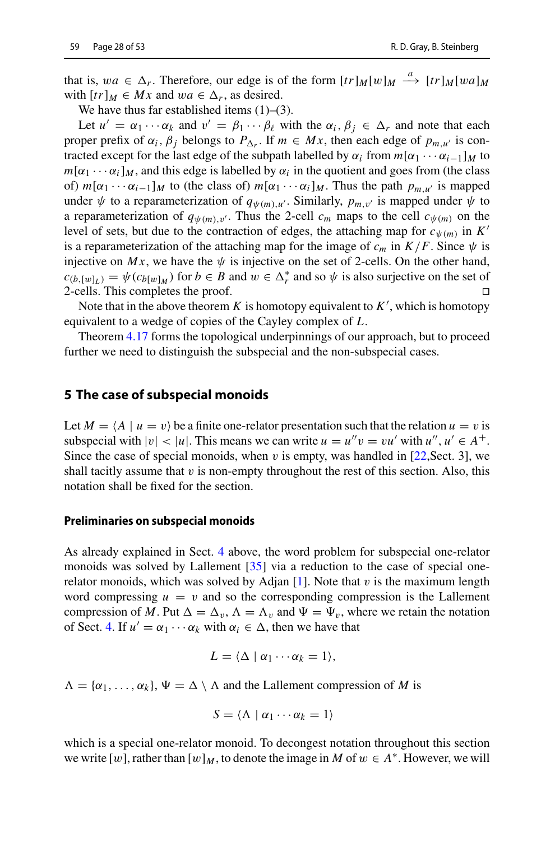that is,  $wa \in \Delta_r$ . Therefore, our edge is of the form  $[tr]_M[w]_M \xrightarrow{a} [tr]_M[wa]_M$ with  $[tr]_M \in Mx$  and  $wa \in \Delta_r$ , as desired.

We have thus far established items  $(1)$ – $(3)$ .

Let  $u' = \alpha_1 \cdots \alpha_k$  and  $v' = \beta_1 \cdots \beta_\ell$  with the  $\alpha_i, \beta_j \in \Delta_r$  and note that each proper prefix of  $\alpha_i$ ,  $\beta_j$  belongs to  $P_{\Delta_r}$ . If  $m \in Mx$ , then each edge of  $p_{m,u'}$  is contracted except for the last edge of the subpath labelled by  $\alpha_i$  from  $m[\alpha_1 \cdots \alpha_{i-1}]_M$  to  $m[\alpha_1 \cdots \alpha_i]_M$ , and this edge is labelled by  $\alpha_i$  in the quotient and goes from (the class of)  $m[\alpha_1 \cdots \alpha_{i-1}]_M$  to (the class of)  $m[\alpha_1 \cdots \alpha_i]_M$ . Thus the path  $p_{m,u'}$  is mapped under  $\psi$  to a reparameterization of  $q_{\psi(m),u'}$ . Similarly,  $p_{m,v'}$  is mapped under  $\psi$  to a reparameterization of  $q_{\psi(m),v'}$ . Thus the 2-cell  $c_m$  maps to the cell  $c_{\psi(m)}$  on the level of sets, but due to the contraction of edges, the attaching map for  $c_{\psi(m)}$  in  $K'$ is a reparameterization of the attaching map for the image of  $c_m$  in  $K/F$ . Since  $\psi$  is injective on  $Mx$ , we have the  $\psi$  is injective on the set of 2-cells. On the other hand,  $c_{(b,[w]_L)} = \psi(c_{b[w]_M})$  for  $b \in B$  and  $w \in \Delta_r^*$  and so  $\psi$  is also surjective on the set of 2-cells. This completes the proof.  $\square$ 

Note that in the above theorem *K* is homotopy equivalent to *K* , which is homotopy equivalent to a wedge of copies of the Cayley complex of *L*.

Theorem [4.17](#page-25-0) forms the topological underpinnings of our approach, but to proceed further we need to distinguish the subspecial and the non-subspecial cases.

#### <span id="page-27-0"></span>**5 The case of subspecial monoids**

Let  $M = \langle A \mid u = v \rangle$  be a finite one-relator presentation such that the relation  $u = v$  is subspecial with  $|v| < |u|$ . This means we can write  $u = u''v = vu'$  with  $u''$ ,  $u' \in A^+$ . Since the case of special monoids, when v is empty, was handled in  $[22, \text{Sect. 3}]$  $[22, \text{Sect. 3}]$ , we shall tacitly assume that  $v$  is non-empty throughout the rest of this section. Also, this notation shall be fixed for the section.

#### **Preliminaries on subspecial monoids**

As already explained in Sect. [4](#page-16-0) above, the word problem for subspecial one-relator monoids was solved by Lallement [\[35\]](#page-52-18) via a reduction to the case of special one-relator monoids, which was solved by Adjan [\[1](#page-50-0)]. Note that  $v$  is the maximum length word compressing  $u = v$  and so the corresponding compression is the Lallement compression of M. Put  $\Delta = \Delta_v$ ,  $\Lambda = \Lambda_v$  and  $\Psi = \Psi_v$ , where we retain the notation of Sect. [4.](#page-16-0) If  $u' = \alpha_1 \cdots \alpha_k$  with  $\alpha_i \in \Delta$ , then we have that

$$
L=\langle\Delta\mid\alpha_1\cdots\alpha_k=1\rangle,
$$

 $\Lambda = {\alpha_1, \ldots, \alpha_k}$ ,  $\Psi = \Delta \setminus \Lambda$  and the Lallement compression of *M* is

$$
S = \langle \Lambda \mid \alpha_1 \cdots \alpha_k = 1 \rangle
$$

which is a special one-relator monoid. To decongest notation throughout this section we write [w], rather than  $[w]_M$ , to denote the image in M of  $w \in A^*$ . However, we will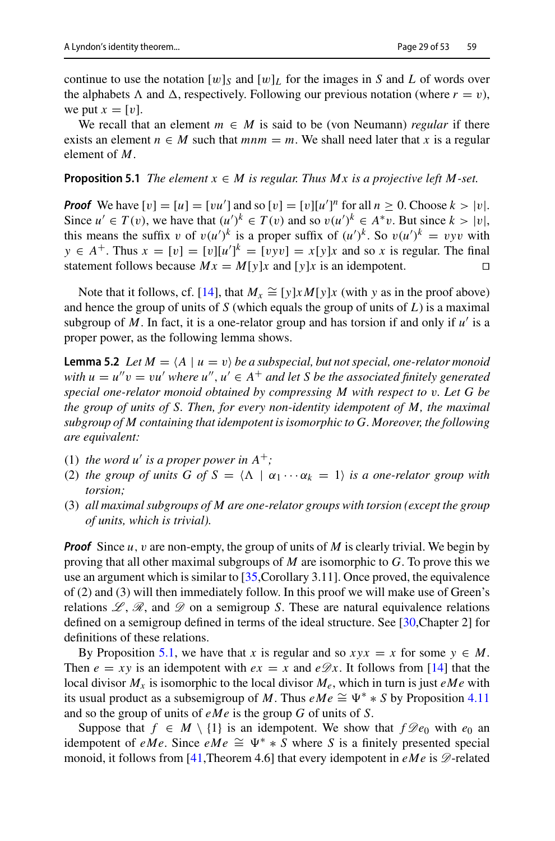continue to use the notation  $[w]_S$  and  $[w]_L$  for the images in *S* and *L* of words over the alphabets  $\Lambda$  and  $\Delta$ , respectively. Following our previous notation (where  $r = v$ ), we put  $x = [v]$ .

<span id="page-28-1"></span>We recall that an element  $m \in M$  is said to be (von Neumann) *regular* if there exists an element  $n \in M$  such that  $mnm = m$ . We shall need later that *x* is a regular element of *M*.

#### **Proposition 5.1** *The element*  $x \in M$  *is regular. Thus Mx is a projective left M-set.*

*Proof* We have  $[v] = [u] = [vu']$  and so  $[v] = [v][u']^n$  for all  $n \ge 0$ . Choose  $k > |v|$ . Since  $u' \in T(v)$ , we have that  $(u')^k \in T(v)$  and so  $v(u')^k \in A^*v$ . But since  $k > |v|$ , this means the suffix v of  $v(u')^k$  is a proper suffix of  $(u')^k$ . So  $v(u')^k = v y v$  with  $y \in A^+$ . Thus  $x = [v] = [v][u']^k = [vyv] = x[y]x$  and so *x* is regular. The final statement follows because  $Mx = M[y]x$  and  $[y]x$  is an idempotent.

<span id="page-28-0"></span>Note that it follows, cf. [\[14\]](#page-51-25), that  $M_x \cong [y] \times M[y]x$  (with y as in the proof above) and hence the group of units of *S* (which equals the group of units of *L*) is a maximal subgroup of M. In fact, it is a one-relator group and has torsion if and only if  $u'$  is a proper power, as the following lemma shows.

**Lemma 5.2** *Let*  $M = \langle A \mid u = v \rangle$  *be a subspecial, but not special, one-relator monoid with*  $u = u''v = vu'$  *where*  $u''$ ,  $u' \in A^+$  *and let S* be the associated finitely generated *special one-relator monoid obtained by compressing M with respect to* v*. Let G be the group of units of S. Then, for every non-identity idempotent of M, the maximal subgroup of M containing that idempotent is isomorphic to G. Moreover, the following are equivalent:*

- (1) *the word u' is a proper power in*  $A^+$ ;
- (2) *the group of units G of S* =  $\langle \Lambda | \alpha_1 \cdots \alpha_k = 1 \rangle$  *is a one-relator group with torsion;*
- (3) *all maximal subgroups of M are one-relator groups with torsion (except the group of units, which is trivial).*

*Proof* Since *u*, v are non-empty, the group of units of *M* is clearly trivial. We begin by proving that all other maximal subgroups of *M* are isomorphic to *G*. To prove this we use an argument which is similar to [\[35](#page-52-18),Corollary 3.11]. Once proved, the equivalence of (2) and (3) will then immediately follow. In this proof we will make use of Green's relations  $\mathscr{L}, \mathscr{R}$ , and  $\mathscr{D}$  on a semigroup *S*. These are natural equivalence relations defined on a semigroup defined in terms of the ideal structure. See [\[30](#page-51-23),Chapter 2] for definitions of these relations.

By Proposition [5.1,](#page-28-1) we have that *x* is regular and so  $xyx = x$  for some  $y \in M$ . Then  $e = xy$  is an idempotent with  $ex = x$  and  $e\mathscr{D}x$ . It follows from [\[14\]](#page-51-25) that the local divisor  $M_x$  is isomorphic to the local divisor  $M_e$ , which in turn is just *eMe* with its usual product as a subsemigroup of *M*. Thus  $eMe \cong \Psi^* * S$  by Proposition [4.11](#page-22-2) and so the group of units of *eMe* is the group *G* of units of *S*.

Suppose that  $f \in M \setminus \{1\}$  is an idempotent. We show that  $f \mathcal{D}e_0$  with  $e_0$  an idempotent of *eMe*. Since *eMe*  $\cong \Psi^* * S$  where *S* is a finitely presented special monoid, it follows from [\[41,](#page-52-23) Theorem 4.6] that every idempotent in  $eMe$  is  $\mathscr{D}\text{-related}$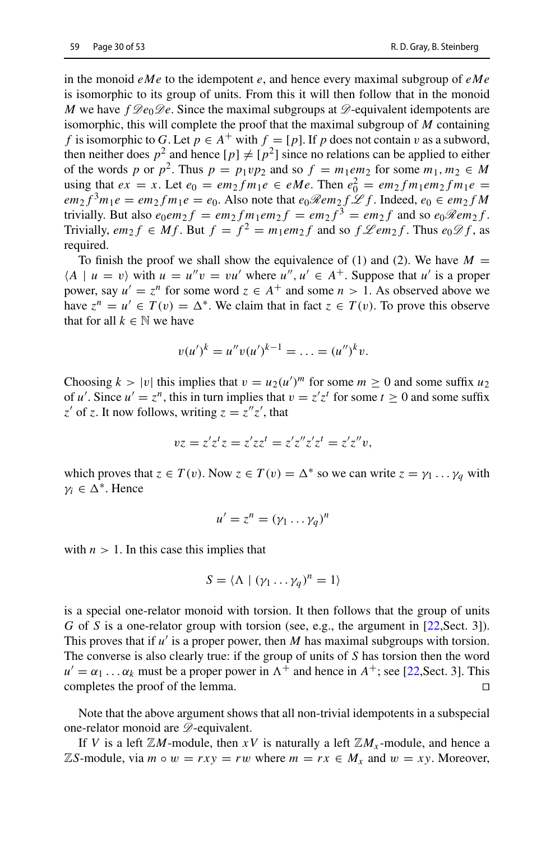in the monoid *eMe* to the idempotent *e*, and hence every maximal subgroup of *eMe* is isomorphic to its group of units. From this it will then follow that in the monoid *M* we have  $f \mathscr{D}e_0 \mathscr{D}e$ . Since the maximal subgroups at  $\mathscr{D}$ -equivalent idempotents are isomorphic, this will complete the proof that the maximal subgroup of *M* containing *f* is isomorphic to *G*. Let  $p \in A^+$  with  $f = [p]$ . If *p* does not contain v as a subword, then neither does  $p^2$  and hence  $[p] \neq [p^2]$  since no relations can be applied to either of the words *p* or  $p^2$ . Thus  $p = p_1 \nu p_2$  and so  $f = m_1 e m_2$  for some  $m_1, m_2 \in M$ using that *ex* = *x*. Let *e*<sub>0</sub> = *em*<sub>2</sub>*f m*<sub>1</sub>*e* ∈ *eMe*. Then  $e_0^2 = em_2 fm_1 em_2 fm_1 e$  =  $em_2 f^3 m_1 e = em_2 fm_1 e = e_0$ . Also note that  $e_0 \Re e m_2 f \mathcal{L} f$ . Indeed,  $e_0 \in em_2 f M$ trivially. But also  $e_0em_2 f = em_2 fm_1em_2 f = em_2 f^3 = em_2 f$  and so  $e_0 \Re em_2 f$ . Trivially,  $em_2 f \in Mf$ . But  $f = f^2 = m_1 em_2 f$  and so  $f \mathcal{L}em_2 f$ . Thus  $e_0 \mathcal{D} f$ , as required.

To finish the proof we shall show the equivalence of (1) and (2). We have  $M =$  $\langle A \mid u = v \rangle$  with  $u = u''v = vu'$  where  $u''$ ,  $u' \in A^+$ . Suppose that  $u'$  is a proper power, say  $u' = z^n$  for some word  $z \in A^+$  and some  $n > 1$ . As observed above we have  $z^n = u' \in T(v) = \Delta^*$ . We claim that in fact  $z \in T(v)$ . To prove this observe that for all  $k \in \mathbb{N}$  we have

$$
v(u')^k = u''v(u')^{k-1} = \ldots = (u'')^k v.
$$

Choosing  $k > |v|$  this implies that  $v = u_2(u')^m$  for some  $m \ge 0$  and some suffix  $u_2$ of *u'*. Since  $u' = z^n$ , this in turn implies that  $v = z'z^t$  for some  $t \ge 0$  and some suffix *z*<sup> $\prime$ </sup> of *z*. It now follows, writing  $z = z''z'$ , that

$$
vz = z'z^t z = z'zz^t = z'z''z'z^t = z'z''v,
$$

which proves that  $z \in T(v)$ . Now  $z \in T(v) = \Delta^*$  so we can write  $z = \gamma_1 \dots \gamma_q$  with  $\gamma_i \in \Delta^*$ . Hence

$$
u' = z^n = (\gamma_1 \dots \gamma_q)^n
$$

with  $n > 1$ . In this case this implies that

$$
S = \langle \Lambda \mid (\gamma_1 \dots \gamma_q)^n = 1 \rangle
$$

is a special one-relator monoid with torsion. It then follows that the group of units *G* of *S* is a one-relator group with torsion (see, e.g., the argument in [\[22,](#page-51-16) Sect. 3]). This proves that if *u'* is a proper power, then *M* has maximal subgroups with torsion. The converse is also clearly true: if the group of units of *S* has torsion then the word  $u' = \alpha_1 \dots \alpha_k$  must be a proper power in  $\Lambda^+$  and hence in  $A^+$ ; see [\[22,](#page-51-16) Sect. 3]. This completes the proof of the lemma.

Note that the above argument shows that all non-trivial idempotents in a subspecial one-relator monoid are *D*-equivalent.

If *V* is a left  $\mathbb{Z}M$ -module, then *xV* is naturally a left  $\mathbb{Z}M_x$ -module, and hence a  $\mathbb{Z}S$ -module, via  $m \circ w = rxy = rw$  where  $m = rx \in M_x$  and  $w = xy$ . Moreover,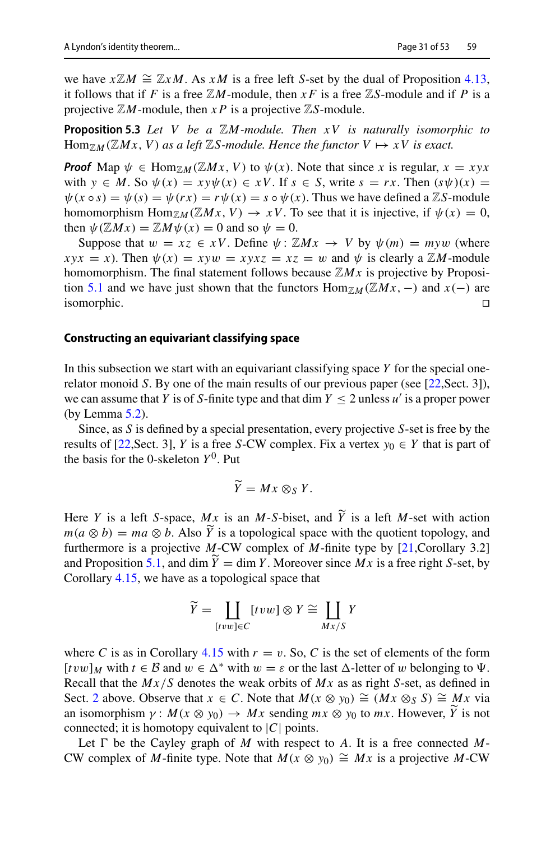<span id="page-30-0"></span>we have  $x \mathbb{Z}M \cong \mathbb{Z}xM$ . As  $xM$  is a free left *S*-set by the dual of Proposition [4.13,](#page-23-1) it follows that if *F* is a free  $\mathbb{Z}M$ -module, then *xF* is a free  $\mathbb{Z}S$ -module and if *P* is a projective  $\mathbb{Z}M$ -module, then  $x P$  is a projective  $\mathbb{Z}S$ -module.

**Proposition 5.3** *Let V be a* Z*M-module. Then xV is naturally isomorphic to*  $\text{Hom}_{\mathbb{Z}M}(\mathbb{Z}Mx, V)$  *as a left*  $\mathbb{Z}S$ -module. Hence the functor  $V \mapsto xV$  is exact.

*Proof* Map  $\psi \in \text{Hom}_{\mathbb{Z}M}(\mathbb{Z}Mx, V)$  to  $\psi(x)$ . Note that since *x* is regular,  $x = xyx$ with  $y \in M$ . So  $\psi(x) = xy\psi(x) \in xV$ . If  $s \in S$ , write  $s = rx$ . Then  $(s\psi)(x) =$  $\psi(x \circ s) = \psi(s) = \psi(rx) = r\psi(x) = s \circ \psi(x)$ . Thus we have defined a ZS-module homomorphism Hom<sub>ZM</sub>(ZMx, V)  $\rightarrow xV$ . To see that it is injective, if  $\psi(x) = 0$ , then  $\psi(\mathbb{Z}Mx) = \mathbb{Z}M\psi(x) = 0$  and so  $\psi = 0$ .

Suppose that  $w = xz \in xV$ . Define  $\psi : \mathbb{Z}Mx \to V$  by  $\psi(m) = m\gamma w$  (where  $xyx = x$ ). Then  $\psi(x) = xyw = xyxz = xz = w$  and  $\psi$  is clearly a ZM-module homomorphism. The final statement follows because  $\mathbb{Z}Mx$  is projective by Proposi-tion [5.1](#page-28-1) and we have just shown that the functors  $\text{Hom}_{\mathbb{Z}_M}(\mathbb{Z}Mx, -)$  and  $x(-)$  are isomorphic. isomorphic.  $\Box$ 

#### **Constructing an equivariant classifying space**

In this subsection we start with an equivariant classifying space *Y* for the special onerelator monoid *S*. By one of the main results of our previous paper (see [\[22](#page-51-16), Sect. 3]), we can assume that *Y* is of *S*-finite type and that dim  $Y \le 2$  unless  $u'$  is a proper power (by Lemma [5.2\)](#page-28-0).

Since, as *S* is defined by a special presentation, every projective *S*-set is free by the results of [\[22,](#page-51-16) Sect. 3], *Y* is a free *S*-CW complex. Fix a vertex  $y_0 \in Y$  that is part of the basis for the 0-skeleton  $Y^0$ . Put

$$
\widetilde{Y}=Mx\otimes_{S}Y.
$$

Here *Y* is a left *S*-space, *Mx* is an *M*-*S*-biset, and *Y* is a left *M*-set with action  $w(x, \Omega, h)$ , we  $\Omega$  *h* Also *Y* is a tenal sizel gross with the system tenal sy and  $m(a \otimes b) = ma \otimes b$ . Also *Y* is a topological space with the quotient topology, and  $f(x)$  can be seen in the space of *M* finite turn by [31 Canallam: 2.31] furthermore is a projective *M*-CW complex of *M*-finite type by [\[21](#page-51-15),Corollary 3.2] and Proposition [5.1,](#page-28-1) and dim  $Y = \dim Y$ . Moreover since  $Mx$  is a free right *S*-set, by Corollary [4.15,](#page-23-3) we have as a topological space that

$$
\widetilde{Y} = \coprod_{[tvw]\in C} [tvw] \otimes Y \cong \coprod_{Mx/S} Y
$$

where *C* is as in Corollary [4.15](#page-23-3) with  $r = v$ . So, *C* is the set of elements of the form  $[tvw]_M$  with  $t \in \mathcal{B}$  and  $w \in \Delta^*$  with  $w = \varepsilon$  or the last  $\Delta$ -letter of w belonging to  $\Psi$ . Recall that the *Mx*/*S* denotes the weak orbits of *Mx* as as right *S*-set, as defined in Sect. [2](#page-4-0) above. Observe that  $x \in C$ . Note that  $M(x \otimes y_0) \cong (Mx \otimes_S S) \cong Mx$  via an isomorphism  $\gamma: M(x \otimes y_0) \to Mx$  sending  $mx \otimes y_0$  to  $mx$ . However, *Y* is not connected; it is homotopy equivalent to  $|C|$  points.

Let  $\Gamma$  be the Cayley graph of *M* with respect to *A*. It is a free connected *M*-CW complex of *M*-finite type. Note that  $M(x \otimes y_0) \cong Mx$  is a projective *M*-CW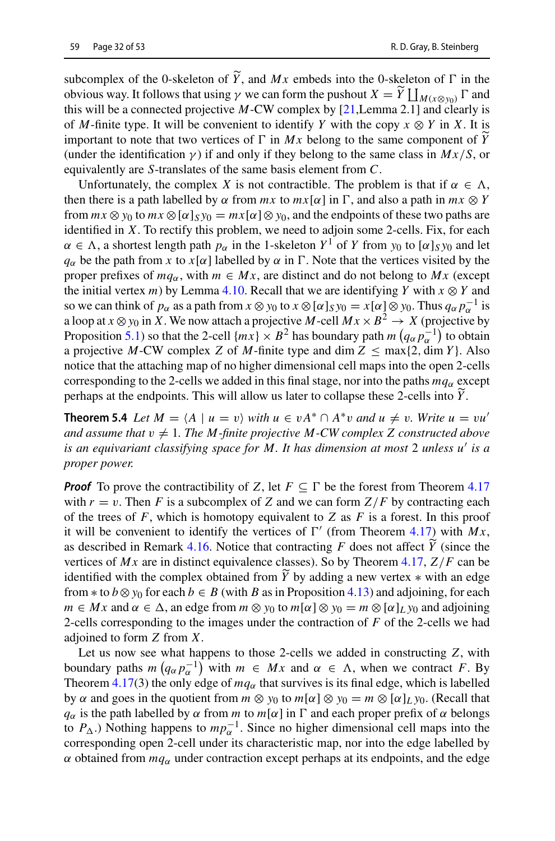subcomplex of the 0-skeleton of *Y*, and *Mx* embeds into the 0-skeleton of  $\Gamma$  in the obvious year of the nuclear the nuclear  $\tilde{V}$ ,  $\tilde{V}$ ,  $\tilde{V}$ obvious way. It follows that using *γ* we can form the pushout  $X = Y \prod_{M(x \otimes y_0)} \Gamma$  and this will be a seppected prejective *M* CW, complex by [21 Larges 2.1] and algority is this will be a connected projective *M*-CW complex by [\[21,](#page-51-15)Lemma 2.1] and clearly is of *M*-finite type. It will be convenient to identify *Y* with the copy  $x \otimes Y$  in *X*. It is important to note that two vertices of  $\Gamma$  in  $Mx$  belong to the same component of  $\overline{Y}$ (under the identification  $\gamma$ ) if and only if they belong to the same class in  $Mx/S$ , or equivalently are *S*-translates of the same basis element from *C*.

Unfortunately, the complex *X* is not contractible. The problem is that if  $\alpha \in \Lambda$ , then there is a path labelled by  $\alpha$  from  $mx$  to  $mx[\alpha]$  in  $\Gamma$ , and also a path in  $mx \otimes Y$ from  $mx \otimes y_0$  to  $mx \otimes [\alpha]_S y_0 = mx[\alpha] \otimes y_0$ , and the endpoints of these two paths are identified in *X*. To rectify this problem, we need to adjoin some 2-cells. Fix, for each  $\alpha \in \Lambda$ , a shortest length path  $p_{\alpha}$  in the 1-skeleton  $Y^1$  of *Y* from  $y_0$  to  $[\alpha]_S y_0$  and let  $q_\alpha$  be the path from *x* to *x*[ $\alpha$ ] labelled by  $\alpha$  in  $\Gamma$ . Note that the vertices visited by the proper prefixes of  $mq_\alpha$ , with  $m \in Mx$ , are distinct and do not belong to Mx (except the initial vertex *m*) by Lemma [4.10.](#page-22-1) Recall that we are identifying *Y* with  $x \otimes Y$  and so we can think of  $p_{\alpha}$  as a path from  $x \otimes y_0$  to  $x \otimes [\alpha]_S y_0 = x[\alpha] \otimes y_0$ . Thus  $q_{\alpha} p_{\alpha}^{-1}$  is a loop at  $x \otimes y_0$  in X. We now attach a projective *M*-cell  $Mx \times B^2 \to X$  (projective by Proposition [5.1\)](#page-28-1) so that the 2-cell  $\{mx\} \times B^2$  has boundary path  $m\left(q_\alpha p_\alpha^{-1}\right)$  to obtain a projective *M*-CW complex *Z* of *M*-finite type and dim  $Z \leq \max\{2, \dim Y\}$ . Also notice that the attaching map of no higher dimensional cell maps into the open 2-cells corresponding to the 2-cells we added in this final stage, nor into the paths  $mq_\alpha$  except perhaps at the endpoints. This will allow us later to collapse these 2-cells into *Y* .

<span id="page-31-0"></span>**Theorem 5.4** *Let*  $M = \langle A \mid u = v \rangle$  *with*  $u \in vA^* \cap A^*v$  *and*  $u \neq v$ *. Write*  $u = vu'$ *and assume that*  $v \neq 1$ *. The M*-finite projective *M*-CW complex *Z* constructed above *is an equivariant classifying space for M. It has dimension at most* 2 *unless u is a proper power.*

*Proof* To prove the contractibility of *Z*, let  $F \subseteq \Gamma$  be the forest from Theorem [4.17](#page-25-0) with  $r = v$ . Then *F* is a subcomplex of *Z* and we can form  $Z/F$  by contracting each of the trees of  $F$ , which is homotopy equivalent to  $Z$  as  $F$  is a forest. In this proof it will be convenient to identify the vertices of  $\Gamma'$  (from Theorem [4.17\)](#page-25-0) with  $Mx$ , as described in Remark [4.16.](#page-24-0) Notice that contracting  $F$  does not affect  $Y$  (since the vertices of  $M_y$  are in distinct equivalence aloness). So by Theorem 4.17,  $Z/F$  are he vertices of *Mx* are in distinct equivalence classes). So by Theorem [4.17,](#page-25-0) *Z*/*F* can be identified with the complex obtained from *Y* by adding a new vertex  $*$  with an edge from  $*$  to  $b \otimes y_0$  for each  $b \in B$  (with *B* as in Proposition [4.13\)](#page-23-1) and adjoining, for each  $m \in Mx$  and  $\alpha \in \Delta$ , an edge from  $m \otimes y_0$  to  $m[\alpha] \otimes y_0 = m \otimes [\alpha]_L y_0$  and adjoining 2-cells corresponding to the images under the contraction of *F* of the 2-cells we had adjoined to form *Z* from *X*.

Let us now see what happens to those 2-cells we added in constructing *Z*, with boundary paths  $m(q_\alpha p_\alpha^{-1})$  with  $m \in Mx$  and  $\alpha \in \Lambda$ , when we contract *F*. By Theorem [4.17\(](#page-25-0)3) the only edge of  $mq_\alpha$  that survives is its final edge, which is labelled by  $\alpha$  and goes in the quotient from  $m \otimes y_0$  to  $m[\alpha] \otimes y_0 = m \otimes [\alpha]_L y_0$ . (Recall that *q*<sub>α</sub> is the path labelled by  $\alpha$  from *m* to  $m[\alpha]$  in  $\Gamma$  and each proper prefix of  $\alpha$  belongs to  $P_{\Delta}$ .) Nothing happens to  $mp_{\alpha}^{-1}$ . Since no higher dimensional cell maps into the corresponding open 2-cell under its characteristic map, nor into the edge labelled by  $\alpha$  obtained from  $mq_\alpha$  under contraction except perhaps at its endpoints, and the edge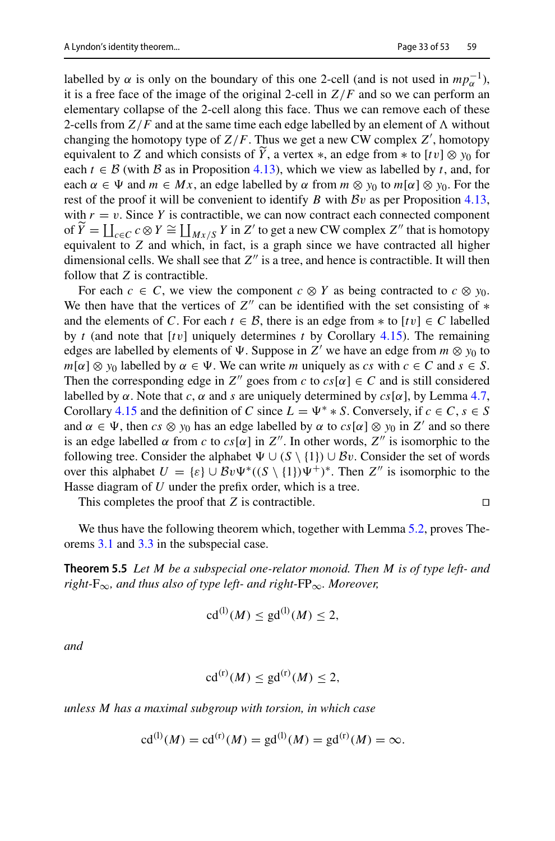labelled by  $\alpha$  is only on the boundary of this one 2-cell (and is not used in  $mp_{\alpha}^{-1}$ ), it is a free face of the image of the original 2-cell in *Z*/*F* and so we can perform an elementary collapse of the 2-cell along this face. Thus we can remove each of these 2-cells from  $Z/F$  and at the same time each edge labelled by an element of  $\Lambda$  without changing the homotopy type of *Z*/*F*. Thus we get a new CW complex *Z* , homotopy equivalent to *Z* and which consists of *Y*, a vertex  $*$ , an edge from  $*$  to  $[tv] \otimes y_0$  for each  $t \in \mathbb{R}$  (with  $\mathbb{R}$  as in Proposition 4.13), which we view as labelled by t, and for each  $t \in \mathcal{B}$  (with  $\mathcal{B}$  as in Proposition [4.13\)](#page-23-1), which we view as labelled by *t*, and, for each  $\alpha \in \Psi$  and  $m \in Mx$ , an edge labelled by  $\alpha$  from  $m \otimes y_0$  to  $m[\alpha] \otimes y_0$ . For the rest of the proof it will be convenient to identify *B* with *B*v as per Proposition [4.13,](#page-23-1) with  $r = v$ . Since *Y* is contractible, we can now contract each connected component of *Y* =  $\prod_{c \in C} c \otimes Y \cong \prod_{Mx/S} Y$  in *Z'* to get a new CW complex *Z''* that is homotopy equivalent to *Z* and which, in fact, is a graph since we have contracted all higher dimensional cells. We shall see that  $Z''$  is a tree, and hence is contractible. It will then follow that *Z* is contractible.

For each  $c \in C$ , we view the component  $c \otimes Y$  as being contracted to  $c \otimes y_0$ . We then have that the vertices of  $Z''$  can be identified with the set consisting of  $*$ and the elements of *C*. For each  $t \in B$ , there is an edge from  $*$  to  $[tv] \in C$  labelled by *t* (and note that [*t*v] uniquely determines *t* by Corollary [4.15\)](#page-23-3). The remaining edges are labelled by elements of  $\Psi$ . Suppose in *Z'* we have an edge from  $m \otimes y_0$  to  $m[\alpha] \otimes y_0$  labelled by  $\alpha \in \Psi$ . We can write *m* uniquely as *cs* with  $c \in C$  and  $s \in S$ . Then the corresponding edge in  $Z''$  goes from *c* to  $cs[\alpha] \in C$  and is still considered labelled by  $\alpha$ . Note that *c*,  $\alpha$  and *s* are uniquely determined by  $cs[\alpha]$ , by Lemma [4.7,](#page-21-1) Corollary [4.15](#page-23-3) and the definition of *C* since  $L = \Psi^* * S$ . Conversely, if  $c \in C$ ,  $s \in S$ and  $\alpha \in \Psi$ , then  $cs \otimes y_0$  has an edge labelled by  $\alpha$  to  $cs[\alpha] \otimes y_0$  in Z' and so there is an edge labelled  $\alpha$  from  $c$  to  $cs[\alpha]$  in  $Z''$ . In other words,  $Z''$  is isomorphic to the following tree. Consider the alphabet  $\Psi \cup (S \setminus \{1\}) \cup Bv$ . Consider the set of words over this alphabet  $U = \{\varepsilon\} \cup Bv\Psi^*((S \setminus \{1\})\Psi^+)^*$ . Then  $Z''$  is isomorphic to the Hasse diagram of *U* under the prefix order, which is a tree.

This completes the proof that  $Z$  is contractible.  $\square$ 

We thus have the following theorem which, together with Lemma [5.2,](#page-28-0) proves Theorems [3.1](#page-11-0) and [3.3](#page-11-1) in the subspecial case.

**Theorem 5.5** *Let M be a subspecial one-relator monoid. Then M is of type left- and right-*F∞*, and thus also of type left- and right-*FP∞*. Moreover,*

<span id="page-32-0"></span>
$$
\mathrm{cd}^{(l)}(M) \le \mathrm{gd}^{(l)}(M) \le 2,
$$

*and*

$$
\mathrm{cd}^{(\mathrm{r})}(M) \le \mathrm{gd}^{(\mathrm{r})}(M) \le 2,
$$

*unless M has a maximal subgroup with torsion, in which case*

$$
cd^{(1)}(M) = cd^{(r)}(M) = gd^{(1)}(M) = gd^{(r)}(M) = \infty.
$$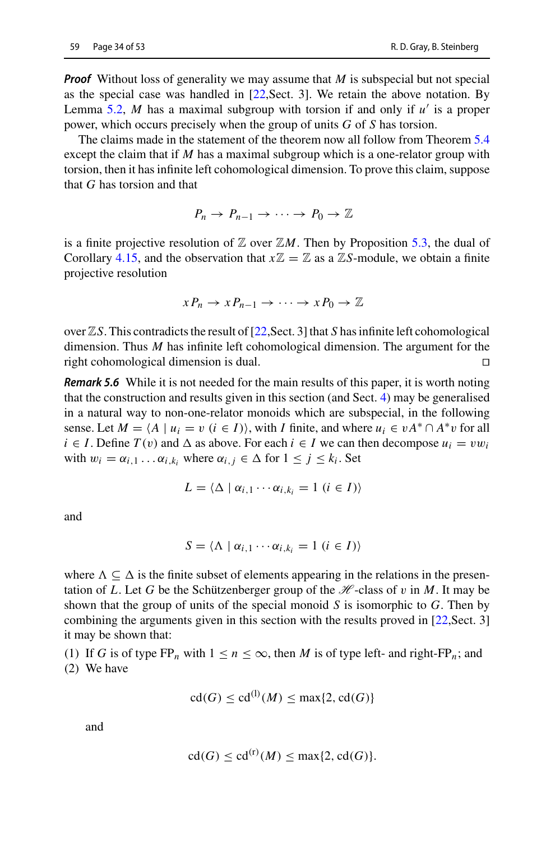*Proof* Without loss of generality we may assume that *M* is subspecial but not special as the special case was handled in [\[22](#page-51-16),Sect. 3]. We retain the above notation. By Lemma [5.2,](#page-28-0) *M* has a maximal subgroup with torsion if and only if *u* is a proper power, which occurs precisely when the group of units *G* of *S* has torsion.

The claims made in the statement of the theorem now all follow from Theorem [5.4](#page-31-0) except the claim that if *M* has a maximal subgroup which is a one-relator group with torsion, then it has infinite left cohomological dimension. To prove this claim, suppose that *G* has torsion and that

$$
P_n \to P_{n-1} \to \cdots \to P_0 \to \mathbb{Z}
$$

is a finite projective resolution of  $\mathbb Z$  over  $\mathbb ZM$ . Then by Proposition [5.3,](#page-30-0) the dual of Corollary [4.15,](#page-23-3) and the observation that  $x\mathbb{Z} = \mathbb{Z}$  as a  $\mathbb{Z}S$ -module, we obtain a finite projective resolution

$$
x P_n \to x P_{n-1} \to \cdots \to x P_0 \to \mathbb{Z}
$$

over ZS. This contradicts the result of [\[22,](#page-51-16) Sect. 3] that *S* has infinite left cohomological dimension. Thus *M* has infinite left cohomological dimension. The argument for the right cohomological dimension is dual.

*Remark 5.6* While it is not needed for the main results of this paper, it is worth noting that the construction and results given in this section (and Sect. [4\)](#page-16-0) may be generalised in a natural way to non-one-relator monoids which are subspecial, in the following sense. Let  $M = \langle A \mid u_i = v \ (i \in I) \rangle$ , with *I* finite, and where  $u_i \in vA^* \cap A^*v$  for all  $i \in I$ . Define  $T(v)$  and  $\Delta$  as above. For each  $i \in I$  we can then decompose  $u_i = vw_i$ with  $w_i = \alpha_{i,1} \dots \alpha_{i,k_i}$  where  $\alpha_{i,j} \in \Delta$  for  $1 \leq j \leq k_i$ . Set

$$
L = \langle \Delta \mid \alpha_{i,1} \cdots \alpha_{i,k_i} = 1 \ (i \in I) \rangle
$$

and

$$
S = \langle \Lambda \mid \alpha_{i,1} \cdots \alpha_{i,k_i} = 1 \ (i \in I) \rangle
$$

where  $\Lambda \subseteq \Delta$  is the finite subset of elements appearing in the relations in the presentation of *L*. Let *G* be the Schützenberger group of the  $\mathcal{H}$ -class of v in *M*. It may be shown that the group of units of the special monoid *S* is isomorphic to *G*. Then by combining the arguments given in this section with the results proved in [\[22,](#page-51-16)Sect. 3] it may be shown that:

(1) If *G* is of type  $FP_n$  with  $1 \leq n \leq \infty$ , then *M* is of type left- and right- $FP_n$ ; and (2) We have

$$
cd(G) \le cd^{(l)}(M) \le max\{2, cd(G)\}\
$$

and

$$
cd(G) \leq cd^{(r)}(M) \leq max\{2, cd(G)\}.
$$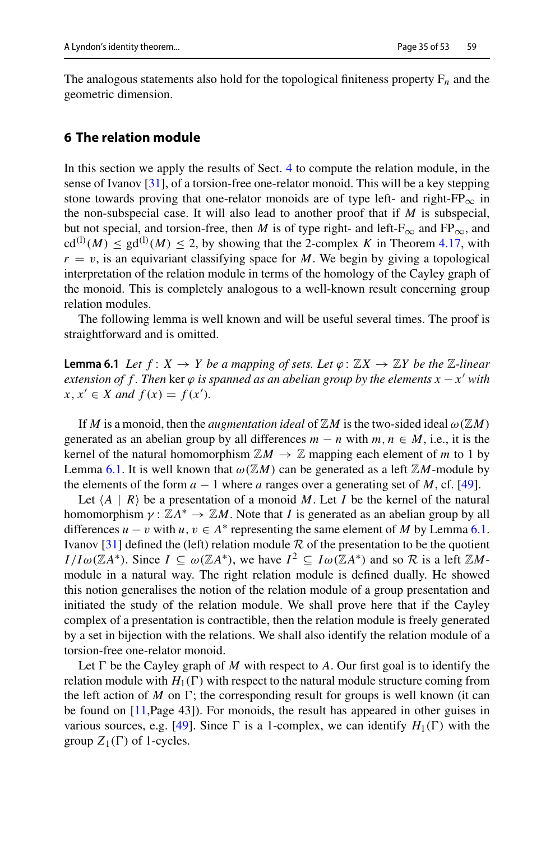The analogous statements also hold for the topological finiteness property  $F_n$  and the geometric dimension.

#### <span id="page-34-0"></span>**6 The relation module**

In this section we apply the results of Sect. [4](#page-16-0) to compute the relation module, in the sense of Ivanov [\[31\]](#page-51-14), of a torsion-free one-relator monoid. This will be a key stepping stone towards proving that one-relator monoids are of type left- and right- $FP_{\infty}$  in the non-subspecial case. It will also lead to another proof that if *M* is subspecial, but not special, and torsion-free, then *M* is of type right- and left- $F_{\infty}$  and  $FP_{\infty}$ , and  $cd^{(1)}(M) \leq gd^{(1)}(M) \leq 2$ , by showing that the 2-complex *K* in Theorem [4.17,](#page-25-0) with  $r = v$ , is an equivariant classifying space for *M*. We begin by giving a topological interpretation of the relation module in terms of the homology of the Cayley graph of the monoid. This is completely analogous to a well-known result concerning group relation modules.

<span id="page-34-1"></span>The following lemma is well known and will be useful several times. The proof is straightforward and is omitted.

**Lemma 6.1** *Let*  $f: X \to Y$  *be a mapping of sets. Let*  $\varphi: \mathbb{Z}X \to \mathbb{Z}Y$  *be the*  $\mathbb{Z}$ *-linear extension of f. Then* ker  $\varphi$  *is spanned as an abelian group by the elements x*  $-x'$  *with x*, *x*<sup> $'$ </sup> ∈ *X* and *f*(*x*) = *f*(*x*<sup> $′$ </sup>).

If *M* is a monoid, then the *augmentation ideal* of  $\mathbb{Z}M$  is the two-sided ideal  $\omega(\mathbb{Z}M)$ generated as an abelian group by all differences  $m - n$  with  $m, n \in M$ , i.e., it is the kernel of the natural homomorphism  $\mathbb{Z}M \to \mathbb{Z}$  mapping each element of *m* to 1 by Lemma [6.1.](#page-34-1) It is well known that  $\omega(\mathbb{Z}M)$  can be generated as a left  $\mathbb{Z}M$ -module by the elements of the form  $a - 1$  where a ranges over a generating set of *M*, cf. [\[49](#page-52-24)].

Let  $\langle A | R \rangle$  be a presentation of a monoid *M*. Let *I* be the kernel of the natural homomorphism  $\gamma : \mathbb{Z}A^* \to \mathbb{Z}M$ . Note that *I* is generated as an abelian group by all differences  $u - v$  with  $u, v \in A^*$  representing the same element of *M* by Lemma [6.1.](#page-34-1) Ivanov  $\left[31\right]$  defined the (left) relation module  $\mathcal R$  of the presentation to be the quotient *I* /*I*ω(ZA\*). Since  $I \subseteq \omega(\mathbb{Z}A^*)$ , we have  $I^2 \subseteq I\omega(\mathbb{Z}A^*)$  and so  $\mathcal R$  is a left ZMmodule in a natural way. The right relation module is defined dually. He showed this notion generalises the notion of the relation module of a group presentation and initiated the study of the relation module. We shall prove here that if the Cayley complex of a presentation is contractible, then the relation module is freely generated by a set in bijection with the relations. We shall also identify the relation module of a torsion-free one-relator monoid.

<span id="page-34-2"></span>Let  $\Gamma$  be the Cayley graph of *M* with respect to *A*. Our first goal is to identify the relation module with  $H_1(\Gamma)$  with respect to the natural module structure coming from the left action of  $M$  on  $\Gamma$ ; the corresponding result for groups is well known (it can be found on [\[11](#page-51-21),Page 43]). For monoids, the result has appeared in other guises in various sources, e.g. [\[49](#page-52-24)]. Since  $\Gamma$  is a 1-complex, we can identify  $H_1(\Gamma)$  with the group  $Z_1(\Gamma)$  of 1-cycles.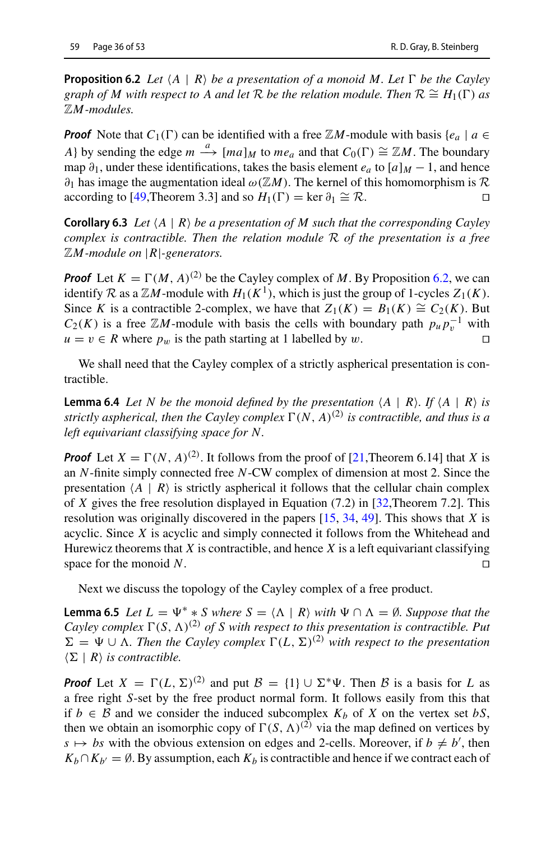**Proposition 6.2** *Let*  $\langle A | R \rangle$  *be a presentation of a monoid M. Let*  $\Gamma$  *be the Cayley graph of M with respect to A and let*  $\mathcal R$  *be the relation module. Then*  $\mathcal R \cong H_1(\Gamma)$  *as* Z*M-modules.*

*Proof* Note that  $C_1(\Gamma)$  can be identified with a free  $\mathbb{Z}M$ -module with basis { $e_a \mid a \in$ *A*} by sending the edge  $m \xrightarrow{a} [ma]_M$  to  $me_a$  and that  $C_0(\Gamma) \cong \mathbb{Z}M$ . The boundary map  $\partial_1$ , under these identifications, takes the basis element  $e_a$  to  $[a]_M - 1$ , and hence  $∂<sub>1</sub>$  has image the augmentation ideal ω( $\mathbb{Z}M$ ). The kernel of this homomorphism is *R* according to [49,Theorem 3.3] and so  $H_1(Γ) = \text{ker } ∂_1 \cong R$ . according to [\[49](#page-52-24),Theorem 3.3] and so  $H_1(\Gamma) = \ker \partial_1 \cong \mathcal{R}$ .

<span id="page-35-2"></span>**Corollary 6.3** *Let*  $\langle A | R \rangle$  *be a presentation of M such that the corresponding Cayley complex is contractible. Then the relation module R of the presentation is a free* <sup>Z</sup>*M-module on* <sup>|</sup>*R*|*-generators.*

*Proof* Let  $K = \Gamma(M, A)^{(2)}$  be the Cayley complex of M. By Proposition [6.2,](#page-34-2) we can identify *R* as a  $\mathbb{Z}M$ -module with  $H_1(K^1)$ , which is just the group of 1-cycles  $Z_1(K)$ . Since *K* is a contractible 2-complex, we have that  $Z_1(K) = B_1(K) \cong C_2(K)$ . But  $C_2(K)$  is a free  $\mathbb{Z}M$ -module with basis the cells with boundary path  $p_\mu p_v^{-1}$  with  $u = v \in R$  where  $p_w$  is the path starting at 1 labelled by w.

<span id="page-35-0"></span>We shall need that the Cayley complex of a strictly aspherical presentation is contractible.

**Lemma 6.4** *Let N be the monoid defined by the presentation*  $\langle A | R \rangle$ . If  $\langle A | R \rangle$  is *strictly aspherical, then the Cayley complex*  $\Gamma(N, A)^{(2)}$  *is contractible, and thus is a left equivariant classifying space for N.*

**Proof** Let  $X = \Gamma(N, A)^{(2)}$ . It follows from the proof of [\[21](#page-51-15),Theorem 6.14] that *X* is an *N*-finite simply connected free *N*-CW complex of dimension at most 2. Since the presentation  $\langle A | R \rangle$  is strictly aspherical it follows that the cellular chain complex of *X* gives the free resolution displayed in Equation (7.2) in [\[32](#page-52-12),Theorem 7.2]. This resolution was originally discovered in the papers [\[15](#page-51-27), [34](#page-52-25), [49\]](#page-52-24). This shows that *X* is acyclic. Since *X* is acyclic and simply connected it follows from the Whitehead and Hurewicz theorems that  $X$  is contractible, and hence  $X$  is a left equivariant classifying space for the monoid  $N$ .

<span id="page-35-1"></span>Next we discuss the topology of the Cayley complex of a free product.

**Lemma 6.5** *Let*  $L = \Psi^* * S$  *where*  $S = \langle \Lambda | R \rangle$  *with*  $\Psi \cap \Lambda = \emptyset$ *. Suppose that the Cayley complex*  $\Gamma(S, \Lambda)^{(2)}$  *of S with respect to this presentation is contractible. Put*  $\Sigma = \Psi \cup \Lambda$ . Then the Cayley complex  $\Gamma(L,\Sigma)^{(2)}$  with respect to the presentation  $\langle \Sigma | R \rangle$  *is contractible.* 

*Proof* Let  $X = \Gamma(L, \Sigma)^{(2)}$  and put  $\mathcal{B} = \{1\} \cup \Sigma^* \Psi$ . Then *B* is a basis for *L* as a free right *S*-set by the free product normal form. It follows easily from this that if *b* ∈ *B* and we consider the induced subcomplex  $K_b$  of *X* on the vertex set *bS*, then we obtain an isomorphic copy of  $\Gamma(S, \Lambda)^{(2)}$  via the map defined on vertices by  $s \mapsto bs$  with the obvious extension on edges and 2-cells. Moreover, if  $b \neq b'$ , then  $K_b \cap K_{b'} = \emptyset$ . By assumption, each  $K_b$  is contractible and hence if we contract each of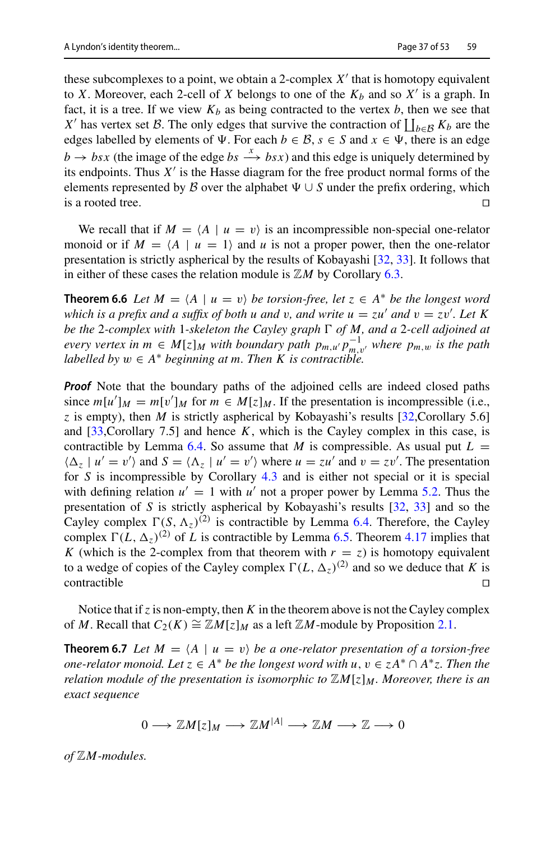these subcomplexes to a point, we obtain a 2-complex  $X'$  that is homotopy equivalent to *X*. Moreover, each 2-cell of *X* belongs to one of the  $K_b$  and so  $X'$  is a graph. In fact, it is a tree. If we view  $K_b$  as being contracted to the vertex  $b$ , then we see that *X'* has vertex set *B*. The only edges that survive the contraction of  $\iint_{b\in B} K_b$  are the edges labelled by elements of  $\Psi$ . For each  $b \in \mathcal{B}$ ,  $s \in S$  and  $x \in \Psi$ , there is an edge  $b \rightarrow bsx$  (the image of the edge  $bs \xrightarrow{x} bsx$ ) and this edge is uniquely determined by its endpoints. Thus  $X'$  is the Hasse diagram for the free product normal forms of the elements represented by *B* over the alphabet  $\Psi \cup S$  under the prefix ordering, which is a rooted tree. is a rooted tree.  $\Box$ 

<span id="page-36-1"></span>We recall that if  $M = \langle A \mid u = v \rangle$  is an incompressible non-special one-relator monoid or if  $M = \langle A \mid u = 1 \rangle$  and *u* is not a proper power, then the one-relator presentation is strictly aspherical by the results of Kobayashi [\[32,](#page-52-12) [33\]](#page-52-13). It follows that in either of these cases the relation module is  $\mathbb{Z}M$  by Corollary [6.3.](#page-35-2)

**Theorem 6.6** *Let*  $M = \langle A \mid u = v \rangle$  *be torsion-free, let*  $z \in A^*$  *be the longest word which is a prefix and a suffix of both u and v, and write*  $u = zu'$  *and*  $v = zv'$ *. Let K be the* 2*-complex with* 1*-skeleton the Cayley graph of M, and a* 2*-cell adjoined at every vertex in*  $m \in M[z]_M$  *with boundary path*  $p_{m,u'}p_{m,v'}^{-1}$  *where*  $p_{m,w}$  *is the path labelled by*  $w \in A^*$  *beginning at m. Then K is contractible.* 

*Proof* Note that the boundary paths of the adjoined cells are indeed closed paths since  $m[u']_M = m[v']_M$  for  $m \in M[z]_M$ . If the presentation is incompressible (i.e., *z* is empty), then *M* is strictly aspherical by Kobayashi's results [\[32](#page-52-12), Corollary 5.6] and  $[33,$  $[33,$ Corollary 7.5] and hence  $K$ , which is the Cayley complex in this case, is contractible by Lemma [6.4.](#page-35-0) So assume that *M* is compressible. As usual put  $L =$  $\langle \Delta_z | u' = v' \rangle$  and  $S = \langle \Delta_z | u' = v' \rangle$  where  $u = zu'$  and  $v = zv'$ . The presentation for *S* is incompressible by Corollary [4.3](#page-19-0) and is either not special or it is special with defining relation  $u' = 1$  with  $u'$  not a proper power by Lemma [5.2.](#page-28-0) Thus the presentation of *S* is strictly aspherical by Kobayashi's results [\[32](#page-52-12), [33\]](#page-52-13) and so the Cayley complex  $\Gamma(S, \Lambda_z)^{(2)}$  is contractible by Lemma [6.4.](#page-35-0) Therefore, the Cayley complex  $\Gamma(L, \Delta_z)^{(2)}$  of *L* is contractible by Lemma [6.5.](#page-35-1) Theorem [4.17](#page-25-0) implies that *K* (which is the 2-complex from that theorem with  $r = z$ ) is homotopy equivalent to a wedge of copies of the Cayley complex  $\Gamma(L, \Delta_z)^{(2)}$  and so we deduce that *K* is  $\Box$ contractible  $\Box$ 

Notice that if*z* is non-empty, then *K* in the theorem above is not the Cayley complex of *M*. Recall that  $C_2(K) \cong \mathbb{Z}M[z]_M$  as a left  $\mathbb{Z}M$ -module by Proposition [2.1.](#page-6-0)

**Theorem 6.7** *Let*  $M = \langle A \mid u = v \rangle$  *be a one-relator presentation of a torsion-free one-relator monoid. Let*  $z \in A^*$  *be the longest word with*  $u, v \in zA^* \cap A^*z$ . Then the *relation module of the presentation is isomorphic to*  $\mathbb{Z}[M]$ *z*]*M. Moreover, there is an exact sequence*

<span id="page-36-0"></span>
$$
0 \longrightarrow \mathbb{Z}M[z]_M \longrightarrow \mathbb{Z}M^{|A|} \longrightarrow \mathbb{Z}M \longrightarrow \mathbb{Z} \longrightarrow 0
$$

*of* Z*M-modules.*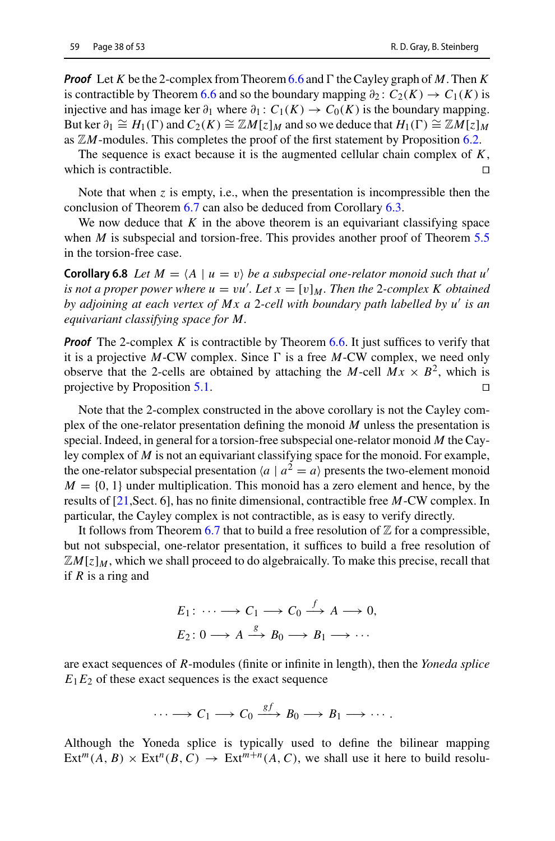*Proof* Let *K* be the 2-complex from Theorem [6.6](#page-36-1) and  $\Gamma$  the Cayley graph of *M*. Then *K* is contractible by Theorem [6.6](#page-36-1) and so the boundary mapping  $\partial_2$ :  $C_2(K) \rightarrow C_1(K)$  is injective and has image ker  $\partial_1$  where  $\partial_1$ :  $C_1(K) \to C_0(K)$  is the boundary mapping. But ker  $\partial_1 \cong H_1(\Gamma)$  and  $C_2(K) \cong \mathbb{Z}M[z]_M$  and so we deduce that  $H_1(\Gamma) \cong \mathbb{Z}M[z]_M$ as  $\mathbb{Z}M$ -modules. This completes the proof of the first statement by Proposition [6.2.](#page-34-2)

The sequence is exact because it is the augmented cellular chain complex of *K*, which is contractible.

Note that when *z* is empty, i.e., when the presentation is incompressible then the conclusion of Theorem [6.7](#page-36-0) can also be deduced from Corollary [6.3.](#page-35-2)

We now deduce that *K* in the above theorem is an equivariant classifying space when *M* is subspecial and torsion-free. This provides another proof of Theorem [5.5](#page-32-0) in the torsion-free case.

**Corollary 6.8** *Let*  $M = \langle A \mid u = v \rangle$  *be a subspecial one-relator monoid such that u' is not a proper power where*  $u = vu'$ *. Let*  $x = [v]_M$ *. Then the 2-complex K obtained by adjoining at each vertex of Mx a* 2*-cell with boundary path labelled by u is an equivariant classifying space for M.*

*Proof* The 2-complex *K* is contractible by Theorem [6.6.](#page-36-1) It just suffices to verify that it is a projective  $M$ -CW complex. Since  $\Gamma$  is a free  $M$ -CW complex, we need only observe that the 2-cells are obtained by attaching the *M*-cell  $Mx \times B^2$ , which is projective by Proposition 5.1. projective by Proposition [5.1.](#page-28-1)

Note that the 2-complex constructed in the above corollary is not the Cayley complex of the one-relator presentation defining the monoid *M* unless the presentation is special. Indeed, in general for a torsion-free subspecial one-relator monoid *M* the Cayley complex of *M* is not an equivariant classifying space for the monoid. For example, the one-relator subspecial presentation  $\langle a \mid a^2 = a \rangle$  presents the two-element monoid  $M = \{0, 1\}$  under multiplication. This monoid has a zero element and hence, by the results of [\[21,](#page-51-15)Sect. 6], has no finite dimensional, contractible free *M*-CW complex. In particular, the Cayley complex is not contractible, as is easy to verify directly.

It follows from Theorem [6.7](#page-36-0) that to build a free resolution of  $\mathbb Z$  for a compressible, but not subspecial, one-relator presentation, it suffices to build a free resolution of  $\mathbb{Z}M[z]_M$ , which we shall proceed to do algebraically. To make this precise, recall that if *R* is a ring and

$$
E_1: \cdots \longrightarrow C_1 \longrightarrow C_0 \xrightarrow{f} A \longrightarrow 0,
$$
  

$$
E_2: 0 \longrightarrow A \xrightarrow{g} B_0 \longrightarrow B_1 \longrightarrow \cdots
$$

are exact sequences of *R*-modules (finite or infinite in length), then the *Yoneda splice*  $E_1E_2$  of these exact sequences is the exact sequence

$$
\cdots \longrightarrow C_1 \longrightarrow C_0 \xrightarrow{gf} B_0 \longrightarrow B_1 \longrightarrow \cdots.
$$

Although the Yoneda splice is typically used to define the bilinear mapping  $Ext^{m}(A, B) \times Ext^{n}(B, C) \rightarrow Ext^{m+n}(A, C)$ , we shall use it here to build resolu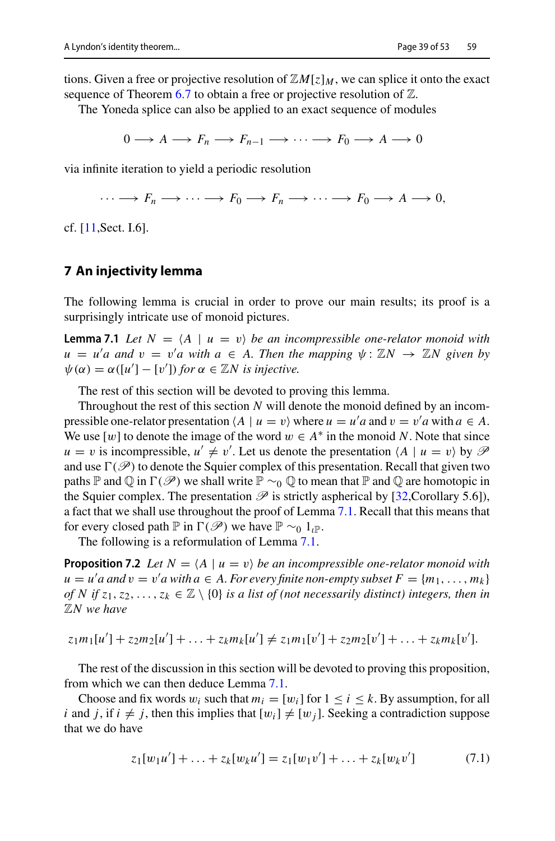tions. Given a free or projective resolution of  $\mathbb{Z}[X]\times \mathbb{Z}[X]$ , we can splice it onto the exact sequence of Theorem [6.7](#page-36-0) to obtain a free or projective resolution of  $\mathbb{Z}$ .

The Yoneda splice can also be applied to an exact sequence of modules

 $0 \longrightarrow A \longrightarrow F_n \longrightarrow F_{n-1} \longrightarrow \cdots \longrightarrow F_0 \longrightarrow A \longrightarrow 0$ 

via infinite iteration to yield a periodic resolution

<span id="page-38-1"></span> $\cdots \longrightarrow F_n \longrightarrow \cdots \longrightarrow F_0 \longrightarrow F_n \longrightarrow \cdots \longrightarrow F_0 \longrightarrow A \longrightarrow 0,$ 

cf. [\[11,](#page-51-21)Sect. I.6].

#### <span id="page-38-0"></span>**7 An injectivity lemma**

The following lemma is crucial in order to prove our main results; its proof is a surprisingly intricate use of monoid pictures.

**Lemma 7.1** *Let*  $N = \langle A \mid u = v \rangle$  *be an incompressible one-relator monoid with*  $u = u'$  *a* and  $v = v'$  *a* with  $a \in A$ . Then the mapping  $\psi : \mathbb{Z}N \to \mathbb{Z}N$  given by  $\psi(\alpha) = \alpha([u'] - [v'])$  *for*  $\alpha \in \mathbb{Z}N$  *is injective.* 

The rest of this section will be devoted to proving this lemma.

Throughout the rest of this section *N* will denote the monoid defined by an incompressible one-relator presentation  $\langle A \mid u = v \rangle$  where  $u = u' a$  and  $v = v' a$  with  $a \in A$ . We use  $[w]$  to denote the image of the word  $w \in A^*$  in the monoid N. Note that since  $u = v$  is incompressible,  $u' \neq v'$ . Let us denote the presentation  $\langle A | u = v \rangle$  by  $\mathcal{P}$ and use  $\Gamma(\mathscr{P})$  to denote the Squier complex of this presentation. Recall that given two paths P and  $\mathbb Q$  in  $\Gamma(\mathscr P)$  we shall write  $\mathbb P \sim_0 \mathbb Q$  to mean that  $\mathbb P$  and  $\mathbb Q$  are homotopic in the Squier complex. The presentation  $\mathscr P$  is strictly aspherical by [\[32](#page-52-12),Corollary 5.6]), a fact that we shall use throughout the proof of Lemma [7.1.](#page-38-1) Recall that this means that for every closed path P in  $\Gamma(\mathscr{P})$  we have  $\mathbb{P} \sim_0 1_{\ell} \mathbb{P}$ .

<span id="page-38-3"></span>The following is a reformulation of Lemma [7.1.](#page-38-1)

**Proposition 7.2** *Let*  $N = \langle A \mid u = v \rangle$  *be an incompressible one-relator monoid with*  $u = u'$  a and  $v = v'$  a with  $a \in A$ . For every finite non-empty subset  $F = \{m_1, \ldots, m_k\}$ *of N* if  $z_1, z_2, \ldots, z_k \in \mathbb{Z} \setminus \{0\}$  *is a list of (not necessarily distinct) integers, then in* Z*N we have*

$$
z_1m_1[u'] + z_2m_2[u'] + \ldots + z_km_k[u'] \neq z_1m_1[v'] + z_2m_2[v'] + \ldots + z_km_k[v'].
$$

The rest of the discussion in this section will be devoted to proving this proposition, from which we can then deduce Lemma [7.1.](#page-38-1)

Choose and fix words  $w_i$  such that  $m_i = [w_i]$  for  $1 \le i \le k$ . By assumption, for all *i* and *j*, if  $i \neq j$ , then this implies that  $[w_i] \neq [w_j]$ . Seeking a contradiction suppose that we do have

<span id="page-38-2"></span>
$$
z_1[w_1u'] + \ldots + z_k[w_ku'] = z_1[w_1v'] + \ldots + z_k[w_kv'] \tag{7.1}
$$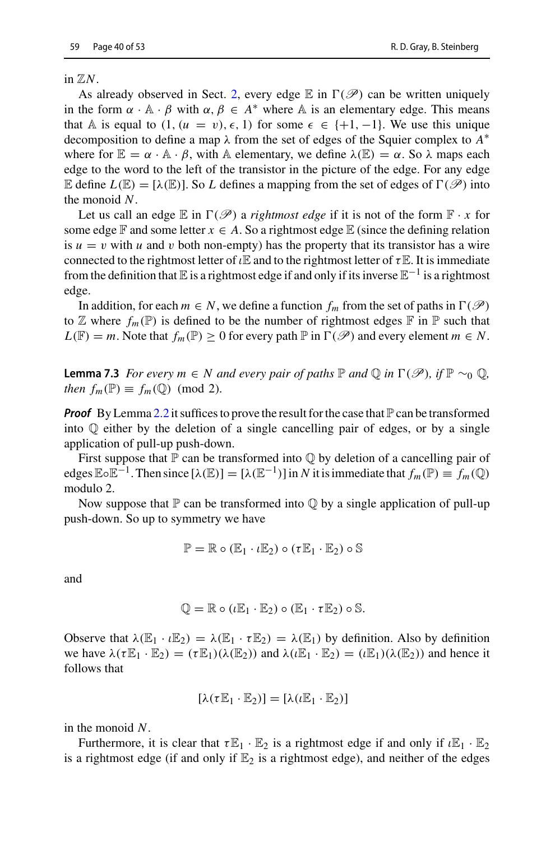in  $\mathbb{Z}N$ .

As already observed in Sect. [2,](#page-4-0) every edge  $\mathbb E$  in  $\Gamma(\mathscr P)$  can be written uniquely in the form  $\alpha \cdot A \cdot \beta$  with  $\alpha, \beta \in A^*$  where A is an elementary edge. This means that A is equal to  $(1, (u = v), \epsilon, 1)$  for some  $\epsilon \in \{+1, -1\}$ . We use this unique decomposition to define a map λ from the set of edges of the Squier complex to *A*∗ where for  $\mathbb{E} = \alpha \cdot \mathbb{A} \cdot \beta$ , with A elementary, we define  $\lambda(\mathbb{E}) = \alpha$ . So  $\lambda$  maps each edge to the word to the left of the transistor in the picture of the edge. For any edge E define  $L(\mathbb{E}) = [\lambda(\mathbb{E})]$ . So L defines a mapping from the set of edges of  $\Gamma(\mathscr{P})$  into the monoid *N*.

Let us call an edge  $\mathbb E$  in  $\Gamma(\mathscr P)$  a *rightmost edge* if it is not of the form  $\mathbb F \cdot x$  for some edge  $\mathbb F$  and some letter  $x \in A$ . So a rightmost edge  $\mathbb E$  (since the defining relation is  $u = v$  with *u* and *v* both non-empty) has the property that its transistor has a wire connected to the rightmost letter of  $\iota \mathbb{E}$  and to the rightmost letter of  $\tau \mathbb{E}$ . It is immediate from the definition that E is a rightmost edge if and only if its inverse  $\mathbb{E}^{-1}$  is a rightmost edge.

<span id="page-39-0"></span>In addition, for each  $m \in N$ , we define a function  $f_m$  from the set of paths in  $\Gamma(\mathscr{P})$ to  $\mathbb Z$  where  $f_m(\mathbb P)$  is defined to be the number of rightmost edges  $\mathbb F$  in  $\mathbb P$  such that  $L(\mathbb{F}) = m$ . Note that  $f_m(\mathbb{P}) \geq 0$  for every path  $\mathbb{P}$  in  $\Gamma(\mathscr{P})$  and every element  $m \in N$ .

**Lemma 7.3** *For every m* ∈ *N and every pair of paths*  $\mathbb P$  *and*  $\mathbb Q$  *in*  $\Gamma(\mathscr P)$ *, if*  $\mathbb P \sim_0 \mathbb Q$ *, then*  $f_m(\mathbb{P}) \equiv f_m(\mathbb{Q}) \pmod{2}$ .

*Proof* By Lemma [2.2](#page-10-1) it suffices to prove the result for the case that  $\mathbb P$  can be transformed into Q either by the deletion of a single cancelling pair of edges, or by a single application of pull-up push-down.

First suppose that  $\mathbb P$  can be transformed into  $\mathbb Q$  by deletion of a cancelling pair of edges  $\mathbb{E} \circ \mathbb{E}^{-1}$ . Then since  $[\lambda(\mathbb{E})] = [\lambda(\mathbb{E}^{-1})]$  in *N* it is immediate that  $f_m(\mathbb{P}) \equiv f_m(\mathbb{Q})$ modulo 2.

Now suppose that  $\mathbb P$  can be transformed into  $\mathbb Q$  by a single application of pull-up push-down. So up to symmetry we have

$$
\mathbb{P} = \mathbb{R} \circ (\mathbb{E}_1 \cdot \iota \mathbb{E}_2) \circ (\tau \mathbb{E}_1 \cdot \mathbb{E}_2) \circ \mathbb{S}
$$

and

$$
\mathbb{Q} = \mathbb{R} \circ (\iota \mathbb{E}_1 \cdot \mathbb{E}_2) \circ (\mathbb{E}_1 \cdot \tau \mathbb{E}_2) \circ \mathbb{S}.
$$

Observe that  $\lambda(\mathbb{E}_1 \cdot \iota \mathbb{E}_2) = \lambda(\mathbb{E}_1 \cdot \tau \mathbb{E}_2) = \lambda(\mathbb{E}_1)$  by definition. Also by definition we have  $\lambda(\tau \mathbb{E}_1 \cdot \mathbb{E}_2) = (\tau \mathbb{E}_1)(\lambda(\mathbb{E}_2))$  and  $\lambda(\iota \mathbb{E}_1 \cdot \mathbb{E}_2) = (\iota \mathbb{E}_1)(\lambda(\mathbb{E}_2))$  and hence it follows that

$$
[\lambda(\tau\mathbb{E}_1\cdot\mathbb{E}_2)]=[\lambda(\iota\mathbb{E}_1\cdot\mathbb{E}_2)]
$$

in the monoid *N*.

Furthermore, it is clear that  $\tau \mathbb{E}_1 \cdot \mathbb{E}_2$  is a rightmost edge if and only if  $\iota \mathbb{E}_1 \cdot \mathbb{E}_2$ is a rightmost edge (if and only if  $\mathbb{E}_2$  is a rightmost edge), and neither of the edges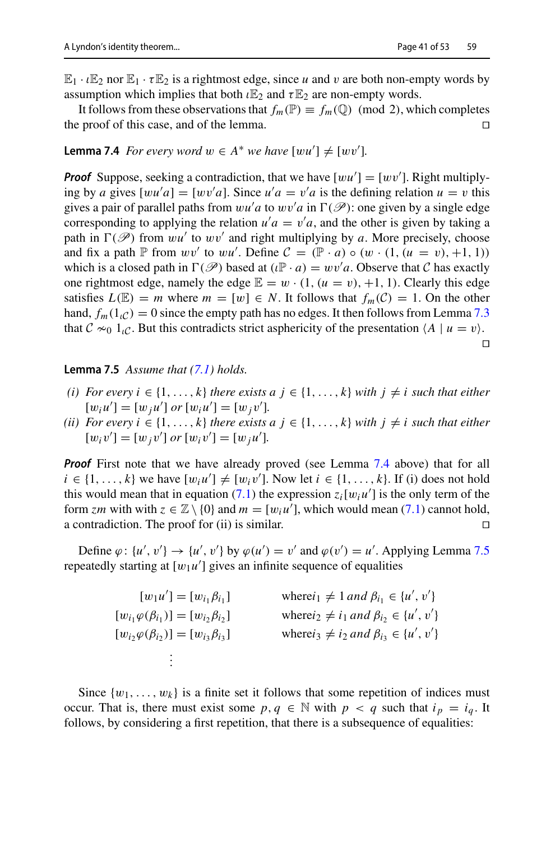$\mathbb{E}_1 \cdot \iota \mathbb{E}_2$  nor  $\mathbb{E}_1 \cdot \tau \mathbb{E}_2$  is a rightmost edge, since *u* and *v* are both non-empty words by assumption which implies that both  $\iota \mathbb{E}_2$  and  $\tau \mathbb{E}_2$  are non-empty words.

It follows from these observations that  $f_m(\mathbb{P}) \equiv f_m(\mathbb{Q}) \pmod{2}$ , which completes the proof of this case, and of the lemma. the proof of this case, and of the lemma.

# <span id="page-40-0"></span>**Lemma 7.4** *For every word*  $w \in A^*$  *we have*  $[wu'] \neq [wv']$ *.*

**Proof** Suppose, seeking a contradiction, that we have  $[wu'] = [wv']$ . Right multiplying by *a* gives  $[wu'a] = [wv'a]$ . Since  $u'a = v'a$  is the defining relation  $u = v$  this gives a pair of parallel paths from  $wu'a$  to  $wv'a$  in  $\Gamma(\mathscr{P})$ : one given by a single edge corresponding to applying the relation  $u/a = v/a$ , and the other is given by taking a path in  $\Gamma(\mathscr{P})$  from wu' to wv' and right multiplying by *a*. More precisely, choose and fix a path  $\mathbb P$  from  $wv'$  to  $wu'$ . Define  $\mathcal C = (\mathbb P \cdot a) \circ (w \cdot (1, (u = v), +1, 1))$ which is a closed path in  $\Gamma(\mathcal{P})$  based at  $(\iota \mathbb{P} \cdot a) = wv'a$ . Observe that *C* has exactly one rightmost edge, namely the edge  $\mathbb{E} = w \cdot (1, (u = v), +1, 1)$ . Clearly this edge satisfies  $L(\mathbb{E}) = m$  where  $m = [w] \in N$ . It follows that  $f_m(\mathcal{C}) = 1$ . On the other hand,  $f_m(1\nc) = 0$  since the empty path has no edges. It then follows from Lemma [7.3](#page-39-0) that  $C \approx 1_C$ . But this contradicts strict asphericity of the presentation  $\langle A | u = v \rangle$ .

 $\Box$ 

#### <span id="page-40-1"></span>**Lemma 7.5** *Assume that [\(7.1\)](#page-38-2) holds.*

- *(i)* For every  $i \in \{1, \ldots, k\}$  there exists  $a \, j \in \{1, \ldots, k\}$  with  $j \neq i$  such that either  $[w_i u'] = [w_j u']$  or  $[w_i u'] = [w_j v']$ .
- *(ii) For every i* ∈ {1, ..., *k*} *there exists a j* ∈ {1, ..., *k*} *with j*  $\neq$  *i such that either*  $[w_i v'] = [w_j v']$  or  $[w_i v'] = [w_j u']$ .

*Proof* First note that we have already proved (see Lemma [7.4](#page-40-0) above) that for all  $i \in \{1, \ldots, k\}$  we have  $[w_i u'] \neq [w_i v']$ . Now let  $i \in \{1, \ldots, k\}$ . If (i) does not hold this would mean that in equation [\(7.1\)](#page-38-2) the expression  $z_i[w_i u']$  is the only term of the form *zm* with with  $z \in \mathbb{Z} \setminus \{0\}$  and  $m = [w_i u']$ , which would mean [\(7.1\)](#page-38-2) cannot hold, a contradiction. The proof for (ii) is similar.  $\Box$ 

Define  $\varphi: \{u', v'\} \to \{u', v'\}$  by  $\varphi(u') = v'$  and  $\varphi(v') = u'$ . Applying Lemma [7.5](#page-40-1) repeatedly starting at  $[w_1u']$  gives an infinite sequence of equalities

| $[w_1u'] = [w_{i_1}\beta_{i_1}]$                       | where $i_1 \neq 1$ and $\beta_{i_1} \in \{u', v'\}$   |
|--------------------------------------------------------|-------------------------------------------------------|
| $[w_{i_1}\varphi(\beta_{i_1})] = [w_{i_2}\beta_{i_2}]$ | where $i_2 \neq i_1$ and $\beta_{i_2} \in \{u', v'\}$ |
| $[w_{i_2}\varphi(\beta_{i_2})] = [w_{i_3}\beta_{i_3}]$ | where $i_3 \neq i_2$ and $\beta_{i_3} \in \{u', v'\}$ |
|                                                        |                                                       |

Since  $\{w_1, \ldots, w_k\}$  is a finite set it follows that some repetition of indices must occur. That is, there must exist some  $p, q \in \mathbb{N}$  with  $p < q$  such that  $i_p = i_q$ . It follows, by considering a first repetition, that there is a subsequence of equalities: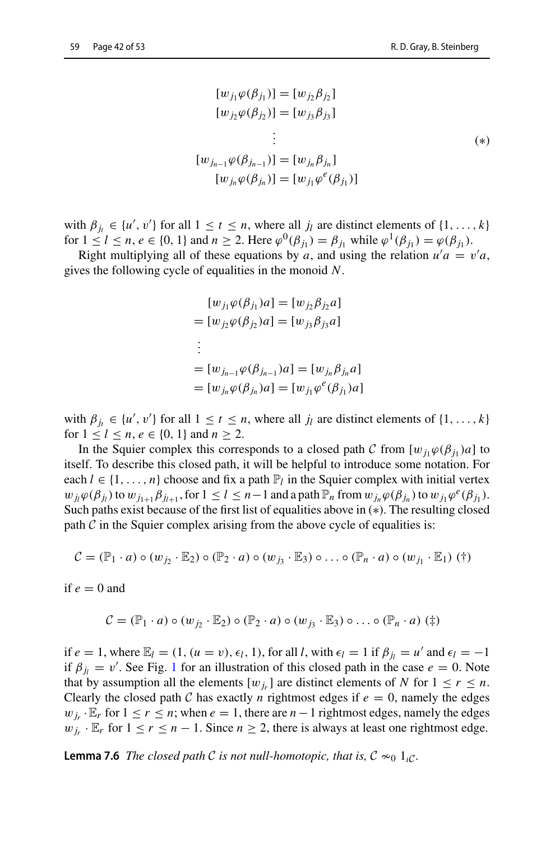$$
[w_{j_1}\varphi(\beta_{j_1})] = [w_{j_2}\beta_{j_2}]
$$
  
\n
$$
[w_{j_2}\varphi(\beta_{j_2})] = [w_{j_3}\beta_{j_3}]
$$
  
\n
$$
\vdots
$$
  
\n
$$
[w_{j_{n-1}}\varphi(\beta_{j_{n-1}})] = [w_{j_n}\beta_{j_n}]
$$
  
\n
$$
[w_{j_n}\varphi(\beta_{j_n})] = [w_{j_1}\varphi^e(\beta_{j_1})]
$$
  
\n(\*)

with  $\beta_{j_t} \in \{u', v'\}$  for all  $1 \le t \le n$ , where all  $j_l$  are distinct elements of  $\{1, \ldots, k\}$ for  $1 \leq l \leq n, e \in \{0, 1\}$  and  $n \geq 2$ . Here  $\varphi^0(\beta_{i_1}) = \beta_{i_1}$  while  $\varphi^1(\beta_{i_1}) = \varphi(\beta_{i_1})$ .

Right multiplying all of these equations by *a*, and using the relation  $u'a = v'a$ , gives the following cycle of equalities in the monoid *N*.

$$
[w_{j_1}\varphi(\beta_{j_1})a] = [w_{j_2}\beta_{j_2}a]
$$
  
= 
$$
[w_{j_2}\varphi(\beta_{j_2})a] = [w_{j_3}\beta_{j_3}a]
$$
  
:  
= 
$$
[w_{j_{n-1}}\varphi(\beta_{j_{n-1}})a] = [w_{j_n}\beta_{j_n}a]
$$
  
= 
$$
[w_{j_n}\varphi(\beta_{j_n})a] = [w_{j_1}\varphi^e(\beta_{j_1})a]
$$

with  $\beta_{j_t} \in \{u', v'\}$  for all  $1 \le t \le n$ , where all  $j_l$  are distinct elements of  $\{1, \ldots, k\}$ for  $1 \leq l \leq n, e \in \{0, 1\}$  and  $n \geq 2$ .

In the Squier complex this corresponds to a closed path *C* from  $[w_i, \varphi(\beta_i), a]$  to itself. To describe this closed path, it will be helpful to introduce some notation. For each  $l \in \{1, \ldots, n\}$  choose and fix a path  $\mathbb{P}_l$  in the Squier complex with initial vertex  $w_{ij}\varphi(\beta_{ij})$  to  $w_{j_{1+1}}\beta_{j_{l+1}}$ , for  $1 \leq l \leq n-1$  and a path  $\mathbb{P}_n$  from  $w_{j_n}\varphi(\beta_{j_n})$  to  $w_{j_1}\varphi^e(\beta_{j_1})$ . Such paths exist because of the first list of equalities above in (∗). The resulting closed path  $C$  in the Squier complex arising from the above cycle of equalities is:

$$
\mathcal{C} = (\mathbb{P}_1 \cdot a) \circ (w_{j_2} \cdot \mathbb{E}_2) \circ (\mathbb{P}_2 \cdot a) \circ (w_{j_3} \cdot \mathbb{E}_3) \circ \ldots \circ (\mathbb{P}_n \cdot a) \circ (w_{j_1} \cdot \mathbb{E}_1) (\dagger)
$$

if  $e = 0$  and

$$
\mathcal{C} = (\mathbb{P}_1 \cdot a) \circ (w_{j_2} \cdot \mathbb{E}_2) \circ (\mathbb{P}_2 \cdot a) \circ (w_{j_3} \cdot \mathbb{E}_3) \circ \ldots \circ (\mathbb{P}_n \cdot a) (\dagger)
$$

if  $e = 1$ , where  $\mathbb{E}_l = (1, (u = v), \epsilon_l, 1)$ , for all *l*, with  $\epsilon_l = 1$  if  $\beta_{l_l} = u'$  and  $\epsilon_l = -1$ if  $\beta_{j_l} = v'$ . See Fig. [1](#page-42-0) for an illustration of this closed path in the case  $e = 0$ . Note that by assumption all the elements  $[w_j]$  are distinct elements of *N* for  $1 \le r \le n$ . Clearly the closed path *C* has exactly *n* rightmost edges if  $e = 0$ , namely the edges  $w_{i_r}$  ·  $\mathbb{E}_r$  for  $1 \le r \le n$ ; when  $e = 1$ , there are  $n - 1$  rightmost edges, namely the edges  $w_{i_r} \cdot \mathbb{E}_r$  for  $1 \le r \le n - 1$ . Since  $n \ge 2$ , there is always at least one rightmost edge.

<span id="page-41-0"></span>**Lemma 7.6** *The closed path C is not null-homotopic, that is,*  $C \approx 0$  1<sub>*iC*</sub>.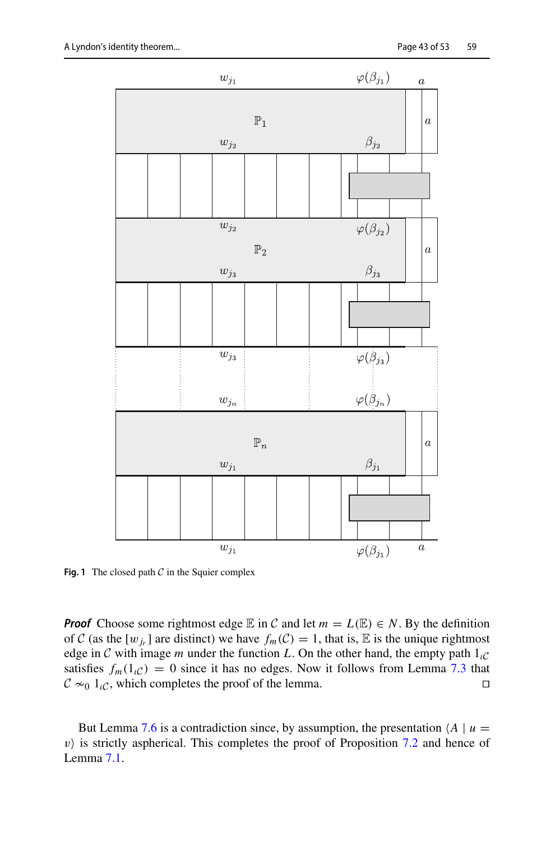

<span id="page-42-0"></span>**Fig. 1** The closed path  $C$  in the Squier complex

*Proof* Choose some rightmost edge  $E$  in *C* and let  $m = L(E) \in N$ . By the definition of *C* (as the  $[w_j]$  are distinct) we have  $f_m(\mathcal{C}) = 1$ , that is, E is the unique rightmost edge in *C* with image *m* under the function *L*. On the other hand, the empty path  $1_{\ell}$ <sup>*C*</sup> satisfies  $f_m(1_{i}C) = 0$  since it has no edges. Now it follows from Lemma [7.3](#page-39-0) that  $C \approx 0.1$ . which completes the proof of the lemma.  $C \approx 1_C$ , which completes the proof of the lemma.

But Lemma [7.6](#page-41-0) is a contradiction since, by assumption, the presentation  $\langle A | u =$  $v$ ) is strictly aspherical. This completes the proof of Proposition [7.2](#page-38-3) and hence of Lemma [7.1.](#page-38-1)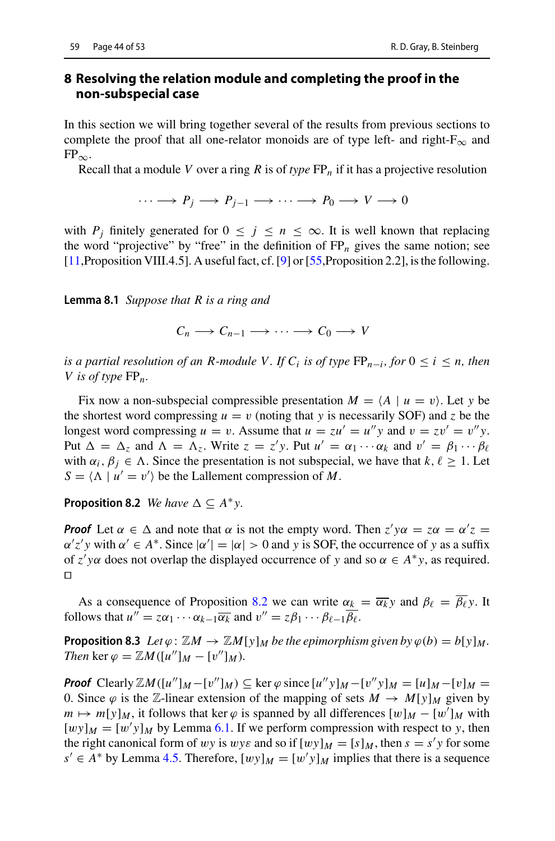## <span id="page-43-0"></span>**8 Resolving the relation module and completing the proof in the non-subspecial case**

In this section we will bring together several of the results from previous sections to complete the proof that all one-relator monoids are of type left- and right- $F_{\infty}$  and  $FP_{\infty}$ .

Recall that a module *V* over a ring *R* is of *type* FP*<sup>n</sup>* if it has a projective resolution

$$
\cdots \longrightarrow P_j \longrightarrow P_{j-1} \longrightarrow \cdots \longrightarrow P_0 \longrightarrow V \longrightarrow 0
$$

<span id="page-43-3"></span>with  $P_j$  finitely generated for  $0 \le j \le n \le \infty$ . It is well known that replacing the word "projective" by "free" in the definition of  $FP_n$  gives the same notion; see  $[11,$  $[11,$ Proposition VIII.4.5]. A useful fact, cf.  $[9]$  $[9]$  or  $[55,$  $[55,$ Proposition 2.2], is the following.

**Lemma 8.1** *Suppose that R is a ring and*

 $C_n \longrightarrow C_{n-1} \longrightarrow \cdots \longrightarrow C_0 \longrightarrow V$ 

*is a partial resolution of an R-module V. If*  $C_i$  *<i>is of type*  $FP_{n-i}$ , *for*  $0 \le i \le n$ *, then V is of type* FP*n.*

Fix now a non-subspecial compressible presentation  $M = \langle A | u = v \rangle$ . Let *y* be the shortest word compressing  $u = v$  (noting that *y* is necessarily SOF) and *z* be the longest word compressing  $u = v$ . Assume that  $u = zu' = u''y$  and  $v = zv' = v''y$ . Put  $\Delta = \Delta_z$  and  $\Lambda = \Lambda_z$ . Write  $z = z'y$ . Put  $u' = \alpha_1 \cdots \alpha_k$  and  $v' = \beta_1 \cdots \beta_\ell$ with  $\alpha_i, \beta_j \in \Lambda$ . Since the presentation is not subspecial, we have that  $k, \ell \geq 1$ . Let  $S = \langle \Lambda | u' = v' \rangle$  be the Lallement compression of *M*.

<span id="page-43-1"></span>**Proposition 8.2** *We have*  $\Delta \subseteq A^*y$ .

*Proof* Let  $\alpha \in \Delta$  and note that  $\alpha$  is not the empty word. Then  $z' y \alpha = z \alpha = \alpha' z =$  $\alpha'z'y$  with  $\alpha' \in A^*$ . Since  $|\alpha'| = |\alpha| > 0$  and *y* is SOF, the occurrence of *y* as a suffix of  $z'$  y $\alpha$  does not overlap the displayed occurrence of *y* and so  $\alpha \in A^*y$ , as required.  $\Box$ 

<span id="page-43-2"></span>As a consequence of Proposition [8.2](#page-43-1) we can write  $\alpha_k = \overline{\alpha_k} y$  and  $\beta_\ell = \overline{\beta_\ell} y$ . It follows that  $u'' = z\alpha_1 \cdots \alpha_{k-1} \overline{\alpha_k}$  and  $v'' = z\beta_1 \cdots \beta_{\ell-1} \overline{\beta_{\ell}}$ .

**Proposition 8.3** *Let*  $\varphi$  :  $\mathbb{Z}M \to \mathbb{Z}M[y]_M$  *be the epimorphism given by*  $\varphi(b) = b[y]_M$ *. Then* ker  $\varphi = \mathbb{Z}M([u'']_M - [v'']_M)$ *.* 

*Proof* Clearly  $\mathbb{Z}M([u'']_M - [v'']_M) \subseteq \ker \varphi$  since  $[u''y]_M - [v'y]_M = [u]_M - [v]_M =$ 0. Since  $\varphi$  is the Z-linear extension of the mapping of sets  $M \to M[y]_M$  given by  $m \mapsto m[y]_M$ , it follows that ker  $\varphi$  is spanned by all differences  $[w]_M - [w']_M$  with  $[wy]_M = [w'y]_M$  by Lemma [6.1.](#page-34-1) If we perform compression with respect to *y*, then the right canonical form of wy is wy $\varepsilon$  and so if  $[wy]_M = [s]_M$ , then  $s = s'y$  for some *s*<sup> $′$ </sup> ∈ *A*<sup>\*</sup> by Lemma [4.5.](#page-20-0) Therefore,  $[wy]_M = [w'y]_M$  implies that there is a sequence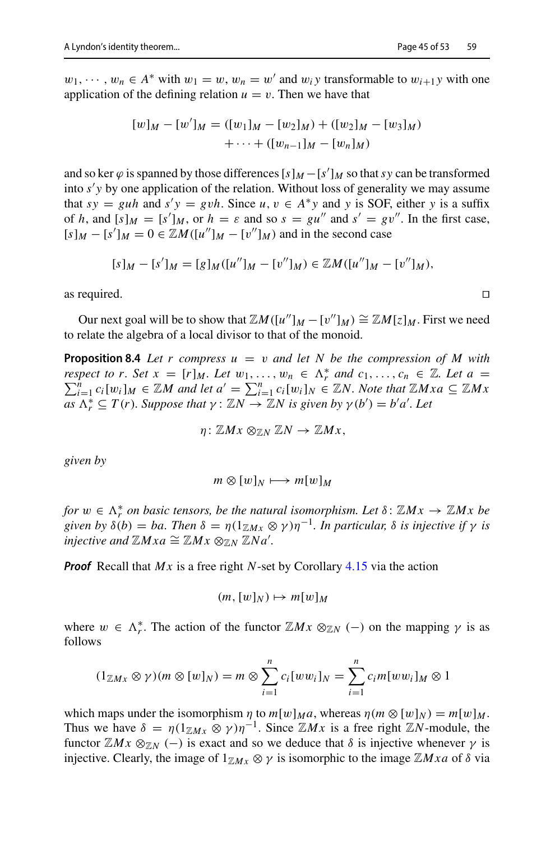$w_1, \dots, w_n \in A^*$  with  $w_1 = w, w_n = w'$  and  $w_i$  *y* transformable to  $w_{i+1}$ *y* with one application of the defining relation  $u = v$ . Then we have that

$$
[w]_M - [w']_M = ([w_1]_M - [w_2]_M) + ([w_2]_M - [w_3]_M)
$$
  
 
$$
+ \cdots + ([w_{n-1}]_M - [w_n]_M)
$$

and so ker  $\varphi$  is spanned by those differences  $[s]_M - [s']_M$  so that *sy* can be transformed into *s y* by one application of the relation. Without loss of generality we may assume that  $sy = guh$  and  $s'y = gvh$ . Since  $u, v \in A^*y$  and *y* is SOF, either *y* is a suffix of *h*, and  $[s]_M = [s']_M$ , or  $h = \varepsilon$  and so  $s = gu''$  and  $s' = gv''$ . In the first case,  $[s]_M - [s']_M = 0 \in \mathbb{Z}M([u'']_M - [v'']_M)$  and in the second case

 $[s]_M - [s']_M = [g]_M([u'']_M - [v'']_M) \in \mathbb{Z}M([u'']_M - [v'']_M),$ 

as required.  $\Box$ 

Our next goal will be to show that  $\mathbb{Z}M([u'']_M - [v'']_M) \cong \mathbb{Z}M[z]_M$ . First we need to relate the algebra of a local divisor to that of the monoid.

**Proposition 8.4** *Let r compress*  $u = v$  *and let N be the compression of M with respect to r. Set*  $x = [r]_M$ . Let  $w_1, \ldots, w_n \in \Lambda_r^*$  and  $c_1, \ldots, c_n \in \mathbb{Z}$ . Let  $a = \sum_{i=1}^n c_i \ln x_i \in \mathbb{Z}M$  and let  $a' = \sum_{i=1}^n c_i \ln x_i \in \mathbb{Z}M$  Note that  $\mathbb{Z}M$  x  $a \in \mathbb{Z}M$  x *i*<sub>c</sub>  $\sum_{i=1}^{n} c_i[w_i]_M \in \mathbb{Z}M$  and let  $a' = \sum_{i=1}^{n} c_i[w_i]_N \in \mathbb{Z}N$ . Note that  $\mathbb{Z}Mxa \subseteq \mathbb{Z}Mx$ <br> $\sum_{i=1}^{n} c_i[w_i]_M \in \mathbb{Z}M$  and let  $a' = \sum_{i=1}^{n} c_i[w_i]_N \in \mathbb{Z}N$ . Note that  $\mathbb{Z}Mxa \subseteq \mathbb{Z}Mx$  $\overline{a}$ *s*  $\Lambda_r^* \subseteq T(r)$ *. Suppose that*  $\gamma : \mathbb{Z}N \to \mathbb{Z}N$  *is given by*  $\gamma(b') = b'a'$ *. Let* 

 $\eta: \mathbb{Z}Mx \otimes_{\mathbb{Z}N} \mathbb{Z}N \to \mathbb{Z}Mx$ ,

*given by*

 $m \otimes [w]_N \longmapsto m[w]_M$ 

*for*  $w \in \Lambda_r^*$  *on basic tensors, be the natural isomorphism. Let*  $\delta$ :  $\mathbb{Z}Mx \to \mathbb{Z}Mx$  be *given by*  $\delta(b) = ba$ *. Then*  $\delta = \eta(1_{\mathbb{Z}}M_X \otimes \gamma)\eta^{-1}$ *. In particular,*  $\delta$  *is injective if*  $\gamma$  *is injective and*  $\mathbb{Z}Mxa \cong \mathbb{Z}Mx \otimes_{\mathbb{Z}N} \mathbb{Z}Na'$ .

*Proof* Recall that *Mx* is a free right *N*-set by Corollary [4.15](#page-23-3) via the action

$$
(m,[w]_N)\mapsto m[w]_M
$$

where  $w \in \Lambda_r^*$ . The action of the functor  $\mathbb{Z}Mx \otimes_{\mathbb{Z}N} (-)$  on the mapping  $\gamma$  is as follows

$$
(1_{\mathbb{Z}Mx}\otimes \gamma)(m\otimes [w]_N)=m\otimes \sum_{i=1}^n c_i [ww_i]_N=\sum_{i=1}^n c_i m[ww_i]_M\otimes 1
$$

which maps under the isomorphism  $\eta$  to  $m[w]_M a$ , whereas  $\eta(m \otimes [w]_N) = m[w]_M$ . Thus we have  $\delta = \eta(1_{\mathbb{Z}}M_X \otimes \gamma)\eta^{-1}$ . Since  $\mathbb{Z}M_X$  is a free right  $\mathbb{Z}N$ -module, the functor  $\mathbb{Z}Mx \otimes_{\mathbb{Z}N} (-)$  is exact and so we deduce that  $\delta$  is injective whenever  $\gamma$  is injective. Clearly, the image of  $1_{\mathbb{Z}}M_X \otimes \gamma$  is isomorphic to the image  $\mathbb{Z}Mxa$  of  $\delta$  via

<span id="page-44-0"></span>
$$
\Box
$$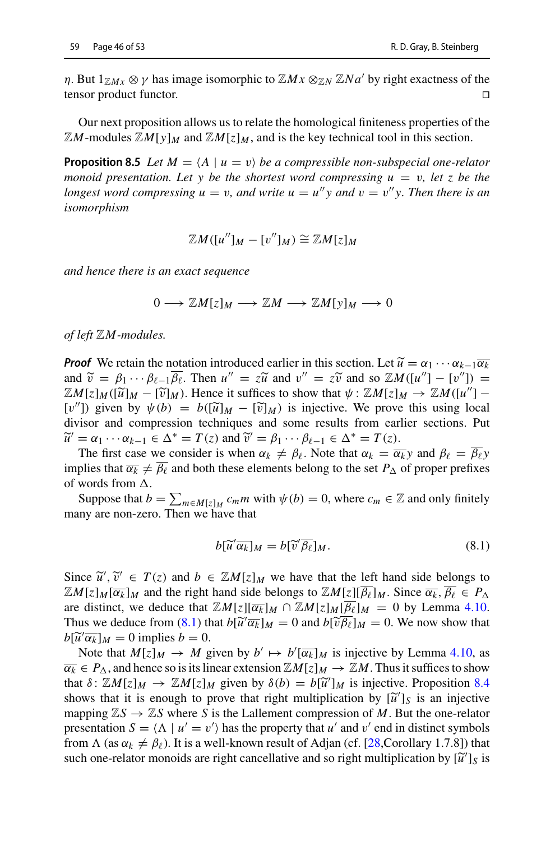$\eta$ . But  $1_{\mathbb{Z}} M_x \otimes \gamma$  has image isomorphic to  $\mathbb{Z} M_x \otimes_{\mathbb{Z}} N \mathbb{Z} N_a$  by right exactness of the tensor product functor.

Our next proposition allows us to relate the homological finiteness properties of the  $\mathbb{Z}M$ -modules  $\mathbb{Z}M[v]_M$  and  $\mathbb{Z}M[z]_M$ , and is the key technical tool in this section.

**Proposition 8.5** *Let*  $M = \langle A \mid u = v \rangle$  *be a compressible non-subspecial one-relator monoid presentation. Let y be the shortest word compressing*  $u = v$ *, let z be the longest word compressing*  $u = v$ , and write  $u = u''y$  and  $v = v''y$ . Then there is an *isomorphism*

<span id="page-45-1"></span>
$$
\mathbb{Z}M([u'']_M - [v'']_M) \cong \mathbb{Z}M[z]_M
$$

*and hence there is an exact sequence*

 $0 \longrightarrow \mathbb{Z}M[z]_M \longrightarrow \mathbb{Z}M \longrightarrow \mathbb{Z}M[y]_M \longrightarrow 0$ 

*of left* Z*M-modules.*

*Proof* We retain the notation introduced earlier in this section. Let  $\widetilde{u} = \alpha_1 \cdots \alpha_{k-1} \overline{\alpha_k}$ and  $\widetilde{v} = \beta_1 \cdots \beta_{\ell-1} \overline{\beta_{\ell}}$ . Then  $u'' = z\widetilde{u}$  and  $v'' = z\widetilde{v}$  and so  $\mathbb{Z}M([u''] - [v'']) =$  $\mathbb{Z}M[z]_M([\widetilde{u}]_M - [\widetilde{v}]_M)$ . Hence it suffices to show that  $\psi : \mathbb{Z}M[z]_M \to \mathbb{Z}M([u''] - \mathbb{Z}M)$ [v'']) given by  $\psi(b) = b([\tilde{u}]_M - [\tilde{v}]_M)$  is injective. We prove this using local divisor and compression techniques and some results from earlier sections. Put  $\widetilde{u}' = \alpha_1 \cdots \alpha_{k-1} \in \Delta^* = T(z)$  and  $\widetilde{v}' = \beta_1 \cdots \beta_{\ell-1} \in \Delta^* = T(z)$ .

The first case we consider is when  $\alpha_k \neq \beta_\ell$ . Note that  $\alpha_k = \overline{\alpha_k} y$  and  $\beta_\ell = \overline{\beta_\ell} y$ implies that  $\overline{\alpha_k} \neq \beta_\ell$  and both these elements belong to the set  $P_\Delta$  of proper prefixes of words from  $\Delta$ .

Suppose that  $b = \sum_{m \in M[z]_M} c_m m$  with  $\psi(b) = 0$ , where  $c_m \in \mathbb{Z}$  and only finitely many are non-zero. Then we have that

<span id="page-45-0"></span>
$$
b[\widetilde{u}'\overline{\alpha_k}]_M = b[\widetilde{v}'\overline{\beta_\ell}]_M. \tag{8.1}
$$

Since  $\widetilde{u}'$ ,  $\widetilde{v}' \in T(z)$  and  $b \in \mathbb{Z}M[z]_M$  we have that the left hand side belongs to  $\mathbb{Z}M[z][\overline{R_z}]_M$ . Since  $\overline{\alpha_i} \overline{R_z} \in P$ ,  $\mathbb{Z}[M]z[M]\overline{\alpha_k}]_M$  and the right hand side belongs to  $\mathbb{Z}[M]z][\overline{\beta_\ell}]_M$ . Since  $\overline{\alpha_k}, \overline{\beta_\ell} \in P_\Lambda$ are distinct, we deduce that  $\mathbb{Z}M[z][\overline{\alpha_k}]_M \cap \mathbb{Z}M[z]_M[\overline{\beta_\ell}]_M = 0$  by Lemma [4.10.](#page-22-1) Thus we deduce from [\(8.1\)](#page-45-0) that  $b\left[\tilde{u}'\overline{\alpha_k}\right]_M = 0$  and  $b\left[\tilde{v}\beta_\ell\right]_M = 0$ . We now show that  $b\left[\tilde{u}'\overline{\alpha_k}\right]_M = 0$  implies  $b = 0$  $b[\widetilde{u}'\overline{\alpha_k}]_M = 0$  implies  $b = 0$ .<br>Note that  $M[z]_M \to M$  of

Note that  $M[z]_M \to M$  given by  $b' \mapsto b'[\overline{\alpha_k}]_M$  is injective by Lemma [4.10,](#page-22-1) as  $\overline{\alpha_k} \in P_\Delta$ , and hence so is its linear extension  $\mathbb{Z}[M] \times [M] \rightarrow \mathbb{Z}[M]$ . Thus it suffices to show that  $\delta$ :  $\mathbb{Z}M[z]_M \to \mathbb{Z}M[z]_M$  given by  $\delta(b) = b[\widetilde{u}']_M$  is injective. Proposition [8.4](#page-44-0) shows that it is enough to prove that right multiplication by  $[\tilde{u}']_S$  is an injective<br>manning  $\mathbb{Z}S \to \mathbb{Z}S$  where S is the Lallement compression of M. But the one-relator mapping  $\mathbb{Z}S \to \mathbb{Z}S$  where *S* is the Lallement compression of *M*. But the one-relator presentation  $S = \langle \Lambda | u' = v' \rangle$  has the property that *u'* and *v'* end in distinct symbols from  $\Lambda$  (as  $\alpha_k \neq \beta_\ell$ ). It is a well-known result of Adjan (cf. [\[28](#page-51-28), Corollary 1.7.8]) that such one-relator monoids are right cancellative and so right multiplication by  $\left[\tilde{u}'\right]_S$  is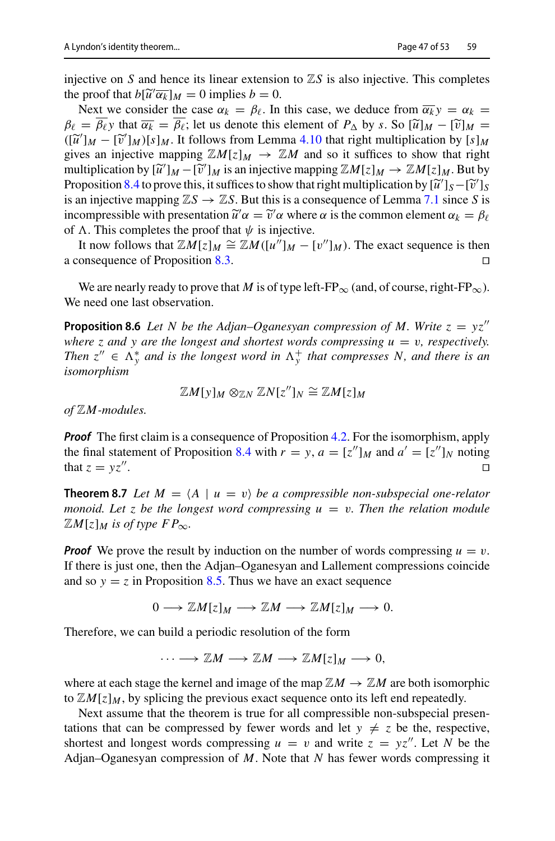injective on *S* and hence its linear extension to  $\mathbb{Z}S$  is also injective. This completes the proof that  $b[\tilde{u}'\overline{\alpha_k}]_M = 0$  implies  $b = 0$ .<br>Next we consider the case  $\alpha_k = \beta_{\ell}$ . In

Next we consider the case  $\alpha_k = \beta_\ell$ . In this case, we deduce from  $\overline{\alpha_k} v = \alpha_k =$  $\beta_{\ell} = \overline{\beta_{\ell}}$  that  $\overline{\alpha_{k}} = \overline{\beta_{\ell}}$ ; let us denote this element of  $P_{\Delta}$  by *s*. So  $[\tilde{u}]_M - [\tilde{v}]_M =$  $([\tilde{u}']_M - [\tilde{v}']_M)[s]_M$ . It follows from Lemma [4.10](#page-22-1) that right multiplication by  $[s]_M$ <br>gives an injective manning  $\mathbb{Z}M[s]_M \to \mathbb{Z}M$  and so it suffices to show that right gives an injective mapping  $\mathbb{Z}[M] \to \mathbb{Z}[M]$  and so it suffices to show that right multiplication by  $[\tilde{u}']_M - [\tilde{v}']_M$  is an injective mapping  $\mathbb{Z}M[z]_M \to \mathbb{Z}M[z]_M$ . But by<br>Proposition 8.4 to prove this it suffices to show that right multiplication by  $[\tilde{u}']_S - [\tilde{v}']_S$ Proposition [8.4](#page-44-0) to prove this, it suffices to show that right multiplication by  $[\tilde{u}']_S - [\tilde{v}']_S$ <br>is an injective manning  $\mathbb{Z}S \to \mathbb{Z}S$ . But this is a consequence of Lemma 7.1 since S is is an injective mapping  $\mathbb{Z}S \to \mathbb{Z}S$ . But this is a consequence of Lemma [7.1](#page-38-1) since *S* is incompressible with presentation  $\tilde{u}'\alpha = \tilde{v}'\alpha$  where  $\alpha$  is the common element  $\alpha_k = \beta_\ell$ <br>of  $\Lambda$ . This completes the proof that  $\nu_k$  is injective of  $\Lambda$ . This completes the proof that  $\psi$  is injective.

It now follows that  $\mathbb{Z}M[z]_M \cong \mathbb{Z}M([u'']_M - [v'']_M)$ . The exact sequence is then a consequence of Proposition [8.3.](#page-43-2)

We are nearly ready to prove that *M* is of type left-FP<sub>∞</sub> (and, of course, right-FP<sub>∞</sub>). We need one last observation.

**Proposition 8.6** *Let N be the Adjan–Oganesyan compression of M. Write*  $z = yz''$ *where z and y are the longest and shortest words compressing*  $u = v$ *, respectively. Then*  $z'' \in \Lambda_y^*$  and is the longest word in  $\Lambda_y^+$  that compresses N, and there is an *isomorphism*

<span id="page-46-1"></span>
$$
\mathbb{Z}M[y]_M \otimes_{\mathbb{Z}N} \mathbb{Z}N[z'']_N \cong \mathbb{Z}M[z]_M
$$

*of* Z*M-modules.*

*Proof* The first claim is a consequence of Proposition [4.2.](#page-18-2) For the isomorphism, apply the final statement of Proposition [8.4](#page-44-0) with  $r = y$ ,  $a = [z'']_M$  and  $a' = [z'']_N$  noting that  $z = vz''$ . that  $z = yz$ <sup>"'</sup>.

<span id="page-46-0"></span>**Theorem 8.7** *Let*  $M = \langle A \mid u = v \rangle$  *be a compressible non-subspecial one-relator monoid. Let z be the longest word compressing*  $u = v$ *. Then the relation module*  $\mathbb{Z}M[z]_M$  *is of type FP*<sub>∞</sub>.

*Proof* We prove the result by induction on the number of words compressing  $u = v$ . If there is just one, then the Adjan–Oganesyan and Lallement compressions coincide and so  $y = z$  in Proposition [8.5.](#page-45-1) Thus we have an exact sequence

 $0 \longrightarrow \mathbb{Z}M[z]_M \longrightarrow \mathbb{Z}M \longrightarrow \mathbb{Z}M[z]_M \longrightarrow 0.$ 

Therefore, we can build a periodic resolution of the form

$$
\cdots \longrightarrow \mathbb{Z}M \longrightarrow \mathbb{Z}M \longrightarrow \mathbb{Z}M[z]_M \longrightarrow 0,
$$

where at each stage the kernel and image of the map  $\mathbb{Z}M \to \mathbb{Z}M$  are both isomorphic to  $\mathbb{Z}[M]z]_M$ , by splicing the previous exact sequence onto its left end repeatedly.

Next assume that the theorem is true for all compressible non-subspecial presentations that can be compressed by fewer words and let  $y \neq z$  be the, respective, shortest and longest words compressing  $u = v$  and write  $z = yz''$ . Let *N* be the Adjan–Oganesyan compression of *M*. Note that *N* has fewer words compressing it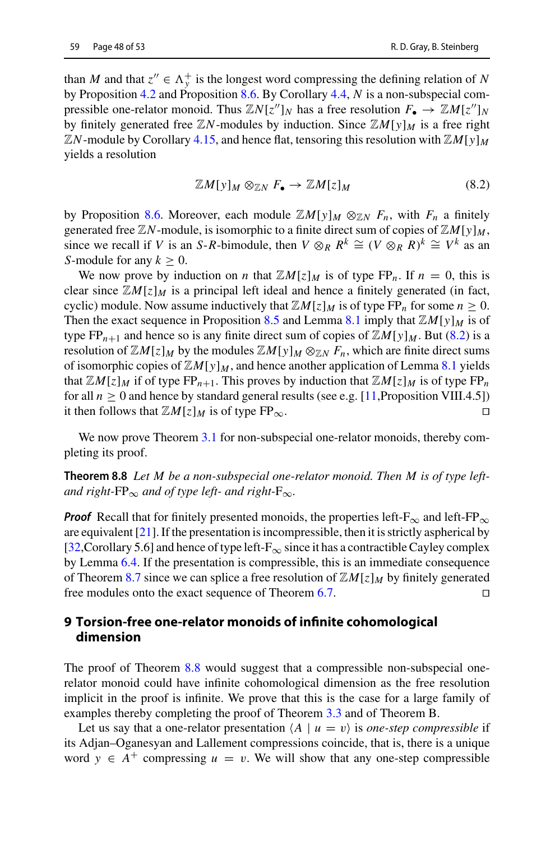pressible one-relator monoid. Thus  $\mathbb{Z}N[z'']_N$  has a free resolution  $F_{\bullet} \to \mathbb{Z}M[z'']_N$ by finitely generated free  $\mathbb{Z}N$ -modules by induction. Since  $\mathbb{Z}M[y]_M$  is a free right  $\mathbb{Z}$ *N*-module by Corollary [4.15,](#page-23-3) and hence flat, tensoring this resolution with  $\mathbb{Z}M[y]_M$ yields a resolution

<span id="page-47-2"></span>
$$
\mathbb{Z}M[y]_M \otimes_{\mathbb{Z}N} F_{\bullet} \to \mathbb{Z}M[z]_M \tag{8.2}
$$

by Proposition [8.6.](#page-46-1) Moreover, each module  $\mathbb{Z}[M[y]]_M \otimes_{\mathbb{Z}[N]} F_n$ , with  $F_n$  a finitely generated free  $\mathbb{Z}N$ -module, is isomorphic to a finite direct sum of copies of  $\mathbb{Z}M[y]_M$ , since we recall if *V* is an *S*-*R*-bimodule, then  $V \otimes_R R^k \cong (V \otimes_R R)^k \cong V^k$  as an *S*-module for any  $k > 0$ .

We now prove by induction on *n* that  $\mathbb{Z}[M]z\vert_M$  is of type FP<sub>n</sub>. If  $n = 0$ , this is clear since  $\mathbb{Z}M[z]_M$  is a principal left ideal and hence a finitely generated (in fact, cyclic) module. Now assume inductively that  $\mathbb{Z}[M]z \mid M$  is of type  $FP_n$  for some  $n \geq 0$ . Then the exact sequence in Proposition [8.5](#page-45-1) and Lemma [8.1](#page-43-3) imply that  $\mathbb{Z}[M[y]]_M$  is of type  $FP_{n+1}$  and hence so is any finite direct sum of copies of  $\mathbb{Z}M[y]_M$ . But [\(8.2\)](#page-47-2) is a resolution of  $\mathbb{Z}M[z]_M$  by the modules  $\mathbb{Z}M[y]_M \otimes_{\mathbb{Z}N} F_n$ , which are finite direct sums of isomorphic copies of  $\mathbb{Z}[M[y]]_M$ , and hence another application of Lemma [8.1](#page-43-3) yields that  $\mathbb{Z}M[z]_M$  if of type FP<sub>n+1</sub>. This proves by induction that  $\mathbb{Z}M[z]_M$  is of type FP<sub>n</sub> for all  $n \ge 0$  and hence by standard general results (see e.g. [\[11,](#page-51-21) Proposition VIII.4.5]) it then follows that  $\mathbb{Z}M[z]_M$  is of type FP<sub>∞</sub>. it then follows that  $\mathbb{Z}M[z]_M$  is of type  $FP_{\infty}$ .

<span id="page-47-1"></span>We now prove Theorem [3.1](#page-11-0) for non-subspecial one-relator monoids, thereby completing its proof.

**Theorem 8.8** *Let M be a non-subspecial one-relator monoid. Then M is of type leftand right-FP*<sub>∞</sub> *and of type left- and right-F*<sub>∞</sub>.

*Proof* Recall that for finitely presented monoids, the properties left-F<sub>∞</sub> and left-FP<sub>∞</sub> are equivalent [\[21](#page-51-15)]. If the presentation is incompressible, then it is strictly aspherical by [\[32](#page-52-12), Corollary 5.6] and hence of type left- $F_{\infty}$  since it has a contractible Cayley complex by Lemma [6.4.](#page-35-0) If the presentation is compressible, this is an immediate consequence of Theorem [8.7](#page-46-0) since we can splice a free resolution of  $\mathbb{Z}M[z]_M$  by finitely generated free modules onto the exact sequence of Theorem 6.7. free modules onto the exact sequence of Theorem [6.7.](#page-36-0)

## <span id="page-47-0"></span>**9 Torsion-free one-relator monoids of infinite cohomological dimension**

The proof of Theorem [8.8](#page-47-1) would suggest that a compressible non-subspecial onerelator monoid could have infinite cohomological dimension as the free resolution implicit in the proof is infinite. We prove that this is the case for a large family of examples thereby completing the proof of Theorem [3.3](#page-11-1) and of Theorem B.

Let us say that a one-relator presentation  $\langle A \mid u = v \rangle$  is *one-step compressible* if its Adjan–Oganesyan and Lallement compressions coincide, that is, there is a unique word  $y \in A^+$  compressing  $u = v$ . We will show that any one-step compressible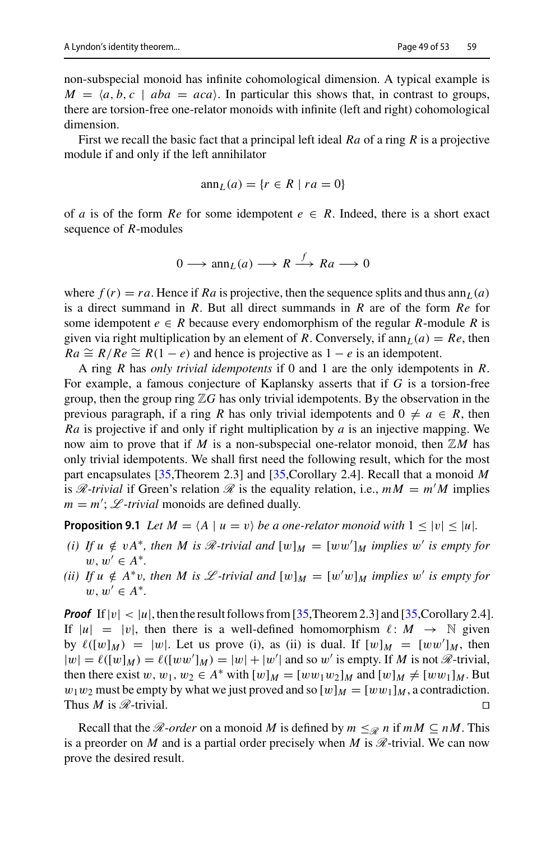non-subspecial monoid has infinite cohomological dimension. A typical example is  $M = \langle a, b, c \mid aba = aca \rangle$ . In particular this shows that, in contrast to groups, there are torsion-free one-relator monoids with infinite (left and right) cohomological dimension.

First we recall the basic fact that a principal left ideal *Ra* of a ring *R* is a projective module if and only if the left annihilator

$$
\operatorname{ann}_L(a) = \{ r \in R \mid ra = 0 \}
$$

of *a* is of the form *Re* for some idempotent  $e \in R$ . Indeed, there is a short exact sequence of *R*-modules

$$
0 \longrightarrow \operatorname{ann}_L(a) \longrightarrow R \xrightarrow{f} Ra \longrightarrow 0
$$

where  $f(r) = ra$ . Hence if Ra is projective, then the sequence splits and thus ann<sub>L</sub>(a) is a direct summand in *R*. But all direct summands in *R* are of the form *Re* for some idempotent  $e \in R$  because every endomorphism of the regular *R*-module *R* is given via right multiplication by an element of *R*. Conversely, if  $\text{ann}_L(a) = Re$ , then  $Ra \cong R/Re \cong R(1-e)$  and hence is projective as  $1-e$  is an idempotent.

A ring *R* has *only trivial idempotents* if 0 and 1 are the only idempotents in *R*. For example, a famous conjecture of Kaplansky asserts that if *G* is a torsion-free group, then the group ring  $\mathbb{Z}G$  has only trivial idempotents. By the observation in the previous paragraph, if a ring *R* has only trivial idempotents and  $0 \neq a \in R$ , then *Ra* is projective if and only if right multiplication by *a* is an injective mapping. We now aim to prove that if *M* is a non-subspecial one-relator monoid, then  $\mathbb{Z}M$  has only trivial idempotents. We shall first need the following result, which for the most part encapsulates [\[35,](#page-52-18)Theorem 2.3] and [\[35](#page-52-18),Corollary 2.4]. Recall that a monoid *M* is *R*-*trivial* if Green's relation *R* is the equality relation, i.e.,  $mM = m'M$  implies  $m = m'$ ;  $L$ -*trivial* monoids are defined dually.

<span id="page-48-1"></span>**Proposition 9.1** *Let*  $M = \langle A \mid u = v \rangle$  *be a one-relator monoid with*  $1 \leq |v| \leq |u|$ *.* 

- *(i)* If  $u \notin vA^*$ , then M is  $\mathcal{R}$ -trivial and  $[w]_M = [ww']_M$  implies w' is empty for  $w, w' \in A^*$ .
- *(ii)* If  $u \notin A^*v$ , then M is  $\mathcal{L}$ -trivial and  $[w]_M = [w'w]_M$  implies w' is empty for  $w, w' \in A^*$ .

**Proof** If  $|v| < |u|$ , then the result follows from [\[35,](#page-52-18)Theorem 2.3] and [35,Corollary 2.4]. If  $|u|=|v|$ , then there is a well-defined homomorphism  $\ell: M \to \mathbb{N}$  given by  $\ell([w]_M) = |w|$ . Let us prove (i), as (ii) is dual. If  $[w]_M = [ww']_M$ , then  $|w| = \ell([w]_M) = \ell([ww']_M) = |w| + |w'|$  and so w' is empty. If *M* is not *R*-trivial, then there exist w,  $w_1, w_2 \in A^*$  with  $[w]_M = [ww_1w_2]_M$  and  $[w]_M \neq [ww_1]_M$ . But  $w_1w_2$  must be empty by what we just proved and so  $[w]_M = [ww_1]_M$ , a contradiction. Thus *M* is *R*-trivial.

<span id="page-48-0"></span>Recall that the *R*-*order* on a monoid *M* is defined by  $m \leq R$  *n* if  $mM \subseteq nM$ . This is a preorder on *M* and is a partial order precisely when *M* is *R*-trivial. We can now prove the desired result.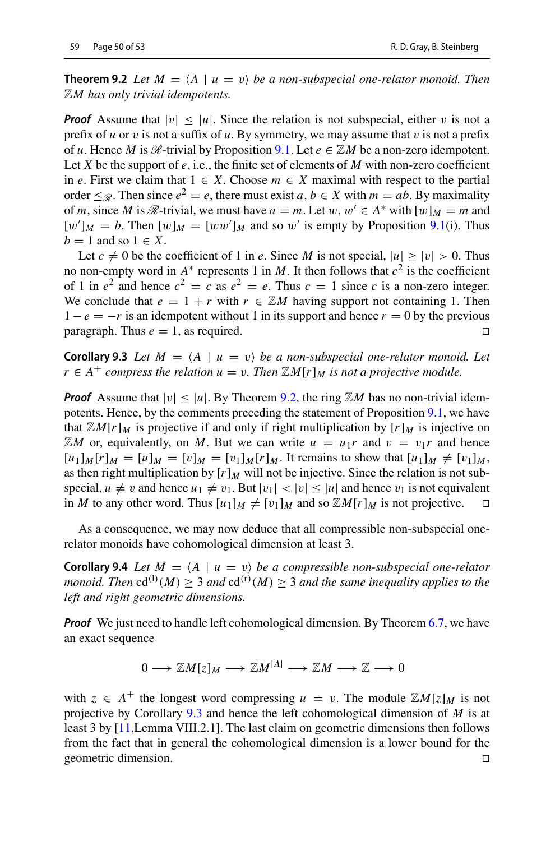**Theorem 9.2** *Let*  $M = \langle A \mid u = v \rangle$  *be a non-subspecial one-relator monoid. Then* Z*M has only trivial idempotents.*

*Proof* Assume that  $|v| \le |u|$ . Since the relation is not subspecial, either v is not a prefix of  $u$  or  $v$  is not a suffix of  $u$ . By symmetry, we may assume that  $v$  is not a prefix of *u*. Hence *M* is  $\mathcal{R}$ -trivial by Proposition [9.1.](#page-48-1) Let  $e \in \mathbb{Z}M$  be a non-zero idempotent. Let *X* be the support of *e*, i.e., the finite set of elements of *M* with non-zero coefficient in *e*. First we claim that 1 ∈ *X*. Choose *m* ∈ *X* maximal with respect to the partial order  $\leq_{\mathscr{R}}$ . Then since  $e^2 = e$ , there must exist  $a, b \in X$  with  $m = ab$ . By maximality of *m*, since *M* is  $\mathcal{R}$ -trivial, we must have  $a = m$ . Let  $w, w' \in A^*$  with  $[w]_M = m$  and  $[w']_M = b$ . Then  $[w]_M = [ww']_M$  and so w' is empty by Proposition [9.1\(](#page-48-1)i). Thus  $b = 1$  and so  $1 \in X$ .

Let  $c \neq 0$  be the coefficient of 1 in *e*. Since *M* is not special,  $|u| \geq |v| > 0$ . Thus no non-empty word in  $A^*$  represents 1 in *M*. It then follows that  $c^2$  is the coefficient of 1 in  $e^2$  and hence  $c^2 = c$  as  $e^2 = e$ . Thus  $c = 1$  since *c* is a non-zero integer. We conclude that  $e = 1 + r$  with  $r \in \mathbb{Z}M$  having support not containing 1. Then  $1 - e = -r$  is an idempotent without 1 in its support and hence  $r = 0$  by the previous paragraph. Thus  $e = 1$  as required paragraph. Thus  $e = 1$ , as required.

<span id="page-49-0"></span>**Corollary 9.3** *Let*  $M = \langle A \mid u = v \rangle$  *be a non-subspecial one-relator monoid. Let r* ∈ *A*<sup>+</sup> *compress the relation*  $u = v$ . *Then*  $\mathbb{Z}M[r]_M$  *is not a projective module.* 

*Proof* Assume that  $|v| \le |u|$ . By Theorem [9.2,](#page-48-0) the ring  $\mathbb{Z}M$  has no non-trivial idempotents. Hence, by the comments preceding the statement of Proposition [9.1,](#page-48-1) we have that  $\mathbb{Z}M[r]_M$  is projective if and only if right multiplication by  $[r]_M$  is injective on  $\mathbb{Z}M$  or, equivalently, on M. But we can write  $u = u_1r$  and  $v = v_1r$  and hence  $[u_1]_M[r]_M = [u]_M = [v]_M = [v_1]_M[r]_M$ . It remains to show that  $[u_1]_M \neq [v_1]_M$ , as then right multiplication by  $[r]_M$  will not be injective. Since the relation is not subspecial,  $u \neq v$  and hence  $u_1 \neq v_1$ . But  $|v_1| < |v| \leq |u|$  and hence  $v_1$  is not equivalent in *M* to any other word. Thus  $[u_1]_M \neq [v_1]_M$  and so  $\mathbb{Z}M[r]_M$  is not projective.

As a consequence, we may now deduce that all compressible non-subspecial onerelator monoids have cohomological dimension at least 3.

**Corollary 9.4** *Let*  $M = \langle A \mid u = v \rangle$  *be a compressible non-subspecial one-relator monoid. Then*  $cd^{(1)}(M) \geq 3$  *and*  $cd^{(r)}(M) \geq 3$  *and the same inequality applies to the left and right geometric dimensions.*

*Proof* We just need to handle left cohomological dimension. By Theorem [6.7,](#page-36-0) we have an exact sequence

$$
0 \longrightarrow \mathbb{Z}M[z]_M \longrightarrow \mathbb{Z}M^{|A|} \longrightarrow \mathbb{Z}M \longrightarrow \mathbb{Z} \longrightarrow 0
$$

with  $z \in A^+$  the longest word compressing  $u = v$ . The module  $\mathbb{Z}M[z]_M$  is not projective by Corollary [9.3](#page-49-0) and hence the left cohomological dimension of *M* is at least 3 by [\[11,](#page-51-21)Lemma VIII.2.1]. The last claim on geometric dimensions then follows from the fact that in general the cohomological dimension is a lower bound for the geometric dimension.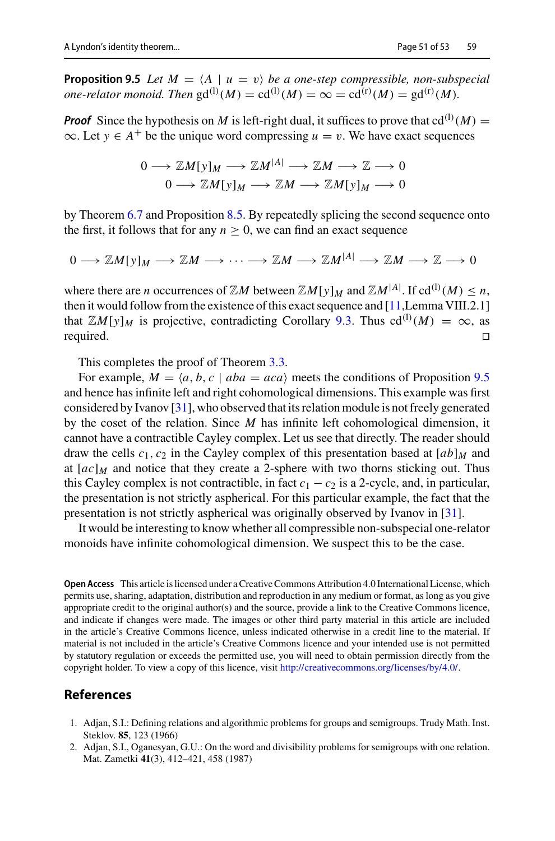<span id="page-50-2"></span>**Proposition 9.5** *Let*  $M = \langle A \mid u = v \rangle$  *be a one-step compressible, non-subspecial one-relator monoid. Then*  $\text{gd}^{(1)}(M) = \text{cd}^{(1)}(M) = \infty = \text{cd}^{(r)}(M) = \text{gd}^{(r)}(M)$ .

**Proof** Since the hypothesis on *M* is left-right dual, it suffices to prove that  $cd^{(1)}(M) =$  $\infty$ . Let  $y \in A^+$  be the unique word compressing  $u = v$ . We have exact sequences

$$
0 \longrightarrow \mathbb{Z}M[y]_M \longrightarrow \mathbb{Z}M^{|A|} \longrightarrow \mathbb{Z}M \longrightarrow \mathbb{Z} \longrightarrow 0
$$
  

$$
0 \longrightarrow \mathbb{Z}M[y]_M \longrightarrow \mathbb{Z}M \longrightarrow \mathbb{Z}M[y]_M \longrightarrow 0
$$

by Theorem [6.7](#page-36-0) and Proposition [8.5.](#page-45-1) By repeatedly splicing the second sequence onto the first, it follows that for any  $n \geq 0$ , we can find an exact sequence

$$
0 \longrightarrow \mathbb{Z}M[y]_M \longrightarrow \mathbb{Z}M \longrightarrow \cdots \longrightarrow \mathbb{Z}M \longrightarrow \mathbb{Z}M^{[A]} \longrightarrow \mathbb{Z}M \longrightarrow \mathbb{Z} \longrightarrow 0
$$

where there are *n* occurrences of  $\mathbb{Z}M$  between  $\mathbb{Z}M[y]_M$  and  $\mathbb{Z}M^{|A|}$ . If  $\text{cd}^{(1)}(M) \leq n$ , then it would follow from the existence of this exact sequence and [\[11](#page-51-21),Lemma VIII.2.1] that  $\mathbb{Z}[M[y]]_M$  is projective, contradicting Corollary [9.3.](#page-49-0) Thus  $cd^{(1)}(M) = \infty$ , as required.

This completes the proof of Theorem [3.3.](#page-11-1)

For example,  $M = \langle a, b, c \mid aba = aca \rangle$  meets the conditions of Proposition [9.5](#page-50-2) and hence has infinite left and right cohomological dimensions. This example was first considered by Ivanov [\[31\]](#page-51-14), who observed that its relation module is not freely generated by the coset of the relation. Since *M* has infinite left cohomological dimension, it cannot have a contractible Cayley complex. Let us see that directly. The reader should draw the cells  $c_1$ ,  $c_2$  in the Cayley complex of this presentation based at  $[ab]_M$  and at  $[ac]_M$  and notice that they create a 2-sphere with two thorns sticking out. Thus this Cayley complex is not contractible, in fact  $c_1 - c_2$  is a 2-cycle, and, in particular, the presentation is not strictly aspherical. For this particular example, the fact that the presentation is not strictly aspherical was originally observed by Ivanov in [\[31](#page-51-14)].

It would be interesting to know whether all compressible non-subspecial one-relator monoids have infinite cohomological dimension. We suspect this to be the case.

**Open Access** This article is licensed under a Creative Commons Attribution 4.0 International License, which permits use, sharing, adaptation, distribution and reproduction in any medium or format, as long as you give appropriate credit to the original author(s) and the source, provide a link to the Creative Commons licence, and indicate if changes were made. The images or other third party material in this article are included in the article's Creative Commons licence, unless indicated otherwise in a credit line to the material. If material is not included in the article's Creative Commons licence and your intended use is not permitted by statutory regulation or exceeds the permitted use, you will need to obtain permission directly from the copyright holder. To view a copy of this licence, visit [http://creativecommons.org/licenses/by/4.0/.](http://creativecommons.org/licenses/by/4.0/)

## **References**

- <span id="page-50-0"></span>1. Adjan, S.I.: Defining relations and algorithmic problems for groups and semigroups. Trudy Math. Inst. Steklov. **85**, 123 (1966)
- <span id="page-50-1"></span>2. Adjan, S.I., Oganesyan, G.U.: On the word and divisibility problems for semigroups with one relation. Mat. Zametki **41**(3), 412–421, 458 (1987)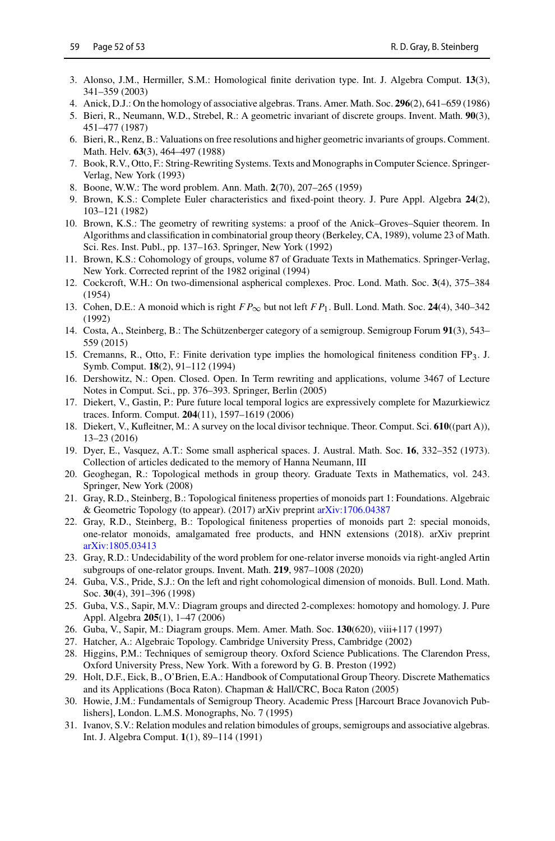- <span id="page-51-7"></span>3. Alonso, J.M., Hermiller, S.M.: Homological finite derivation type. Int. J. Algebra Comput. **13**(3), 341–359 (2003)
- <span id="page-51-5"></span>4. Anick, D.J.: On the homology of associative algebras. Trans. Amer. Math. Soc. **296**(2), 641–659 (1986)
- <span id="page-51-10"></span>5. Bieri, R., Neumann, W.D., Strebel, R.: A geometric invariant of discrete groups. Invent. Math. **90**(3), 451–477 (1987)
- <span id="page-51-11"></span>6. Bieri, R., Renz, B.: Valuations on free resolutions and higher geometric invariants of groups. Comment. Math. Helv. **63**(3), 464–497 (1988)
- <span id="page-51-0"></span>7. Book, R.V., Otto, F.: String-Rewriting Systems. Texts and Monographs in Computer Science. Springer-Verlag, New York (1993)
- <span id="page-51-1"></span>8. Boone, W.W.: The word problem. Ann. Math. **2**(70), 207–265 (1959)
- <span id="page-51-19"></span>9. Brown, K.S.: Complete Euler characteristics and fixed-point theory. J. Pure Appl. Algebra **24**(2), 103–121 (1982)
- <span id="page-51-6"></span>10. Brown, K.S.: The geometry of rewriting systems: a proof of the Anick–Groves–Squier theorem. In Algorithms and classification in combinatorial group theory (Berkeley, CA, 1989), volume 23 of Math. Sci. Res. Inst. Publ., pp. 137–163. Springer, New York (1992)
- <span id="page-51-21"></span>11. Brown, K.S.: Cohomology of groups, volume 87 of Graduate Texts in Mathematics. Springer-Verlag, New York. Corrected reprint of the 1982 original (1994)
- <span id="page-51-12"></span>12. Cockcroft, W.H.: On two-dimensional aspherical complexes. Proc. Lond. Math. Soc. **3**(4), 375–384 (1954)
- <span id="page-51-8"></span>13. Cohen, D.E.: A monoid which is right  $FP_{\infty}$  but not left  $FP_1$ . Bull. Lond. Math. Soc. 24(4), 340–342 (1992)
- <span id="page-51-25"></span>14. Costa, A., Steinberg, B.: The Schützenberger category of a semigroup. Semigroup Forum **91**(3), 543– 559 (2015)
- <span id="page-51-27"></span>15. Cremanns, R., Otto, F.: Finite derivation type implies the homological finiteness condition  $FP_3$ . J. Symb. Comput. **18**(2), 91–112 (1994)
- <span id="page-51-4"></span>16. Dershowitz, N.: Open. Closed. Open. In Term rewriting and applications, volume 3467 of Lecture Notes in Comput. Sci., pp. 376–393. Springer, Berlin (2005)
- <span id="page-51-26"></span>17. Diekert, V., Gastin, P.: Pure future local temporal logics are expressively complete for Mazurkiewicz traces. Inform. Comput. **204**(11), 1597–1619 (2006)
- <span id="page-51-18"></span>18. Diekert, V., Kufleitner, M.: A survey on the local divisor technique. Theor. Comput. Sci. **610**((part A)), 13–23 (2016)
- <span id="page-51-13"></span>19. Dyer, E., Vasquez, A.T.: Some small aspherical spaces. J. Austral. Math. Soc. **16**, 332–352 (1973). Collection of articles dedicated to the memory of Hanna Neumann, III
- <span id="page-51-22"></span>20. Geoghegan, R.: Topological methods in group theory. Graduate Texts in Mathematics, vol. 243. Springer, New York (2008)
- <span id="page-51-15"></span>21. Gray, R.D., Steinberg, B.: Topological finiteness properties of monoids part 1: Foundations. Algebraic & Geometric Topology (to appear). (2017) arXiv preprint [arXiv:1706.04387](http://arxiv.org/abs/1706.04387)
- <span id="page-51-16"></span>22. Gray, R.D., Steinberg, B.: Topological finiteness properties of monoids part 2: special monoids, one-relator monoids, amalgamated free products, and HNN extensions (2018). arXiv preprint [arXiv:1805.03413](http://arxiv.org/abs/1805.03413)
- <span id="page-51-2"></span>23. Gray, R.D.: Undecidability of the word problem for one-relator inverse monoids via right-angled Artin subgroups of one-relator groups. Invent. Math. **219**, 987–1008 (2020)
- <span id="page-51-9"></span>24. Guba, V.S., Pride, S.J.: On the left and right cohomological dimension of monoids. Bull. Lond. Math. Soc. **30**(4), 391–396 (1998)
- <span id="page-51-24"></span>25. Guba, V.S., Sapir, M.V.: Diagram groups and directed 2-complexes: homotopy and homology. J. Pure Appl. Algebra **205**(1), 1–47 (2006)
- <span id="page-51-17"></span>26. Guba, V., Sapir, M.: Diagram groups. Mem. Amer. Math. Soc. **130**(620), viii+117 (1997)
- <span id="page-51-20"></span>27. Hatcher, A.: Algebraic Topology. Cambridge University Press, Cambridge (2002)
- <span id="page-51-28"></span>28. Higgins, P.M.: Techniques of semigroup theory. Oxford Science Publications. The Clarendon Press, Oxford University Press, New York. With a foreword by G. B. Preston (1992)
- <span id="page-51-3"></span>29. Holt, D.F., Eick, B., O'Brien, E.A.: Handbook of Computational Group Theory. Discrete Mathematics and its Applications (Boca Raton). Chapman & Hall/CRC, Boca Raton (2005)
- <span id="page-51-23"></span>30. Howie, J.M.: Fundamentals of Semigroup Theory. Academic Press [Harcourt Brace Jovanovich Publishers], London. L.M.S. Monographs, No. 7 (1995)
- <span id="page-51-14"></span>31. Ivanov, S.V.: Relation modules and relation bimodules of groups, semigroups and associative algebras. Int. J. Algebra Comput. **1**(1), 89–114 (1991)